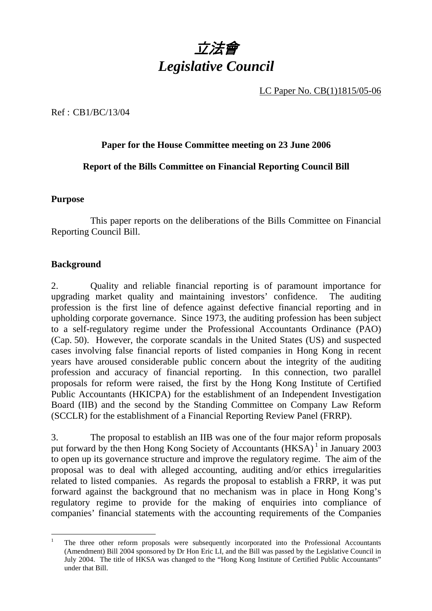

LC Paper No. CB(1)1815/05-06

#### Ref : CB1/BC/13/04

#### **Paper for the House Committee meeting on 23 June 2006**

#### **Report of the Bills Committee on Financial Reporting Council Bill**

#### **Purpose**

 This paper reports on the deliberations of the Bills Committee on Financial Reporting Council Bill.

#### **Background**

2. Quality and reliable financial reporting is of paramount importance for upgrading market quality and maintaining investors' confidence. The auditing profession is the first line of defence against defective financial reporting and in upholding corporate governance. Since 1973, the auditing profession has been subject to a self-regulatory regime under the Professional Accountants Ordinance (PAO) (Cap. 50). However, the corporate scandals in the United States (US) and suspected cases involving false financial reports of listed companies in Hong Kong in recent years have aroused considerable public concern about the integrity of the auditing profession and accuracy of financial reporting. In this connection, two parallel proposals for reform were raised, the first by the Hong Kong Institute of Certified Public Accountants (HKICPA) for the establishment of an Independent Investigation Board (IIB) and the second by the Standing Committee on Company Law Reform (SCCLR) for the establishment of a Financial Reporting Review Panel (FRRP).

3. The proposal to establish an IIB was one of the four major reform proposals put forward by the then Hong Kong Society of Accountants (HKSA)<sup>1</sup> in January 2003 to open up its governance structure and improve the regulatory regime. The aim of the proposal was to deal with alleged accounting, auditing and/or ethics irregularities related to listed companies. As regards the proposal to establish a FRRP, it was put forward against the background that no mechanism was in place in Hong Kong's regulatory regime to provide for the making of enquiries into compliance of companies' financial statements with the accounting requirements of the Companies

 1 The three other reform proposals were subsequently incorporated into the Professional Accountants (Amendment) Bill 2004 sponsored by Dr Hon Eric LI, and the Bill was passed by the Legislative Council in July 2004. The title of HKSA was changed to the "Hong Kong Institute of Certified Public Accountants" under that Bill.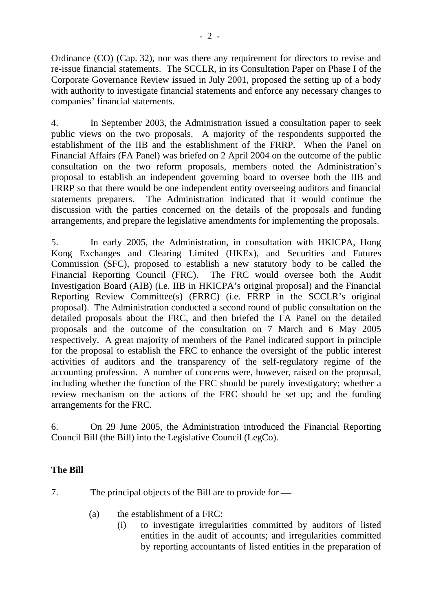Ordinance (CO) (Cap. 32), nor was there any requirement for directors to revise and re-issue financial statements. The SCCLR, in its Consultation Paper on Phase I of the Corporate Governance Review issued in July 2001, proposed the setting up of a body with authority to investigate financial statements and enforce any necessary changes to companies' financial statements.

4. In September 2003, the Administration issued a consultation paper to seek public views on the two proposals. A majority of the respondents supported the establishment of the IIB and the establishment of the FRRP. When the Panel on Financial Affairs (FA Panel) was briefed on 2 April 2004 on the outcome of the public consultation on the two reform proposals, members noted the Administration's proposal to establish an independent governing board to oversee both the IIB and FRRP so that there would be one independent entity overseeing auditors and financial statements preparers. The Administration indicated that it would continue the discussion with the parties concerned on the details of the proposals and funding arrangements, and prepare the legislative amendments for implementing the proposals.

5. In early 2005, the Administration, in consultation with HKICPA, Hong Kong Exchanges and Clearing Limited (HKEx), and Securities and Futures Commission (SFC), proposed to establish a new statutory body to be called the Financial Reporting Council (FRC). The FRC would oversee both the Audit Investigation Board (AIB) (i.e. IIB in HKICPA's original proposal) and the Financial Reporting Review Committee(s) (FRRC) (i.e. FRRP in the SCCLR's original proposal). The Administration conducted a second round of public consultation on the detailed proposals about the FRC, and then briefed the FA Panel on the detailed proposals and the outcome of the consultation on 7 March and 6 May 2005 respectively. A great majority of members of the Panel indicated support in principle for the proposal to establish the FRC to enhance the oversight of the public interest activities of auditors and the transparency of the self-regulatory regime of the accounting profession. A number of concerns were, however, raised on the proposal, including whether the function of the FRC should be purely investigatory; whether a review mechanism on the actions of the FRC should be set up; and the funding arrangements for the FRC.

6. On 29 June 2005, the Administration introduced the Financial Reporting Council Bill (the Bill) into the Legislative Council (LegCo).

# **The Bill**

7. The principal objects of the Bill are to provide for  $\rightarrow$ 

- (a) the establishment of a FRC:
	- (i) to investigate irregularities committed by auditors of listed entities in the audit of accounts; and irregularities committed by reporting accountants of listed entities in the preparation of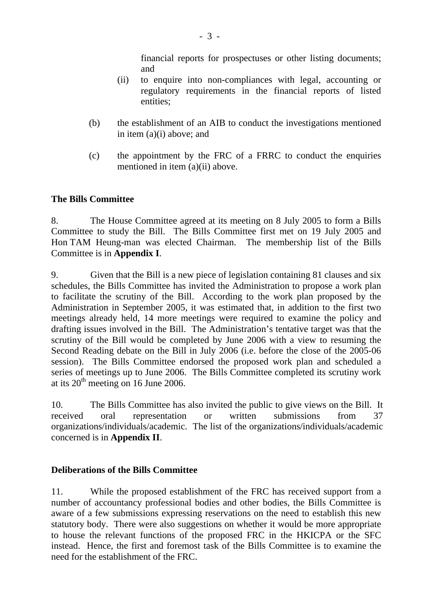financial reports for prospectuses or other listing documents; and

- (ii) to enquire into non-compliances with legal, accounting or regulatory requirements in the financial reports of listed entities;
- (b) the establishment of an AIB to conduct the investigations mentioned in item (a)(i) above; and
- (c) the appointment by the FRC of a FRRC to conduct the enquiries mentioned in item (a)(ii) above.

## **The Bills Committee**

8. The House Committee agreed at its meeting on 8 July 2005 to form a Bills Committee to study the Bill. The Bills Committee first met on 19 July 2005 and Hon TAM Heung-man was elected Chairman. The membership list of the Bills Committee is in **Appendix I**.

9. Given that the Bill is a new piece of legislation containing 81 clauses and six schedules, the Bills Committee has invited the Administration to propose a work plan to facilitate the scrutiny of the Bill. According to the work plan proposed by the Administration in September 2005, it was estimated that, in addition to the first two meetings already held, 14 more meetings were required to examine the policy and drafting issues involved in the Bill. The Administration's tentative target was that the scrutiny of the Bill would be completed by June 2006 with a view to resuming the Second Reading debate on the Bill in July 2006 (i.e. before the close of the 2005-06 session). The Bills Committee endorsed the proposed work plan and scheduled a series of meetings up to June 2006. The Bills Committee completed its scrutiny work at its  $20<sup>th</sup>$  meeting on 16 June 2006.

10. The Bills Committee has also invited the public to give views on the Bill. It received oral representation or written submissions from 37 organizations/individuals/academic. The list of the organizations/individuals/academic concerned is in **Appendix II**.

## **Deliberations of the Bills Committee**

11. While the proposed establishment of the FRC has received support from a number of accountancy professional bodies and other bodies, the Bills Committee is aware of a few submissions expressing reservations on the need to establish this new statutory body. There were also suggestions on whether it would be more appropriate to house the relevant functions of the proposed FRC in the HKICPA or the SFC instead. Hence, the first and foremost task of the Bills Committee is to examine the need for the establishment of the FRC.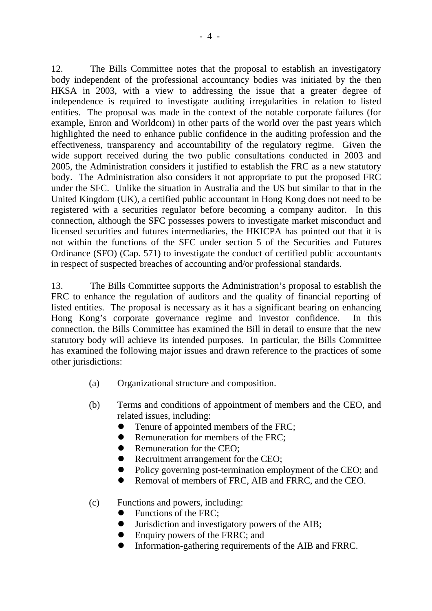12. The Bills Committee notes that the proposal to establish an investigatory body independent of the professional accountancy bodies was initiated by the then HKSA in 2003, with a view to addressing the issue that a greater degree of independence is required to investigate auditing irregularities in relation to listed entities. The proposal was made in the context of the notable corporate failures (for example, Enron and Worldcom) in other parts of the world over the past years which highlighted the need to enhance public confidence in the auditing profession and the effectiveness, transparency and accountability of the regulatory regime. Given the wide support received during the two public consultations conducted in 2003 and 2005, the Administration considers it justified to establish the FRC as a new statutory body. The Administration also considers it not appropriate to put the proposed FRC under the SFC. Unlike the situation in Australia and the US but similar to that in the United Kingdom (UK), a certified public accountant in Hong Kong does not need to be registered with a securities regulator before becoming a company auditor. In this connection, although the SFC possesses powers to investigate market misconduct and licensed securities and futures intermediaries, the HKICPA has pointed out that it is not within the functions of the SFC under section 5 of the Securities and Futures Ordinance (SFO) (Cap. 571) to investigate the conduct of certified public accountants in respect of suspected breaches of accounting and/or professional standards.

13. The Bills Committee supports the Administration's proposal to establish the FRC to enhance the regulation of auditors and the quality of financial reporting of listed entities. The proposal is necessary as it has a significant bearing on enhancing Hong Kong's corporate governance regime and investor confidence. In this connection, the Bills Committee has examined the Bill in detail to ensure that the new statutory body will achieve its intended purposes. In particular, the Bills Committee has examined the following major issues and drawn reference to the practices of some other jurisdictions:

- (a) Organizational structure and composition.
- (b) Terms and conditions of appointment of members and the CEO, and related issues, including:
	- Tenure of appointed members of the FRC;
	- Remuneration for members of the FRC;
	- **Remuneration for the CEO;**
	- Recruitment arrangement for the CEO;
	- Policy governing post-termination employment of the CEO; and
	- Removal of members of FRC, AIB and FRRC, and the CEO.

## (c) Functions and powers, including:

- Functions of the FRC;
- ! Jurisdiction and investigatory powers of the AIB;
- Enquiry powers of the FRRC; and
- ! Information-gathering requirements of the AIB and FRRC.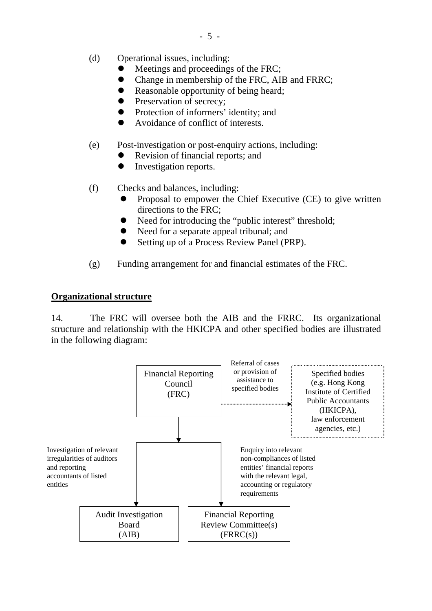- (d) Operational issues, including:
	- Meetings and proceedings of the FRC;
	- ! Change in membership of the FRC, AIB and FRRC;
	- Reasonable opportunity of being heard;
	- Preservation of secrecy;
	- Protection of informers' identity; and
	- ! Avoidance of conflict of interests.
- (e) Post-investigation or post-enquiry actions, including:
	- Revision of financial reports; and
	- Investigation reports.

(f) Checks and balances, including:

- ! Proposal to empower the Chief Executive (CE) to give written directions to the FRC;
- Need for introducing the "public interest" threshold;
- Need for a separate appeal tribunal; and
- Setting up of a Process Review Panel (PRP).
- (g) Funding arrangement for and financial estimates of the FRC.

#### **Organizational structure**

14. The FRC will oversee both the AIB and the FRRC. Its organizational structure and relationship with the HKICPA and other specified bodies are illustrated in the following diagram:

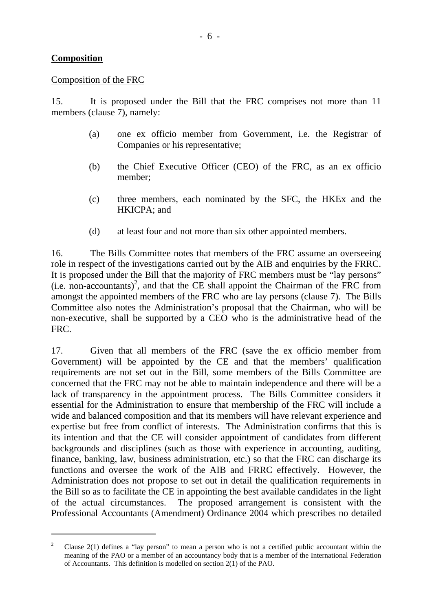#### **Composition**

 $\overline{a}$ 

#### Composition of the FRC

15. It is proposed under the Bill that the FRC comprises not more than 11 members (clause 7), namely:

- (a) one ex officio member from Government, i.e. the Registrar of Companies or his representative;
- (b) the Chief Executive Officer (CEO) of the FRC, as an ex officio member;
- (c) three members, each nominated by the SFC, the HKEx and the HKICPA; and
- (d) at least four and not more than six other appointed members.

16. The Bills Committee notes that members of the FRC assume an overseeing role in respect of the investigations carried out by the AIB and enquiries by the FRRC. It is proposed under the Bill that the majority of FRC members must be "lay persons"  $(i.e.$  non-accountants)<sup>2</sup>, and that the CE shall appoint the Chairman of the FRC from amongst the appointed members of the FRC who are lay persons (clause 7). The Bills Committee also notes the Administration's proposal that the Chairman, who will be non-executive, shall be supported by a CEO who is the administrative head of the FRC.

17. Given that all members of the FRC (save the ex officio member from Government) will be appointed by the CE and that the members' qualification requirements are not set out in the Bill, some members of the Bills Committee are concerned that the FRC may not be able to maintain independence and there will be a lack of transparency in the appointment process. The Bills Committee considers it essential for the Administration to ensure that membership of the FRC will include a wide and balanced composition and that its members will have relevant experience and expertise but free from conflict of interests. The Administration confirms that this is its intention and that the CE will consider appointment of candidates from different backgrounds and disciplines (such as those with experience in accounting, auditing, finance, banking, law, business administration, etc.) so that the FRC can discharge its functions and oversee the work of the AIB and FRRC effectively. However, the Administration does not propose to set out in detail the qualification requirements in the Bill so as to facilitate the CE in appointing the best available candidates in the light of the actual circumstances. The proposed arrangement is consistent with the Professional Accountants (Amendment) Ordinance 2004 which prescribes no detailed

<sup>2</sup> Clause 2(1) defines a "lay person" to mean a person who is not a certified public accountant within the meaning of the PAO or a member of an accountancy body that is a member of the International Federation of Accountants. This definition is modelled on section 2(1) of the PAO.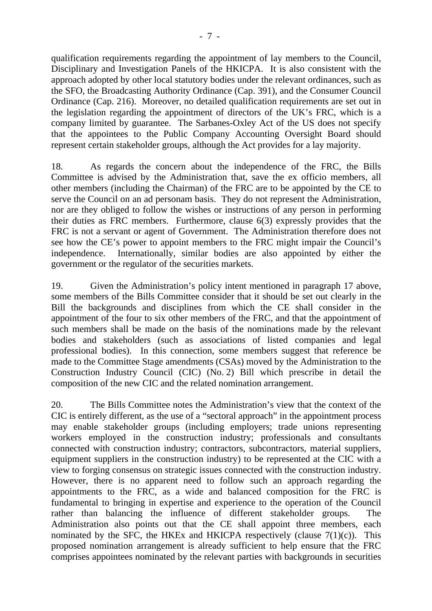qualification requirements regarding the appointment of lay members to the Council, Disciplinary and Investigation Panels of the HKICPA. It is also consistent with the approach adopted by other local statutory bodies under the relevant ordinances, such as the SFO, the Broadcasting Authority Ordinance (Cap. 391), and the Consumer Council Ordinance (Cap. 216). Moreover, no detailed qualification requirements are set out in the legislation regarding the appointment of directors of the UK's FRC, which is a company limited by guarantee. The Sarbanes-Oxley Act of the US does not specify that the appointees to the Public Company Accounting Oversight Board should represent certain stakeholder groups, although the Act provides for a lay majority.

18. As regards the concern about the independence of the FRC, the Bills Committee is advised by the Administration that, save the ex officio members, all other members (including the Chairman) of the FRC are to be appointed by the CE to serve the Council on an ad personam basis. They do not represent the Administration, nor are they obliged to follow the wishes or instructions of any person in performing their duties as FRC members. Furthermore, clause 6(3) expressly provides that the FRC is not a servant or agent of Government. The Administration therefore does not see how the CE's power to appoint members to the FRC might impair the Council's independence. Internationally, similar bodies are also appointed by either the government or the regulator of the securities markets.

19. Given the Administration's policy intent mentioned in paragraph 17 above, some members of the Bills Committee consider that it should be set out clearly in the Bill the backgrounds and disciplines from which the CE shall consider in the appointment of the four to six other members of the FRC, and that the appointment of such members shall be made on the basis of the nominations made by the relevant bodies and stakeholders (such as associations of listed companies and legal professional bodies). In this connection, some members suggest that reference be made to the Committee Stage amendments (CSAs) moved by the Administration to the Construction Industry Council (CIC) (No. 2) Bill which prescribe in detail the composition of the new CIC and the related nomination arrangement.

20. The Bills Committee notes the Administration's view that the context of the CIC is entirely different, as the use of a "sectoral approach" in the appointment process may enable stakeholder groups (including employers; trade unions representing workers employed in the construction industry; professionals and consultants connected with construction industry; contractors, subcontractors, material suppliers, equipment suppliers in the construction industry) to be represented at the CIC with a view to forging consensus on strategic issues connected with the construction industry. However, there is no apparent need to follow such an approach regarding the appointments to the FRC, as a wide and balanced composition for the FRC is fundamental to bringing in expertise and experience to the operation of the Council rather than balancing the influence of different stakeholder groups. The Administration also points out that the CE shall appoint three members, each nominated by the SFC, the HKEx and HKICPA respectively (clause  $7(1)(c)$ ). This proposed nomination arrangement is already sufficient to help ensure that the FRC comprises appointees nominated by the relevant parties with backgrounds in securities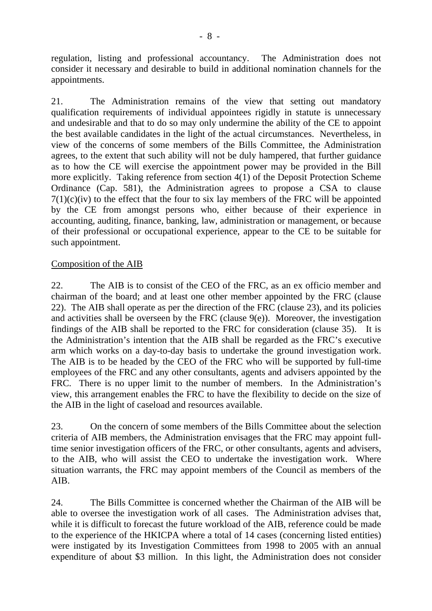regulation, listing and professional accountancy. The Administration does not consider it necessary and desirable to build in additional nomination channels for the appointments.

21. The Administration remains of the view that setting out mandatory qualification requirements of individual appointees rigidly in statute is unnecessary and undesirable and that to do so may only undermine the ability of the CE to appoint the best available candidates in the light of the actual circumstances. Nevertheless, in view of the concerns of some members of the Bills Committee, the Administration agrees, to the extent that such ability will not be duly hampered, that further guidance as to how the CE will exercise the appointment power may be provided in the Bill more explicitly. Taking reference from section 4(1) of the Deposit Protection Scheme Ordinance (Cap. 581), the Administration agrees to propose a CSA to clause  $7(1)(c)(iv)$  to the effect that the four to six lay members of the FRC will be appointed by the CE from amongst persons who, either because of their experience in accounting, auditing, finance, banking, law, administration or management, or because of their professional or occupational experience, appear to the CE to be suitable for such appointment.

## Composition of the AIB

22. The AIB is to consist of the CEO of the FRC, as an ex officio member and chairman of the board; and at least one other member appointed by the FRC (clause 22). The AIB shall operate as per the direction of the FRC (clause 23), and its policies and activities shall be overseen by the FRC (clause  $9(e)$ ). Moreover, the investigation findings of the AIB shall be reported to the FRC for consideration (clause 35). It is the Administration's intention that the AIB shall be regarded as the FRC's executive arm which works on a day-to-day basis to undertake the ground investigation work. The AIB is to be headed by the CEO of the FRC who will be supported by full-time employees of the FRC and any other consultants, agents and advisers appointed by the FRC. There is no upper limit to the number of members. In the Administration's view, this arrangement enables the FRC to have the flexibility to decide on the size of the AIB in the light of caseload and resources available.

23. On the concern of some members of the Bills Committee about the selection criteria of AIB members, the Administration envisages that the FRC may appoint fulltime senior investigation officers of the FRC, or other consultants, agents and advisers, to the AIB, who will assist the CEO to undertake the investigation work. Where situation warrants, the FRC may appoint members of the Council as members of the AIB.

24. The Bills Committee is concerned whether the Chairman of the AIB will be able to oversee the investigation work of all cases. The Administration advises that, while it is difficult to forecast the future workload of the AIB, reference could be made to the experience of the HKICPA where a total of 14 cases (concerning listed entities) were instigated by its Investigation Committees from 1998 to 2005 with an annual expenditure of about \$3 million. In this light, the Administration does not consider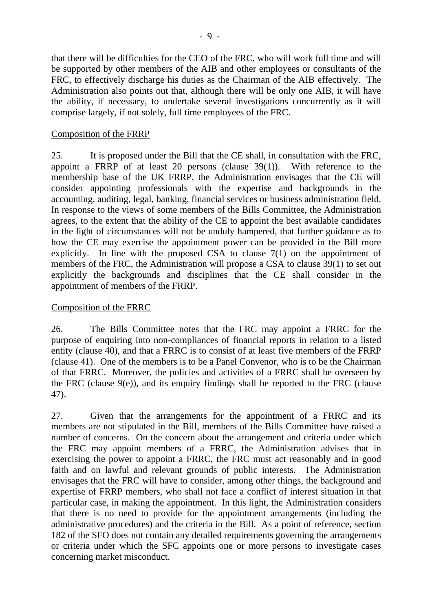that there will be difficulties for the CEO of the FRC, who will work full time and will be supported by other members of the AIB and other employees or consultants of the FRC, to effectively discharge his duties as the Chairman of the AIB effectively. The Administration also points out that, although there will be only one AIB, it will have the ability, if necessary, to undertake several investigations concurrently as it will comprise largely, if not solely, full time employees of the FRC.

#### Composition of the FRRP

25. It is proposed under the Bill that the CE shall, in consultation with the FRC, appoint a FRRP of at least 20 persons (clause  $39(1)$ ). With reference to the membership base of the UK FRRP, the Administration envisages that the CE will consider appointing professionals with the expertise and backgrounds in the accounting, auditing, legal, banking, financial services or business administration field. In response to the views of some members of the Bills Committee, the Administration agrees, to the extent that the ability of the CE to appoint the best available candidates in the light of circumstances will not be unduly hampered, that further guidance as to how the CE may exercise the appointment power can be provided in the Bill more explicitly. In line with the proposed CSA to clause 7(1) on the appointment of members of the FRC, the Administration will propose a CSA to clause 39(1) to set out explicitly the backgrounds and disciplines that the CE shall consider in the appointment of members of the FRRP.

## Composition of the FRRC

26. The Bills Committee notes that the FRC may appoint a FRRC for the purpose of enquiring into non-compliances of financial reports in relation to a listed entity (clause 40), and that a FRRC is to consist of at least five members of the FRRP (clause 41). One of the members is to be a Panel Convenor, who is to be the Chairman of that FRRC. Moreover, the policies and activities of a FRRC shall be overseen by the FRC (clause  $9(e)$ ), and its enquiry findings shall be reported to the FRC (clause 47).

27. Given that the arrangements for the appointment of a FRRC and its members are not stipulated in the Bill, members of the Bills Committee have raised a number of concerns. On the concern about the arrangement and criteria under which the FRC may appoint members of a FRRC, the Administration advises that in exercising the power to appoint a FRRC, the FRC must act reasonably and in good faith and on lawful and relevant grounds of public interests. The Administration envisages that the FRC will have to consider, among other things, the background and expertise of FRRP members, who shall not face a conflict of interest situation in that particular case, in making the appointment. In this light, the Administration considers that there is no need to provide for the appointment arrangements (including the administrative procedures) and the criteria in the Bill. As a point of reference, section 182 of the SFO does not contain any detailed requirements governing the arrangements or criteria under which the SFC appoints one or more persons to investigate cases concerning market misconduct.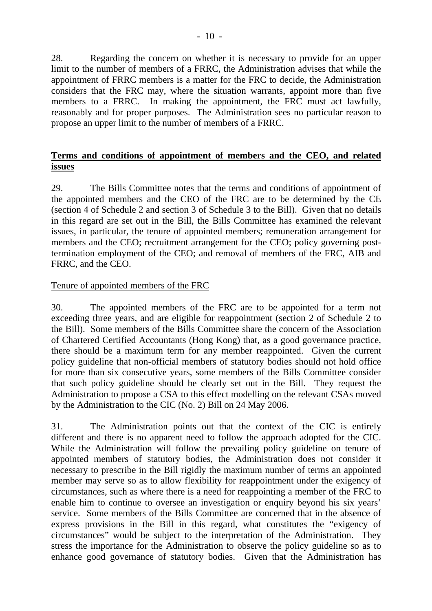28. Regarding the concern on whether it is necessary to provide for an upper limit to the number of members of a FRRC, the Administration advises that while the appointment of FRRC members is a matter for the FRC to decide, the Administration considers that the FRC may, where the situation warrants, appoint more than five members to a FRRC. In making the appointment, the FRC must act lawfully, reasonably and for proper purposes. The Administration sees no particular reason to propose an upper limit to the number of members of a FRRC.

# **Terms and conditions of appointment of members and the CEO, and related issues**

29. The Bills Committee notes that the terms and conditions of appointment of the appointed members and the CEO of the FRC are to be determined by the CE (section 4 of Schedule 2 and section 3 of Schedule 3 to the Bill). Given that no details in this regard are set out in the Bill, the Bills Committee has examined the relevant issues, in particular, the tenure of appointed members; remuneration arrangement for members and the CEO; recruitment arrangement for the CEO; policy governing posttermination employment of the CEO; and removal of members of the FRC, AIB and FRRC, and the CEO.

## Tenure of appointed members of the FRC

30. The appointed members of the FRC are to be appointed for a term not exceeding three years, and are eligible for reappointment (section 2 of Schedule 2 to the Bill). Some members of the Bills Committee share the concern of the Association of Chartered Certified Accountants (Hong Kong) that, as a good governance practice, there should be a maximum term for any member reappointed. Given the current policy guideline that non-official members of statutory bodies should not hold office for more than six consecutive years, some members of the Bills Committee consider that such policy guideline should be clearly set out in the Bill. They request the Administration to propose a CSA to this effect modelling on the relevant CSAs moved by the Administration to the CIC (No. 2) Bill on 24 May 2006.

31. The Administration points out that the context of the CIC is entirely different and there is no apparent need to follow the approach adopted for the CIC. While the Administration will follow the prevailing policy guideline on tenure of appointed members of statutory bodies, the Administration does not consider it necessary to prescribe in the Bill rigidly the maximum number of terms an appointed member may serve so as to allow flexibility for reappointment under the exigency of circumstances, such as where there is a need for reappointing a member of the FRC to enable him to continue to oversee an investigation or enquiry beyond his six years' service. Some members of the Bills Committee are concerned that in the absence of express provisions in the Bill in this regard, what constitutes the "exigency of circumstances" would be subject to the interpretation of the Administration. They stress the importance for the Administration to observe the policy guideline so as to enhance good governance of statutory bodies. Given that the Administration has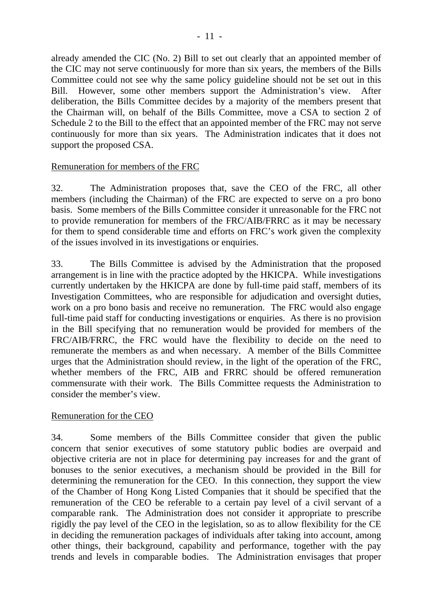already amended the CIC (No. 2) Bill to set out clearly that an appointed member of the CIC may not serve continuously for more than six years, the members of the Bills Committee could not see why the same policy guideline should not be set out in this Bill. However, some other members support the Administration's view. After deliberation, the Bills Committee decides by a majority of the members present that the Chairman will, on behalf of the Bills Committee, move a CSA to section 2 of Schedule 2 to the Bill to the effect that an appointed member of the FRC may not serve continuously for more than six years. The Administration indicates that it does not support the proposed CSA.

#### Remuneration for members of the FRC

32. The Administration proposes that, save the CEO of the FRC, all other members (including the Chairman) of the FRC are expected to serve on a pro bono basis. Some members of the Bills Committee consider it unreasonable for the FRC not to provide remuneration for members of the FRC/AIB/FRRC as it may be necessary for them to spend considerable time and efforts on FRC's work given the complexity of the issues involved in its investigations or enquiries.

33. The Bills Committee is advised by the Administration that the proposed arrangement is in line with the practice adopted by the HKICPA. While investigations currently undertaken by the HKICPA are done by full-time paid staff, members of its Investigation Committees, who are responsible for adjudication and oversight duties, work on a pro bono basis and receive no remuneration. The FRC would also engage full-time paid staff for conducting investigations or enquiries. As there is no provision in the Bill specifying that no remuneration would be provided for members of the FRC/AIB/FRRC, the FRC would have the flexibility to decide on the need to remunerate the members as and when necessary. A member of the Bills Committee urges that the Administration should review, in the light of the operation of the FRC, whether members of the FRC, AIB and FRRC should be offered remuneration commensurate with their work. The Bills Committee requests the Administration to consider the member's view.

## Remuneration for the CEO

34. Some members of the Bills Committee consider that given the public concern that senior executives of some statutory public bodies are overpaid and objective criteria are not in place for determining pay increases for and the grant of bonuses to the senior executives, a mechanism should be provided in the Bill for determining the remuneration for the CEO. In this connection, they support the view of the Chamber of Hong Kong Listed Companies that it should be specified that the remuneration of the CEO be referable to a certain pay level of a civil servant of a comparable rank. The Administration does not consider it appropriate to prescribe rigidly the pay level of the CEO in the legislation, so as to allow flexibility for the CE in deciding the remuneration packages of individuals after taking into account, among other things, their background, capability and performance, together with the pay trends and levels in comparable bodies. The Administration envisages that proper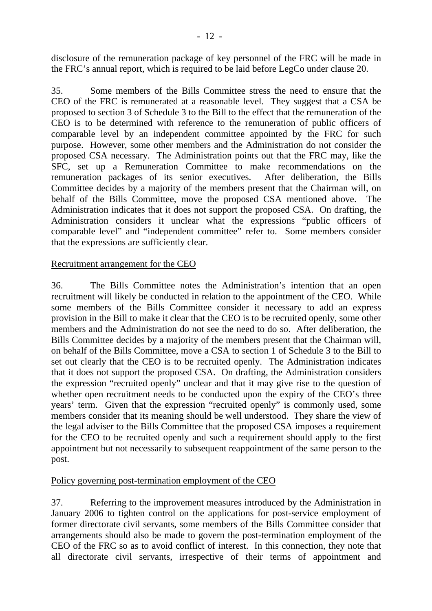disclosure of the remuneration package of key personnel of the FRC will be made in the FRC's annual report, which is required to be laid before LegCo under clause 20.

35. Some members of the Bills Committee stress the need to ensure that the CEO of the FRC is remunerated at a reasonable level. They suggest that a CSA be proposed to section 3 of Schedule 3 to the Bill to the effect that the remuneration of the CEO is to be determined with reference to the remuneration of public officers of comparable level by an independent committee appointed by the FRC for such purpose. However, some other members and the Administration do not consider the proposed CSA necessary. The Administration points out that the FRC may, like the SFC, set up a Remuneration Committee to make recommendations on the remuneration packages of its senior executives. After deliberation, the Bills Committee decides by a majority of the members present that the Chairman will, on behalf of the Bills Committee, move the proposed CSA mentioned above. The Administration indicates that it does not support the proposed CSA. On drafting, the Administration considers it unclear what the expressions "public officers of comparable level" and "independent committee" refer to. Some members consider that the expressions are sufficiently clear.

## Recruitment arrangement for the CEO

36. The Bills Committee notes the Administration's intention that an open recruitment will likely be conducted in relation to the appointment of the CEO. While some members of the Bills Committee consider it necessary to add an express provision in the Bill to make it clear that the CEO is to be recruited openly, some other members and the Administration do not see the need to do so. After deliberation, the Bills Committee decides by a majority of the members present that the Chairman will, on behalf of the Bills Committee, move a CSA to section 1 of Schedule 3 to the Bill to set out clearly that the CEO is to be recruited openly. The Administration indicates that it does not support the proposed CSA. On drafting, the Administration considers the expression "recruited openly" unclear and that it may give rise to the question of whether open recruitment needs to be conducted upon the expiry of the CEO's three years' term. Given that the expression "recruited openly" is commonly used, some members consider that its meaning should be well understood. They share the view of the legal adviser to the Bills Committee that the proposed CSA imposes a requirement for the CEO to be recruited openly and such a requirement should apply to the first appointment but not necessarily to subsequent reappointment of the same person to the post.

## Policy governing post-termination employment of the CEO

37. Referring to the improvement measures introduced by the Administration in January 2006 to tighten control on the applications for post-service employment of former directorate civil servants, some members of the Bills Committee consider that arrangements should also be made to govern the post-termination employment of the CEO of the FRC so as to avoid conflict of interest. In this connection, they note that all directorate civil servants, irrespective of their terms of appointment and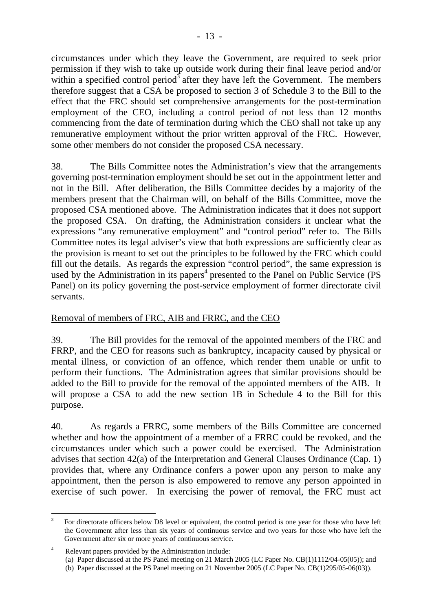circumstances under which they leave the Government, are required to seek prior permission if they wish to take up outside work during their final leave period and/or within a specified control period<sup>3</sup> after they have left the Government. The members therefore suggest that a CSA be proposed to section 3 of Schedule 3 to the Bill to the effect that the FRC should set comprehensive arrangements for the post-termination employment of the CEO, including a control period of not less than 12 months commencing from the date of termination during which the CEO shall not take up any remunerative employment without the prior written approval of the FRC. However, some other members do not consider the proposed CSA necessary.

38. The Bills Committee notes the Administration's view that the arrangements governing post-termination employment should be set out in the appointment letter and not in the Bill. After deliberation, the Bills Committee decides by a majority of the members present that the Chairman will, on behalf of the Bills Committee, move the proposed CSA mentioned above. The Administration indicates that it does not support the proposed CSA. On drafting, the Administration considers it unclear what the expressions "any remunerative employment" and "control period" refer to. The Bills Committee notes its legal adviser's view that both expressions are sufficiently clear as the provision is meant to set out the principles to be followed by the FRC which could fill out the details. As regards the expression "control period", the same expression is used by the Administration in its papers<sup>4</sup> presented to the Panel on Public Service (PS Panel) on its policy governing the post-service employment of former directorate civil servants.

# Removal of members of FRC, AIB and FRRC, and the CEO

39. The Bill provides for the removal of the appointed members of the FRC and FRRP, and the CEO for reasons such as bankruptcy, incapacity caused by physical or mental illness, or conviction of an offence, which render them unable or unfit to perform their functions. The Administration agrees that similar provisions should be added to the Bill to provide for the removal of the appointed members of the AIB. It will propose a CSA to add the new section 1B in Schedule 4 to the Bill for this purpose.

40. As regards a FRRC, some members of the Bills Committee are concerned whether and how the appointment of a member of a FRRC could be revoked, and the circumstances under which such a power could be exercised. The Administration advises that section 42(a) of the Interpretation and General Clauses Ordinance (Cap. 1) provides that, where any Ordinance confers a power upon any person to make any appointment, then the person is also empowered to remove any person appointed in exercise of such power. In exercising the power of removal, the FRC must act

 $\overline{a}$ 3 For directorate officers below D8 level or equivalent, the control period is one year for those who have left the Government after less than six years of continuous service and two years for those who have left the Government after six or more years of continuous service.

<sup>4</sup> Relevant papers provided by the Administration include:

<sup>(</sup>a) Paper discussed at the PS Panel meeting on 21 March 2005 (LC Paper No. CB(1)1112/04-05(05)); and

<sup>(</sup>b) Paper discussed at the PS Panel meeting on 21 November 2005 (LC Paper No. CB(1)295/05-06(03)).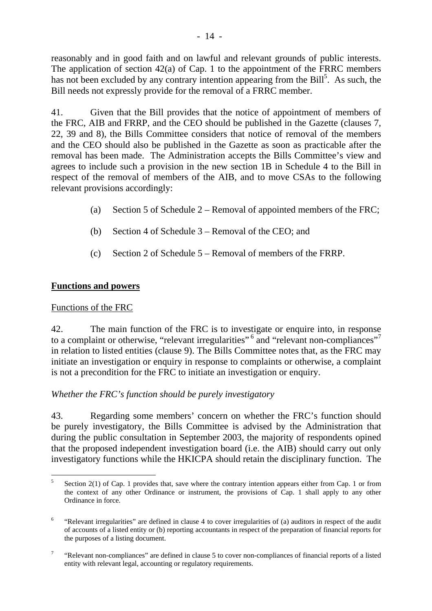reasonably and in good faith and on lawful and relevant grounds of public interests. The application of section 42(a) of Cap. 1 to the appointment of the FRRC members has not been excluded by any contrary intention appearing from the  $\text{Bill}^5$ . As such, the Bill needs not expressly provide for the removal of a FRRC member.

41. Given that the Bill provides that the notice of appointment of members of the FRC, AIB and FRRP, and the CEO should be published in the Gazette (clauses 7, 22, 39 and 8), the Bills Committee considers that notice of removal of the members and the CEO should also be published in the Gazette as soon as practicable after the removal has been made. The Administration accepts the Bills Committee's view and agrees to include such a provision in the new section 1B in Schedule 4 to the Bill in respect of the removal of members of the AIB, and to move CSAs to the following relevant provisions accordingly:

- (a) Section 5 of Schedule 2 Removal of appointed members of the FRC;
- (b) Section 4 of Schedule 3 Removal of the CEO; and
- (c) Section 2 of Schedule 5 Removal of members of the FRRP.

# **Functions and powers**

# Functions of the FRC

42. The main function of the FRC is to investigate or enquire into, in response to a complaint or otherwise, "relevant irregularities"<sup>6</sup> and "relevant non-compliances"<sup>7</sup> in relation to listed entities (clause 9). The Bills Committee notes that, as the FRC may initiate an investigation or enquiry in response to complaints or otherwise, a complaint is not a precondition for the FRC to initiate an investigation or enquiry.

# *Whether the FRC's function should be purely investigatory*

43. Regarding some members' concern on whether the FRC's function should be purely investigatory, the Bills Committee is advised by the Administration that during the public consultation in September 2003, the majority of respondents opined that the proposed independent investigation board (i.e. the AIB) should carry out only investigatory functions while the HKICPA should retain the disciplinary function. The

 $\frac{1}{5}$  Section 2(1) of Cap. 1 provides that, save where the contrary intention appears either from Cap. 1 or from the context of any other Ordinance or instrument, the provisions of Cap. 1 shall apply to any other Ordinance in force.

<sup>6</sup> "Relevant irregularities" are defined in clause 4 to cover irregularities of (a) auditors in respect of the audit of accounts of a listed entity or (b) reporting accountants in respect of the preparation of financial reports for the purposes of a listing document.

<sup>7</sup> "Relevant non-compliances" are defined in clause 5 to cover non-compliances of financial reports of a listed entity with relevant legal, accounting or regulatory requirements.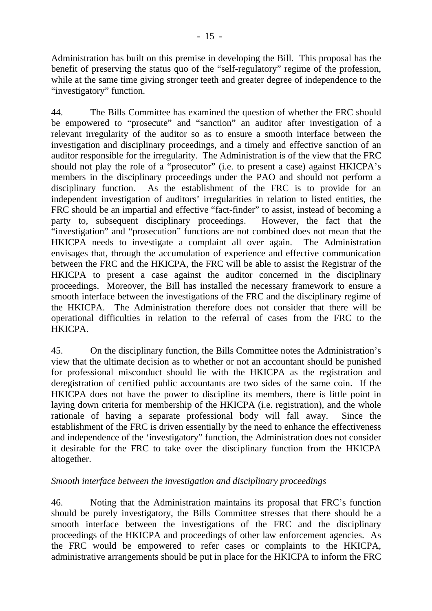Administration has built on this premise in developing the Bill. This proposal has the benefit of preserving the status quo of the "self-regulatory" regime of the profession, while at the same time giving stronger teeth and greater degree of independence to the "investigatory" function.

44. The Bills Committee has examined the question of whether the FRC should be empowered to "prosecute" and "sanction" an auditor after investigation of a relevant irregularity of the auditor so as to ensure a smooth interface between the investigation and disciplinary proceedings, and a timely and effective sanction of an auditor responsible for the irregularity. The Administration is of the view that the FRC should not play the role of a "prosecutor" (i.e. to present a case) against HKICPA's members in the disciplinary proceedings under the PAO and should not perform a disciplinary function. As the establishment of the FRC is to provide for an independent investigation of auditors' irregularities in relation to listed entities, the FRC should be an impartial and effective "fact-finder" to assist, instead of becoming a party to, subsequent disciplinary proceedings. However, the fact that the "investigation" and "prosecution" functions are not combined does not mean that the HKICPA needs to investigate a complaint all over again. The Administration envisages that, through the accumulation of experience and effective communication between the FRC and the HKICPA, the FRC will be able to assist the Registrar of the HKICPA to present a case against the auditor concerned in the disciplinary proceedings. Moreover, the Bill has installed the necessary framework to ensure a smooth interface between the investigations of the FRC and the disciplinary regime of the HKICPA. The Administration therefore does not consider that there will be operational difficulties in relation to the referral of cases from the FRC to the HKICPA.

45. On the disciplinary function, the Bills Committee notes the Administration's view that the ultimate decision as to whether or not an accountant should be punished for professional misconduct should lie with the HKICPA as the registration and deregistration of certified public accountants are two sides of the same coin. If the HKICPA does not have the power to discipline its members, there is little point in laying down criteria for membership of the HKICPA (i.e. registration), and the whole rationale of having a separate professional body will fall away. Since the establishment of the FRC is driven essentially by the need to enhance the effectiveness and independence of the 'investigatory" function, the Administration does not consider it desirable for the FRC to take over the disciplinary function from the HKICPA altogether.

## *Smooth interface between the investigation and disciplinary proceedings*

46. Noting that the Administration maintains its proposal that FRC's function should be purely investigatory, the Bills Committee stresses that there should be a smooth interface between the investigations of the FRC and the disciplinary proceedings of the HKICPA and proceedings of other law enforcement agencies. As the FRC would be empowered to refer cases or complaints to the HKICPA, administrative arrangements should be put in place for the HKICPA to inform the FRC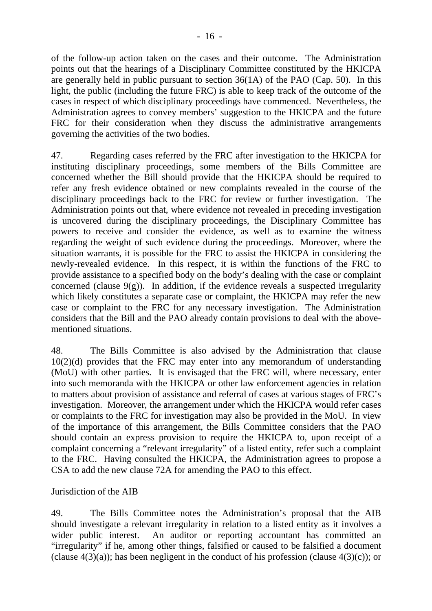of the follow-up action taken on the cases and their outcome. The Administration points out that the hearings of a Disciplinary Committee constituted by the HKICPA are generally held in public pursuant to section 36(1A) of the PAO (Cap. 50). In this light, the public (including the future FRC) is able to keep track of the outcome of the cases in respect of which disciplinary proceedings have commenced. Nevertheless, the Administration agrees to convey members' suggestion to the HKICPA and the future FRC for their consideration when they discuss the administrative arrangements governing the activities of the two bodies.

47. Regarding cases referred by the FRC after investigation to the HKICPA for instituting disciplinary proceedings, some members of the Bills Committee are concerned whether the Bill should provide that the HKICPA should be required to refer any fresh evidence obtained or new complaints revealed in the course of the disciplinary proceedings back to the FRC for review or further investigation. The Administration points out that, where evidence not revealed in preceding investigation is uncovered during the disciplinary proceedings, the Disciplinary Committee has powers to receive and consider the evidence, as well as to examine the witness regarding the weight of such evidence during the proceedings. Moreover, where the situation warrants, it is possible for the FRC to assist the HKICPA in considering the newly-revealed evidence. In this respect, it is within the functions of the FRC to provide assistance to a specified body on the body's dealing with the case or complaint concerned (clause  $9(g)$ ). In addition, if the evidence reveals a suspected irregularity which likely constitutes a separate case or complaint, the HKICPA may refer the new case or complaint to the FRC for any necessary investigation. The Administration considers that the Bill and the PAO already contain provisions to deal with the abovementioned situations.

48. The Bills Committee is also advised by the Administration that clause 10(2)(d) provides that the FRC may enter into any memorandum of understanding (MoU) with other parties. It is envisaged that the FRC will, where necessary, enter into such memoranda with the HKICPA or other law enforcement agencies in relation to matters about provision of assistance and referral of cases at various stages of FRC's investigation. Moreover, the arrangement under which the HKICPA would refer cases or complaints to the FRC for investigation may also be provided in the MoU. In view of the importance of this arrangement, the Bills Committee considers that the PAO should contain an express provision to require the HKICPA to, upon receipt of a complaint concerning a "relevant irregularity" of a listed entity, refer such a complaint to the FRC. Having consulted the HKICPA, the Administration agrees to propose a CSA to add the new clause 72A for amending the PAO to this effect.

## Jurisdiction of the AIB

49. The Bills Committee notes the Administration's proposal that the AIB should investigate a relevant irregularity in relation to a listed entity as it involves a wider public interest. An auditor or reporting accountant has committed an "irregularity" if he, among other things, falsified or caused to be falsified a document (clause  $4(3)(a)$ ); has been negligent in the conduct of his profession (clause  $4(3)(c)$ ); or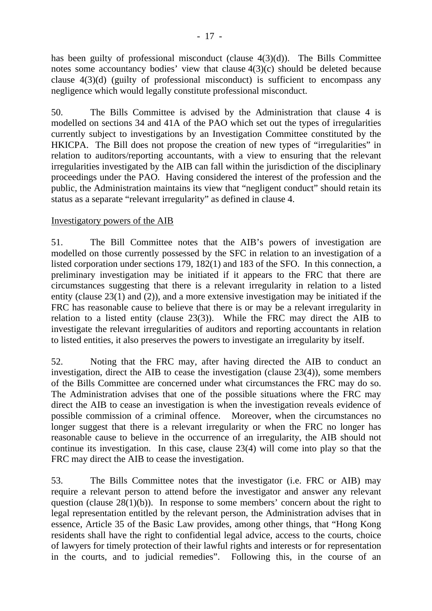has been guilty of professional misconduct (clause 4(3)(d)). The Bills Committee notes some accountancy bodies' view that clause 4(3)(c) should be deleted because clause 4(3)(d) (guilty of professional misconduct) is sufficient to encompass any negligence which would legally constitute professional misconduct.

50. The Bills Committee is advised by the Administration that clause 4 is modelled on sections 34 and 41A of the PAO which set out the types of irregularities currently subject to investigations by an Investigation Committee constituted by the HKICPA. The Bill does not propose the creation of new types of "irregularities" in relation to auditors/reporting accountants, with a view to ensuring that the relevant irregularities investigated by the AIB can fall within the jurisdiction of the disciplinary proceedings under the PAO. Having considered the interest of the profession and the public, the Administration maintains its view that "negligent conduct" should retain its status as a separate "relevant irregularity" as defined in clause 4.

## Investigatory powers of the AIB

51. The Bill Committee notes that the AIB's powers of investigation are modelled on those currently possessed by the SFC in relation to an investigation of a listed corporation under sections 179, 182(1) and 183 of the SFO. In this connection, a preliminary investigation may be initiated if it appears to the FRC that there are circumstances suggesting that there is a relevant irregularity in relation to a listed entity (clause 23(1) and (2)), and a more extensive investigation may be initiated if the FRC has reasonable cause to believe that there is or may be a relevant irregularity in relation to a listed entity (clause 23(3)). While the FRC may direct the AIB to investigate the relevant irregularities of auditors and reporting accountants in relation to listed entities, it also preserves the powers to investigate an irregularity by itself.

52. Noting that the FRC may, after having directed the AIB to conduct an investigation, direct the AIB to cease the investigation (clause 23(4)), some members of the Bills Committee are concerned under what circumstances the FRC may do so. The Administration advises that one of the possible situations where the FRC may direct the AIB to cease an investigation is when the investigation reveals evidence of possible commission of a criminal offence. Moreover, when the circumstances no longer suggest that there is a relevant irregularity or when the FRC no longer has reasonable cause to believe in the occurrence of an irregularity, the AIB should not continue its investigation. In this case, clause 23(4) will come into play so that the FRC may direct the AIB to cease the investigation.

53. The Bills Committee notes that the investigator (i.e. FRC or AIB) may require a relevant person to attend before the investigator and answer any relevant question (clause  $28(1)(b)$ ). In response to some members' concern about the right to legal representation entitled by the relevant person, the Administration advises that in essence, Article 35 of the Basic Law provides, among other things, that "Hong Kong residents shall have the right to confidential legal advice, access to the courts, choice of lawyers for timely protection of their lawful rights and interests or for representation in the courts, and to judicial remedies". Following this, in the course of an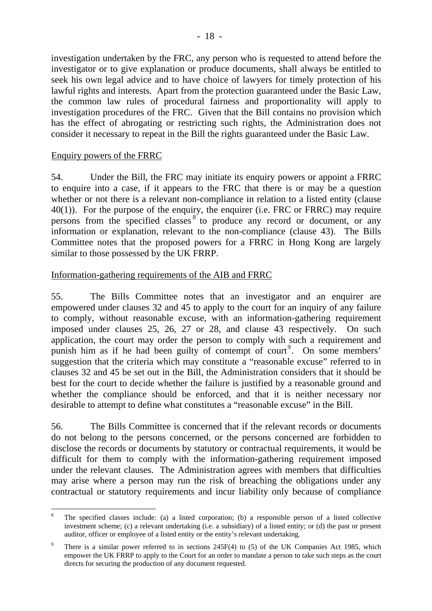investigation undertaken by the FRC, any person who is requested to attend before the investigator or to give explanation or produce documents, shall always be entitled to seek his own legal advice and to have choice of lawyers for timely protection of his lawful rights and interests. Apart from the protection guaranteed under the Basic Law, the common law rules of procedural fairness and proportionality will apply to investigation procedures of the FRC. Given that the Bill contains no provision which has the effect of abrogating or restricting such rights, the Administration does not consider it necessary to repeat in the Bill the rights guaranteed under the Basic Law.

#### Enquiry powers of the FRRC

 $\overline{a}$ 

54. Under the Bill, the FRC may initiate its enquiry powers or appoint a FRRC to enquire into a case, if it appears to the FRC that there is or may be a question whether or not there is a relevant non-compliance in relation to a listed entity (clause 40(1)). For the purpose of the enquiry, the enquirer (i.e. FRC or FRRC) may require persons from the specified classes 8 to produce any record or document, or any information or explanation, relevant to the non-compliance (clause 43). The Bills Committee notes that the proposed powers for a FRRC in Hong Kong are largely similar to those possessed by the UK FRRP.

## Information-gathering requirements of the AIB and FRRC

55. The Bills Committee notes that an investigator and an enquirer are empowered under clauses 32 and 45 to apply to the court for an inquiry of any failure to comply, without reasonable excuse, with an information-gathering requirement imposed under clauses 25, 26, 27 or 28, and clause 43 respectively. On such application, the court may order the person to comply with such a requirement and punish him as if he had been guilty of contempt of court<sup>9</sup>. On some members' suggestion that the criteria which may constitute a "reasonable excuse" referred to in clauses 32 and 45 be set out in the Bill, the Administration considers that it should be best for the court to decide whether the failure is justified by a reasonable ground and whether the compliance should be enforced, and that it is neither necessary nor desirable to attempt to define what constitutes a "reasonable excuse" in the Bill.

56. The Bills Committee is concerned that if the relevant records or documents do not belong to the persons concerned, or the persons concerned are forbidden to disclose the records or documents by statutory or contractual requirements, it would be difficult for them to comply with the information-gathering requirement imposed under the relevant clauses. The Administration agrees with members that difficulties may arise where a person may run the risk of breaching the obligations under any contractual or statutory requirements and incur liability only because of compliance

<sup>8</sup> The specified classes include: (a) a listed corporation; (b) a responsible person of a listed collective investment scheme; (c) a relevant undertaking (i.e. a subsidiary) of a listed entity; or (d) the past or present auditor, officer or employee of a listed entity or the entity's relevant undertaking.

<sup>9</sup> There is a similar power referred to in sections 245F(4) to (5) of the UK Companies Act 1985, which empower the UK FRRP to apply to the Court for an order to mandate a person to take such steps as the court directs for securing the production of any document requested.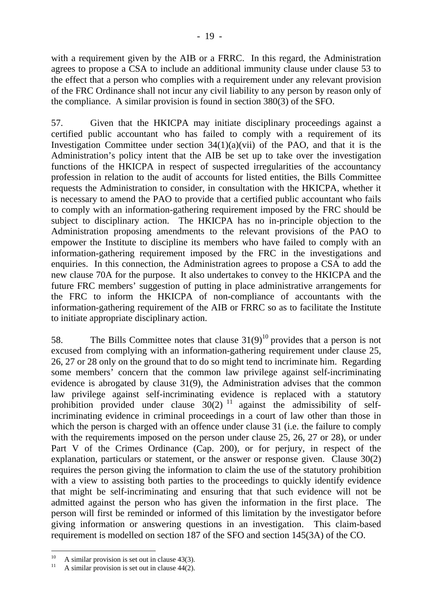with a requirement given by the AIB or a FRRC. In this regard, the Administration agrees to propose a CSA to include an additional immunity clause under clause 53 to the effect that a person who complies with a requirement under any relevant provision of the FRC Ordinance shall not incur any civil liability to any person by reason only of the compliance. A similar provision is found in section 380(3) of the SFO.

57. Given that the HKICPA may initiate disciplinary proceedings against a certified public accountant who has failed to comply with a requirement of its Investigation Committee under section  $34(1)(a)(vii)$  of the PAO, and that it is the Administration's policy intent that the AIB be set up to take over the investigation functions of the HKICPA in respect of suspected irregularities of the accountancy profession in relation to the audit of accounts for listed entities, the Bills Committee requests the Administration to consider, in consultation with the HKICPA, whether it is necessary to amend the PAO to provide that a certified public accountant who fails to comply with an information-gathering requirement imposed by the FRC should be subject to disciplinary action. The HKICPA has no in-principle objection to the Administration proposing amendments to the relevant provisions of the PAO to empower the Institute to discipline its members who have failed to comply with an information-gathering requirement imposed by the FRC in the investigations and enquiries. In this connection, the Administration agrees to propose a CSA to add the new clause 70A for the purpose. It also undertakes to convey to the HKICPA and the future FRC members' suggestion of putting in place administrative arrangements for the FRC to inform the HKICPA of non-compliance of accountants with the information-gathering requirement of the AIB or FRRC so as to facilitate the Institute to initiate appropriate disciplinary action.

58. The Bills Committee notes that clause  $31(9)^{10}$  provides that a person is not excused from complying with an information-gathering requirement under clause 25, 26, 27 or 28 only on the ground that to do so might tend to incriminate him. Regarding some members' concern that the common law privilege against self-incriminating evidence is abrogated by clause 31(9), the Administration advises that the common law privilege against self-incriminating evidence is replaced with a statutory prohibition provided under clause  $30(2)^{11}$  against the admissibility of selfincriminating evidence in criminal proceedings in a court of law other than those in which the person is charged with an offence under clause 31 (i.e. the failure to comply with the requirements imposed on the person under clause 25, 26, 27 or 28), or under Part V of the Crimes Ordinance (Cap. 200), or for perjury, in respect of the explanation, particulars or statement, or the answer or response given. Clause 30(2) requires the person giving the information to claim the use of the statutory prohibition with a view to assisting both parties to the proceedings to quickly identify evidence that might be self-incriminating and ensuring that that such evidence will not be admitted against the person who has given the information in the first place. The person will first be reminded or informed of this limitation by the investigator before giving information or answering questions in an investigation. This claim-based requirement is modelled on section 187 of the SFO and section 145(3A) of the CO.

 $10$ <sup>10</sup> A similar provision is set out in clause 43(3).

A similar provision is set out in clause  $44(2)$ .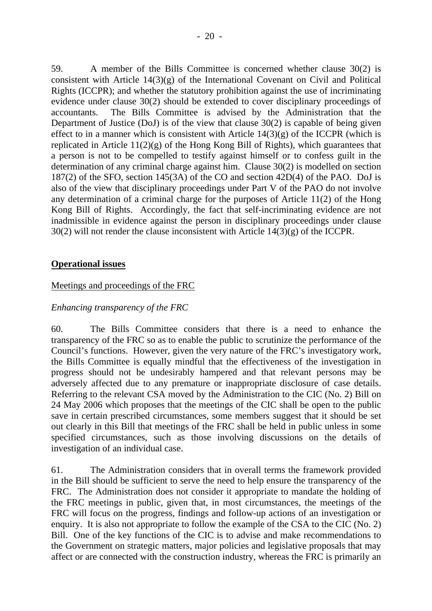59. A member of the Bills Committee is concerned whether clause 30(2) is consistent with Article 14(3)(g) of the International Covenant on Civil and Political Rights (ICCPR); and whether the statutory prohibition against the use of incriminating evidence under clause 30(2) should be extended to cover disciplinary proceedings of accountants. The Bills Committee is advised by the Administration that the Department of Justice (DoJ) is of the view that clause 30(2) is capable of being given effect to in a manner which is consistent with Article  $14(3)(g)$  of the ICCPR (which is replicated in Article 11(2)(g) of the Hong Kong Bill of Rights), which guarantees that a person is not to be compelled to testify against himself or to confess guilt in the determination of any criminal charge against him. Clause 30(2) is modelled on section 187(2) of the SFO, section 145(3A) of the CO and section 42D(4) of the PAO. DoJ is also of the view that disciplinary proceedings under Part V of the PAO do not involve any determination of a criminal charge for the purposes of Article 11(2) of the Hong Kong Bill of Rights. Accordingly, the fact that self-incriminating evidence are not inadmissible in evidence against the person in disciplinary proceedings under clause 30(2) will not render the clause inconsistent with Article 14(3)(g) of the ICCPR.

## **Operational issues**

#### Meetings and proceedings of the FRC

#### *Enhancing transparency of the FRC*

60. The Bills Committee considers that there is a need to enhance the transparency of the FRC so as to enable the public to scrutinize the performance of the Council's functions. However, given the very nature of the FRC's investigatory work, the Bills Committee is equally mindful that the effectiveness of the investigation in progress should not be undesirably hampered and that relevant persons may be adversely affected due to any premature or inappropriate disclosure of case details. Referring to the relevant CSA moved by the Administration to the CIC (No. 2) Bill on 24 May 2006 which proposes that the meetings of the CIC shall be open to the public save in certain prescribed circumstances, some members suggest that it should be set out clearly in this Bill that meetings of the FRC shall be held in public unless in some specified circumstances, such as those involving discussions on the details of investigation of an individual case.

61. The Administration considers that in overall terms the framework provided in the Bill should be sufficient to serve the need to help ensure the transparency of the FRC. The Administration does not consider it appropriate to mandate the holding of the FRC meetings in public, given that, in most circumstances, the meetings of the FRC will focus on the progress, findings and follow-up actions of an investigation or enquiry. It is also not appropriate to follow the example of the CSA to the CIC (No. 2) Bill. One of the key functions of the CIC is to advise and make recommendations to the Government on strategic matters, major policies and legislative proposals that may affect or are connected with the construction industry, whereas the FRC is primarily an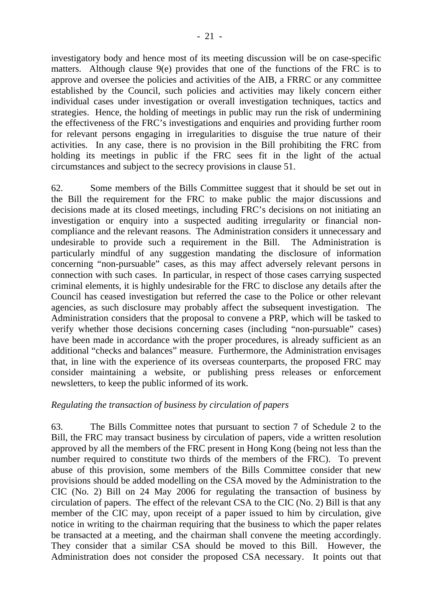investigatory body and hence most of its meeting discussion will be on case-specific matters. Although clause 9(e) provides that one of the functions of the FRC is to approve and oversee the policies and activities of the AIB, a FRRC or any committee established by the Council, such policies and activities may likely concern either individual cases under investigation or overall investigation techniques, tactics and strategies. Hence, the holding of meetings in public may run the risk of undermining the effectiveness of the FRC's investigations and enquiries and providing further room for relevant persons engaging in irregularities to disguise the true nature of their activities. In any case, there is no provision in the Bill prohibiting the FRC from holding its meetings in public if the FRC sees fit in the light of the actual circumstances and subject to the secrecy provisions in clause 51.

62. Some members of the Bills Committee suggest that it should be set out in the Bill the requirement for the FRC to make public the major discussions and decisions made at its closed meetings, including FRC's decisions on not initiating an investigation or enquiry into a suspected auditing irregularity or financial noncompliance and the relevant reasons. The Administration considers it unnecessary and undesirable to provide such a requirement in the Bill. The Administration is particularly mindful of any suggestion mandating the disclosure of information concerning "non-pursuable" cases, as this may affect adversely relevant persons in connection with such cases. In particular, in respect of those cases carrying suspected criminal elements, it is highly undesirable for the FRC to disclose any details after the Council has ceased investigation but referred the case to the Police or other relevant agencies, as such disclosure may probably affect the subsequent investigation. The Administration considers that the proposal to convene a PRP, which will be tasked to verify whether those decisions concerning cases (including "non-pursuable" cases) have been made in accordance with the proper procedures, is already sufficient as an additional "checks and balances" measure. Furthermore, the Administration envisages that, in line with the experience of its overseas counterparts, the proposed FRC may consider maintaining a website, or publishing press releases or enforcement newsletters, to keep the public informed of its work.

## *Regulating the transaction of business by circulation of papers*

63. The Bills Committee notes that pursuant to section 7 of Schedule 2 to the Bill, the FRC may transact business by circulation of papers, vide a written resolution approved by all the members of the FRC present in Hong Kong (being not less than the number required to constitute two thirds of the members of the FRC). To prevent abuse of this provision, some members of the Bills Committee consider that new provisions should be added modelling on the CSA moved by the Administration to the CIC (No. 2) Bill on 24 May 2006 for regulating the transaction of business by circulation of papers. The effect of the relevant CSA to the CIC (No. 2) Bill is that any member of the CIC may, upon receipt of a paper issued to him by circulation, give notice in writing to the chairman requiring that the business to which the paper relates be transacted at a meeting, and the chairman shall convene the meeting accordingly. They consider that a similar CSA should be moved to this Bill. However, the Administration does not consider the proposed CSA necessary. It points out that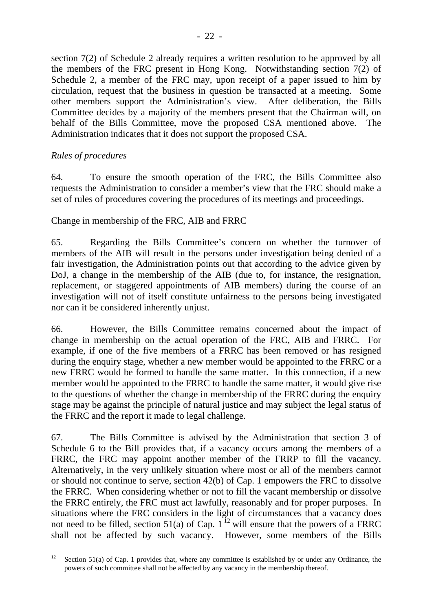section 7(2) of Schedule 2 already requires a written resolution to be approved by all the members of the FRC present in Hong Kong. Notwithstanding section 7(2) of Schedule 2, a member of the FRC may, upon receipt of a paper issued to him by circulation, request that the business in question be transacted at a meeting. Some other members support the Administration's view. After deliberation, the Bills Committee decides by a majority of the members present that the Chairman will, on behalf of the Bills Committee, move the proposed CSA mentioned above. The Administration indicates that it does not support the proposed CSA.

# *Rules of procedures*

64. To ensure the smooth operation of the FRC, the Bills Committee also requests the Administration to consider a member's view that the FRC should make a set of rules of procedures covering the procedures of its meetings and proceedings.

## Change in membership of the FRC, AIB and FRRC

65. Regarding the Bills Committee's concern on whether the turnover of members of the AIB will result in the persons under investigation being denied of a fair investigation, the Administration points out that according to the advice given by DoJ, a change in the membership of the AIB (due to, for instance, the resignation, replacement, or staggered appointments of AIB members) during the course of an investigation will not of itself constitute unfairness to the persons being investigated nor can it be considered inherently unjust.

66. However, the Bills Committee remains concerned about the impact of change in membership on the actual operation of the FRC, AIB and FRRC. For example, if one of the five members of a FRRC has been removed or has resigned during the enquiry stage, whether a new member would be appointed to the FRRC or a new FRRC would be formed to handle the same matter. In this connection, if a new member would be appointed to the FRRC to handle the same matter, it would give rise to the questions of whether the change in membership of the FRRC during the enquiry stage may be against the principle of natural justice and may subject the legal status of the FRRC and the report it made to legal challenge.

67. The Bills Committee is advised by the Administration that section 3 of Schedule 6 to the Bill provides that, if a vacancy occurs among the members of a FRRC, the FRC may appoint another member of the FRRP to fill the vacancy. Alternatively, in the very unlikely situation where most or all of the members cannot or should not continue to serve, section 42(b) of Cap. 1 empowers the FRC to dissolve the FRRC. When considering whether or not to fill the vacant membership or dissolve the FRRC entirely, the FRC must act lawfully, reasonably and for proper purposes. In situations where the FRC considers in the light of circumstances that a vacancy does not need to be filled, section 51(a) of Cap.  $1^{12}$  will ensure that the powers of a FRRC shall not be affected by such vacancy. However, some members of the Bills

 $12$ Section 51(a) of Cap. 1 provides that, where any committee is established by or under any Ordinance, the powers of such committee shall not be affected by any vacancy in the membership thereof.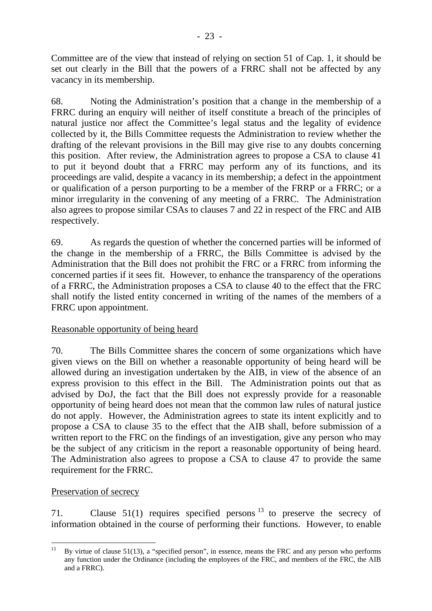Committee are of the view that instead of relying on section 51 of Cap. 1, it should be set out clearly in the Bill that the powers of a FRRC shall not be affected by any vacancy in its membership.

68. Noting the Administration's position that a change in the membership of a FRRC during an enquiry will neither of itself constitute a breach of the principles of natural justice nor affect the Committee's legal status and the legality of evidence collected by it, the Bills Committee requests the Administration to review whether the drafting of the relevant provisions in the Bill may give rise to any doubts concerning this position. After review, the Administration agrees to propose a CSA to clause 41 to put it beyond doubt that a FRRC may perform any of its functions, and its proceedings are valid, despite a vacancy in its membership; a defect in the appointment or qualification of a person purporting to be a member of the FRRP or a FRRC; or a minor irregularity in the convening of any meeting of a FRRC. The Administration also agrees to propose similar CSAs to clauses 7 and 22 in respect of the FRC and AIB respectively.

69. As regards the question of whether the concerned parties will be informed of the change in the membership of a FRRC, the Bills Committee is advised by the Administration that the Bill does not prohibit the FRC or a FRRC from informing the concerned parties if it sees fit. However, to enhance the transparency of the operations of a FRRC, the Administration proposes a CSA to clause 40 to the effect that the FRC shall notify the listed entity concerned in writing of the names of the members of a FRRC upon appointment.

# Reasonable opportunity of being heard

70. The Bills Committee shares the concern of some organizations which have given views on the Bill on whether a reasonable opportunity of being heard will be allowed during an investigation undertaken by the AIB, in view of the absence of an express provision to this effect in the Bill. The Administration points out that as advised by DoJ, the fact that the Bill does not expressly provide for a reasonable opportunity of being heard does not mean that the common law rules of natural justice do not apply. However, the Administration agrees to state its intent explicitly and to propose a CSA to clause 35 to the effect that the AIB shall, before submission of a written report to the FRC on the findings of an investigation, give any person who may be the subject of any criticism in the report a reasonable opportunity of being heard. The Administration also agrees to propose a CSA to clause 47 to provide the same requirement for the FRRC.

## Preservation of secrecy

71. Clause  $51(1)$  requires specified persons  $^{13}$  to preserve the secrecy of information obtained in the course of performing their functions. However, to enable

 $13$ By virtue of clause 51(13), a "specified person", in essence, means the FRC and any person who performs any function under the Ordinance (including the employees of the FRC, and members of the FRC, the AIB and a FRRC).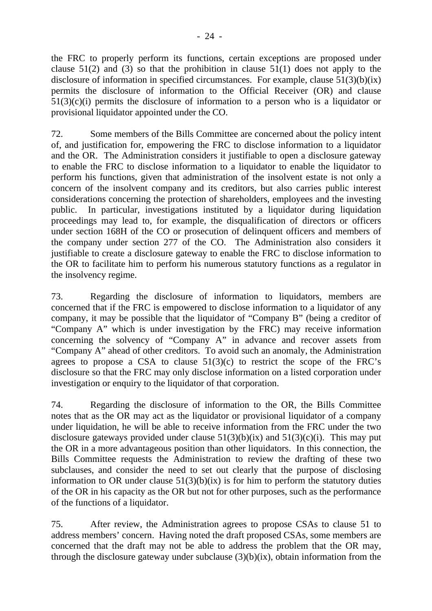the FRC to properly perform its functions, certain exceptions are proposed under clause  $51(2)$  and (3) so that the prohibition in clause  $51(1)$  does not apply to the disclosure of information in specified circumstances. For example, clause 51(3)(b)(ix) permits the disclosure of information to the Official Receiver (OR) and clause  $51(3)(c)(i)$  permits the disclosure of information to a person who is a liquidator or provisional liquidator appointed under the CO.

72. Some members of the Bills Committee are concerned about the policy intent of, and justification for, empowering the FRC to disclose information to a liquidator and the OR. The Administration considers it justifiable to open a disclosure gateway to enable the FRC to disclose information to a liquidator to enable the liquidator to perform his functions, given that administration of the insolvent estate is not only a concern of the insolvent company and its creditors, but also carries public interest considerations concerning the protection of shareholders, employees and the investing public. In particular, investigations instituted by a liquidator during liquidation proceedings may lead to, for example, the disqualification of directors or officers under section 168H of the CO or prosecution of delinquent officers and members of the company under section 277 of the CO. The Administration also considers it justifiable to create a disclosure gateway to enable the FRC to disclose information to the OR to facilitate him to perform his numerous statutory functions as a regulator in the insolvency regime.

73. Regarding the disclosure of information to liquidators, members are concerned that if the FRC is empowered to disclose information to a liquidator of any company, it may be possible that the liquidator of "Company B" (being a creditor of "Company A" which is under investigation by the FRC) may receive information concerning the solvency of "Company A" in advance and recover assets from "Company A" ahead of other creditors. To avoid such an anomaly, the Administration agrees to propose a CSA to clause  $51(3)(c)$  to restrict the scope of the FRC's disclosure so that the FRC may only disclose information on a listed corporation under investigation or enquiry to the liquidator of that corporation.

74. Regarding the disclosure of information to the OR, the Bills Committee notes that as the OR may act as the liquidator or provisional liquidator of a company under liquidation, he will be able to receive information from the FRC under the two disclosure gateways provided under clause  $51(3)(b)(ix)$  and  $51(3)(c)(i)$ . This may put the OR in a more advantageous position than other liquidators. In this connection, the Bills Committee requests the Administration to review the drafting of these two subclauses, and consider the need to set out clearly that the purpose of disclosing information to OR under clause  $51(3)(b)(ix)$  is for him to perform the statutory duties of the OR in his capacity as the OR but not for other purposes, such as the performance of the functions of a liquidator.

75. After review, the Administration agrees to propose CSAs to clause 51 to address members' concern. Having noted the draft proposed CSAs, some members are concerned that the draft may not be able to address the problem that the OR may, through the disclosure gateway under subclause (3)(b)(ix), obtain information from the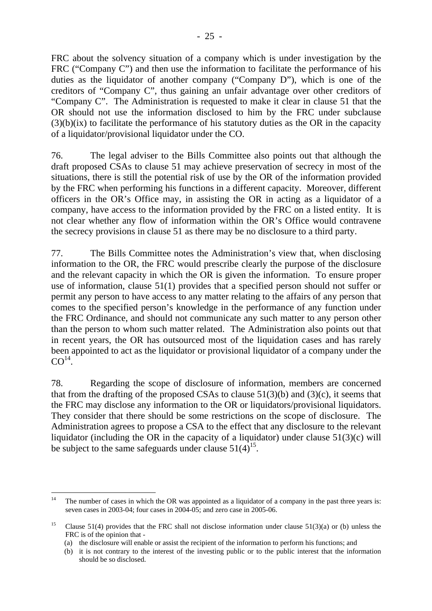FRC about the solvency situation of a company which is under investigation by the FRC ("Company C") and then use the information to facilitate the performance of his duties as the liquidator of another company ("Company D"), which is one of the creditors of "Company C", thus gaining an unfair advantage over other creditors of "Company C". The Administration is requested to make it clear in clause 51 that the OR should not use the information disclosed to him by the FRC under subclause  $(3)(b)(ix)$  to facilitate the performance of his statutory duties as the OR in the capacity of a liquidator/provisional liquidator under the CO.

76. The legal adviser to the Bills Committee also points out that although the draft proposed CSAs to clause 51 may achieve preservation of secrecy in most of the situations, there is still the potential risk of use by the OR of the information provided by the FRC when performing his functions in a different capacity. Moreover, different officers in the OR's Office may, in assisting the OR in acting as a liquidator of a company, have access to the information provided by the FRC on a listed entity. It is not clear whether any flow of information within the OR's Office would contravene the secrecy provisions in clause 51 as there may be no disclosure to a third party.

77. The Bills Committee notes the Administration's view that, when disclosing information to the OR, the FRC would prescribe clearly the purpose of the disclosure and the relevant capacity in which the OR is given the information. To ensure proper use of information, clause 51(1) provides that a specified person should not suffer or permit any person to have access to any matter relating to the affairs of any person that comes to the specified person's knowledge in the performance of any function under the FRC Ordinance, and should not communicate any such matter to any person other than the person to whom such matter related. The Administration also points out that in recent years, the OR has outsourced most of the liquidation cases and has rarely been appointed to act as the liquidator or provisional liquidator of a company under the  $CO<sup>14</sup>$ .

78. Regarding the scope of disclosure of information, members are concerned that from the drafting of the proposed CSAs to clause  $51(3)(b)$  and  $(3)(c)$ , it seems that the FRC may disclose any information to the OR or liquidators/provisional liquidators. They consider that there should be some restrictions on the scope of disclosure. The Administration agrees to propose a CSA to the effect that any disclosure to the relevant liquidator (including the OR in the capacity of a liquidator) under clause  $51(3)(c)$  will be subject to the same safeguards under clause  $51(4)^{15}$ .

 $14$ The number of cases in which the OR was appointed as a liquidator of a company in the past three years is: seven cases in 2003-04; four cases in 2004-05; and zero case in 2005-06.

<sup>&</sup>lt;sup>15</sup> Clause 51(4) provides that the FRC shall not disclose information under clause 51(3)(a) or (b) unless the FRC is of the opinion that -

<sup>(</sup>a) the disclosure will enable or assist the recipient of the information to perform his functions; and

<sup>(</sup>b) it is not contrary to the interest of the investing public or to the public interest that the information should be so disclosed.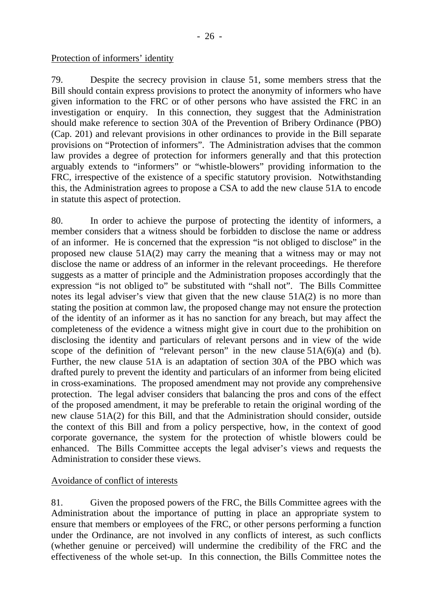#### Protection of informers' identity

79. Despite the secrecy provision in clause 51, some members stress that the Bill should contain express provisions to protect the anonymity of informers who have given information to the FRC or of other persons who have assisted the FRC in an investigation or enquiry. In this connection, they suggest that the Administration should make reference to section 30A of the Prevention of Bribery Ordinance (PBO) (Cap. 201) and relevant provisions in other ordinances to provide in the Bill separate provisions on "Protection of informers". The Administration advises that the common law provides a degree of protection for informers generally and that this protection arguably extends to "informers" or "whistle-blowers" providing information to the FRC, irrespective of the existence of a specific statutory provision. Notwithstanding this, the Administration agrees to propose a CSA to add the new clause 51A to encode in statute this aspect of protection.

80. In order to achieve the purpose of protecting the identity of informers, a member considers that a witness should be forbidden to disclose the name or address of an informer. He is concerned that the expression "is not obliged to disclose" in the proposed new clause 51A(2) may carry the meaning that a witness may or may not disclose the name or address of an informer in the relevant proceedings. He therefore suggests as a matter of principle and the Administration proposes accordingly that the expression "is not obliged to" be substituted with "shall not". The Bills Committee notes its legal adviser's view that given that the new clause 51A(2) is no more than stating the position at common law, the proposed change may not ensure the protection of the identity of an informer as it has no sanction for any breach, but may affect the completeness of the evidence a witness might give in court due to the prohibition on disclosing the identity and particulars of relevant persons and in view of the wide scope of the definition of "relevant person" in the new clause  $51A(6)(a)$  and (b). Further, the new clause 51A is an adaptation of section 30A of the PBO which was drafted purely to prevent the identity and particulars of an informer from being elicited in cross-examinations. The proposed amendment may not provide any comprehensive protection. The legal adviser considers that balancing the pros and cons of the effect of the proposed amendment, it may be preferable to retain the original wording of the new clause 51A(2) for this Bill, and that the Administration should consider, outside the context of this Bill and from a policy perspective, how, in the context of good corporate governance, the system for the protection of whistle blowers could be enhanced. The Bills Committee accepts the legal adviser's views and requests the Administration to consider these views.

## Avoidance of conflict of interests

81. Given the proposed powers of the FRC, the Bills Committee agrees with the Administration about the importance of putting in place an appropriate system to ensure that members or employees of the FRC, or other persons performing a function under the Ordinance, are not involved in any conflicts of interest, as such conflicts (whether genuine or perceived) will undermine the credibility of the FRC and the effectiveness of the whole set-up. In this connection, the Bills Committee notes the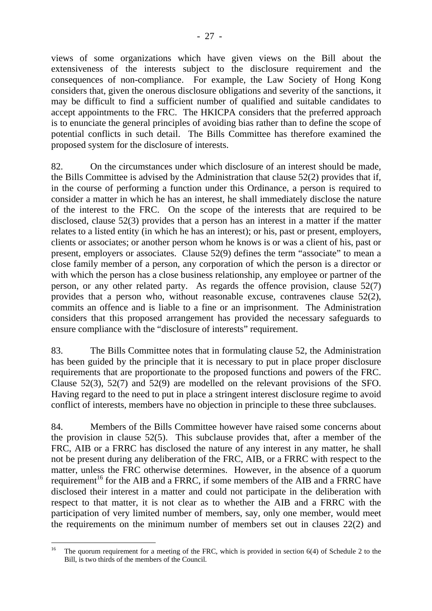- 27 -

views of some organizations which have given views on the Bill about the extensiveness of the interests subject to the disclosure requirement and the consequences of non-compliance. For example, the Law Society of Hong Kong considers that, given the onerous disclosure obligations and severity of the sanctions, it may be difficult to find a sufficient number of qualified and suitable candidates to accept appointments to the FRC. The HKICPA considers that the preferred approach is to enunciate the general principles of avoiding bias rather than to define the scope of potential conflicts in such detail. The Bills Committee has therefore examined the proposed system for the disclosure of interests.

82. On the circumstances under which disclosure of an interest should be made, the Bills Committee is advised by the Administration that clause 52(2) provides that if, in the course of performing a function under this Ordinance, a person is required to consider a matter in which he has an interest, he shall immediately disclose the nature of the interest to the FRC. On the scope of the interests that are required to be disclosed, clause 52(3) provides that a person has an interest in a matter if the matter relates to a listed entity (in which he has an interest); or his, past or present, employers, clients or associates; or another person whom he knows is or was a client of his, past or present, employers or associates. Clause 52(9) defines the term "associate" to mean a close family member of a person, any corporation of which the person is a director or with which the person has a close business relationship, any employee or partner of the person, or any other related party. As regards the offence provision, clause 52(7) provides that a person who, without reasonable excuse, contravenes clause 52(2), commits an offence and is liable to a fine or an imprisonment. The Administration considers that this proposed arrangement has provided the necessary safeguards to ensure compliance with the "disclosure of interests" requirement.

83. The Bills Committee notes that in formulating clause 52, the Administration has been guided by the principle that it is necessary to put in place proper disclosure requirements that are proportionate to the proposed functions and powers of the FRC. Clause 52(3), 52(7) and 52(9) are modelled on the relevant provisions of the SFO. Having regard to the need to put in place a stringent interest disclosure regime to avoid conflict of interests, members have no objection in principle to these three subclauses.

84. Members of the Bills Committee however have raised some concerns about the provision in clause 52(5). This subclause provides that, after a member of the FRC, AIB or a FRRC has disclosed the nature of any interest in any matter, he shall not be present during any deliberation of the FRC, AIB, or a FRRC with respect to the matter, unless the FRC otherwise determines. However, in the absence of a quorum requirement<sup>16</sup> for the AIB and a FRRC, if some members of the AIB and a FRRC have disclosed their interest in a matter and could not participate in the deliberation with respect to that matter, it is not clear as to whether the AIB and a FRRC with the participation of very limited number of members, say, only one member, would meet the requirements on the minimum number of members set out in clauses 22(2) and

 $16\,$ The quorum requirement for a meeting of the FRC, which is provided in section  $6(4)$  of Schedule 2 to the Bill, is two thirds of the members of the Council.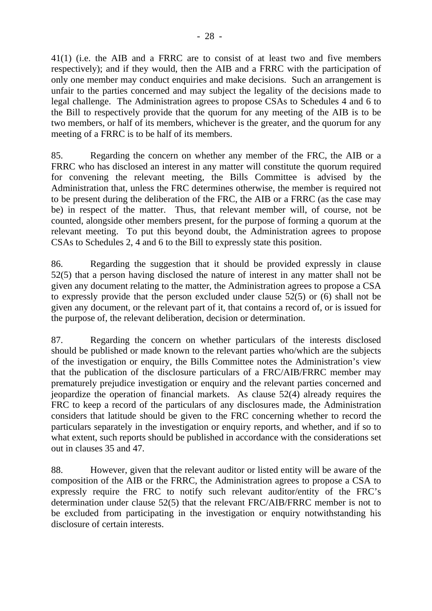41(1) (i.e. the AIB and a FRRC are to consist of at least two and five members respectively); and if they would, then the AIB and a FRRC with the participation of only one member may conduct enquiries and make decisions. Such an arrangement is unfair to the parties concerned and may subject the legality of the decisions made to legal challenge. The Administration agrees to propose CSAs to Schedules 4 and 6 to the Bill to respectively provide that the quorum for any meeting of the AIB is to be two members, or half of its members, whichever is the greater, and the quorum for any meeting of a FRRC is to be half of its members.

85. Regarding the concern on whether any member of the FRC, the AIB or a FRRC who has disclosed an interest in any matter will constitute the quorum required for convening the relevant meeting, the Bills Committee is advised by the Administration that, unless the FRC determines otherwise, the member is required not to be present during the deliberation of the FRC, the AIB or a FRRC (as the case may be) in respect of the matter. Thus, that relevant member will, of course, not be counted, alongside other members present, for the purpose of forming a quorum at the relevant meeting. To put this beyond doubt, the Administration agrees to propose CSAs to Schedules 2, 4 and 6 to the Bill to expressly state this position.

86. Regarding the suggestion that it should be provided expressly in clause 52(5) that a person having disclosed the nature of interest in any matter shall not be given any document relating to the matter, the Administration agrees to propose a CSA to expressly provide that the person excluded under clause 52(5) or (6) shall not be given any document, or the relevant part of it, that contains a record of, or is issued for the purpose of, the relevant deliberation, decision or determination.

87. Regarding the concern on whether particulars of the interests disclosed should be published or made known to the relevant parties who/which are the subjects of the investigation or enquiry, the Bills Committee notes the Administration's view that the publication of the disclosure particulars of a FRC/AIB/FRRC member may prematurely prejudice investigation or enquiry and the relevant parties concerned and jeopardize the operation of financial markets. As clause 52(4) already requires the FRC to keep a record of the particulars of any disclosures made, the Administration considers that latitude should be given to the FRC concerning whether to record the particulars separately in the investigation or enquiry reports, and whether, and if so to what extent, such reports should be published in accordance with the considerations set out in clauses 35 and 47.

88. However, given that the relevant auditor or listed entity will be aware of the composition of the AIB or the FRRC, the Administration agrees to propose a CSA to expressly require the FRC to notify such relevant auditor/entity of the FRC's determination under clause 52(5) that the relevant FRC/AIB/FRRC member is not to be excluded from participating in the investigation or enquiry notwithstanding his disclosure of certain interests.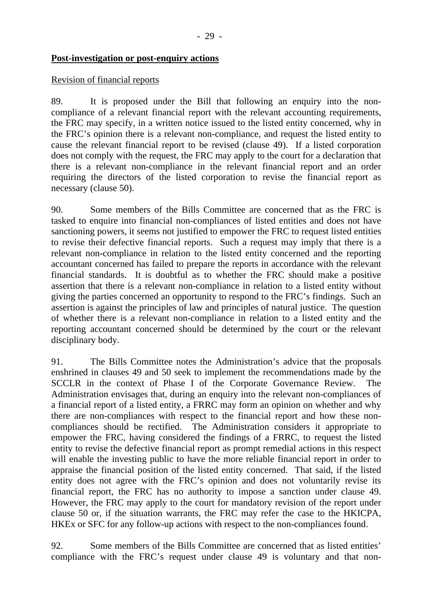#### **Post-investigation or post-enquiry actions**

#### Revision of financial reports

89. It is proposed under the Bill that following an enquiry into the noncompliance of a relevant financial report with the relevant accounting requirements, the FRC may specify, in a written notice issued to the listed entity concerned, why in the FRC's opinion there is a relevant non-compliance, and request the listed entity to cause the relevant financial report to be revised (clause 49). If a listed corporation does not comply with the request, the FRC may apply to the court for a declaration that there is a relevant non-compliance in the relevant financial report and an order requiring the directors of the listed corporation to revise the financial report as necessary (clause 50).

90. Some members of the Bills Committee are concerned that as the FRC is tasked to enquire into financial non-compliances of listed entities and does not have sanctioning powers, it seems not justified to empower the FRC to request listed entities to revise their defective financial reports. Such a request may imply that there is a relevant non-compliance in relation to the listed entity concerned and the reporting accountant concerned has failed to prepare the reports in accordance with the relevant financial standards. It is doubtful as to whether the FRC should make a positive assertion that there is a relevant non-compliance in relation to a listed entity without giving the parties concerned an opportunity to respond to the FRC's findings. Such an assertion is against the principles of law and principles of natural justice. The question of whether there is a relevant non-compliance in relation to a listed entity and the reporting accountant concerned should be determined by the court or the relevant disciplinary body.

91. The Bills Committee notes the Administration's advice that the proposals enshrined in clauses 49 and 50 seek to implement the recommendations made by the SCCLR in the context of Phase I of the Corporate Governance Review. The Administration envisages that, during an enquiry into the relevant non-compliances of a financial report of a listed entity, a FRRC may form an opinion on whether and why there are non-compliances with respect to the financial report and how these noncompliances should be rectified. The Administration considers it appropriate to empower the FRC, having considered the findings of a FRRC, to request the listed entity to revise the defective financial report as prompt remedial actions in this respect will enable the investing public to have the more reliable financial report in order to appraise the financial position of the listed entity concerned. That said, if the listed entity does not agree with the FRC's opinion and does not voluntarily revise its financial report, the FRC has no authority to impose a sanction under clause 49. However, the FRC may apply to the court for mandatory revision of the report under clause 50 or, if the situation warrants, the FRC may refer the case to the HKICPA, HKEx or SFC for any follow-up actions with respect to the non-compliances found.

92. Some members of the Bills Committee are concerned that as listed entities' compliance with the FRC's request under clause 49 is voluntary and that non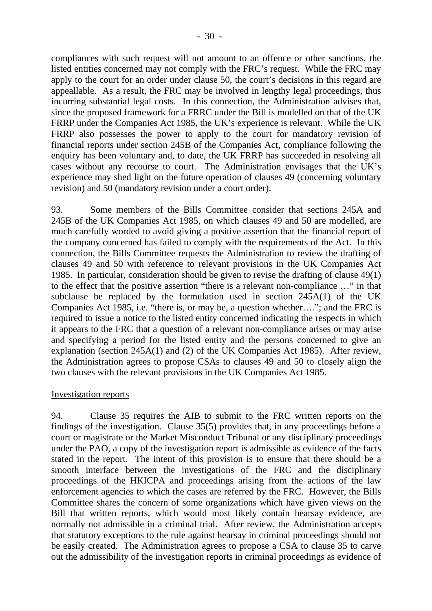compliances with such request will not amount to an offence or other sanctions, the listed entities concerned may not comply with the FRC's request. While the FRC may apply to the court for an order under clause 50, the court's decisions in this regard are appeallable. As a result, the FRC may be involved in lengthy legal proceedings, thus incurring substantial legal costs. In this connection, the Administration advises that, since the proposed framework for a FRRC under the Bill is modelled on that of the UK FRRP under the Companies Act 1985, the UK's experience is relevant. While the UK FRRP also possesses the power to apply to the court for mandatory revision of financial reports under section 245B of the Companies Act, compliance following the enquiry has been voluntary and, to date, the UK FRRP has succeeded in resolving all cases without any recourse to court. The Administration envisages that the UK's experience may shed light on the future operation of clauses 49 (concerning voluntary revision) and 50 (mandatory revision under a court order).

93. Some members of the Bills Committee consider that sections 245A and 245B of the UK Companies Act 1985, on which clauses 49 and 50 are modelled, are much carefully worded to avoid giving a positive assertion that the financial report of the company concerned has failed to comply with the requirements of the Act. In this connection, the Bills Committee requests the Administration to review the drafting of clauses 49 and 50 with reference to relevant provisions in the UK Companies Act 1985. In particular, consideration should be given to revise the drafting of clause 49(1) to the effect that the positive assertion "there is a relevant non-compliance …" in that subclause be replaced by the formulation used in section 245A(1) of the UK Companies Act 1985, i.e. "there is, or may be, a question whether…."; and the FRC is required to issue a notice to the listed entity concerned indicating the respects in which it appears to the FRC that a question of a relevant non-compliance arises or may arise and specifying a period for the listed entity and the persons concerned to give an explanation (section 245A(1) and (2) of the UK Companies Act 1985). After review, the Administration agrees to propose CSAs to clauses 49 and 50 to closely align the two clauses with the relevant provisions in the UK Companies Act 1985.

#### Investigation reports

94. Clause 35 requires the AIB to submit to the FRC written reports on the findings of the investigation. Clause 35(5) provides that, in any proceedings before a court or magistrate or the Market Misconduct Tribunal or any disciplinary proceedings under the PAO, a copy of the investigation report is admissible as evidence of the facts stated in the report. The intent of this provision is to ensure that there should be a smooth interface between the investigations of the FRC and the disciplinary proceedings of the HKICPA and proceedings arising from the actions of the law enforcement agencies to which the cases are referred by the FRC. However, the Bills Committee shares the concern of some organizations which have given views on the Bill that written reports, which would most likely contain hearsay evidence, are normally not admissible in a criminal trial. After review, the Administration accepts that statutory exceptions to the rule against hearsay in criminal proceedings should not be easily created. The Administration agrees to propose a CSA to clause 35 to carve out the admissibility of the investigation reports in criminal proceedings as evidence of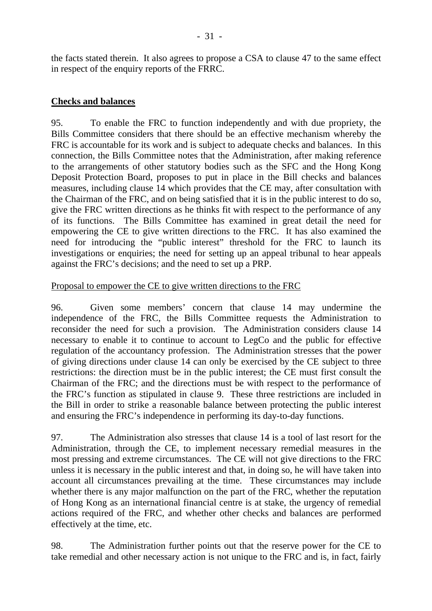# **Checks and balances**

in respect of the enquiry reports of the FRRC.

95. To enable the FRC to function independently and with due propriety, the Bills Committee considers that there should be an effective mechanism whereby the FRC is accountable for its work and is subject to adequate checks and balances. In this connection, the Bills Committee notes that the Administration, after making reference to the arrangements of other statutory bodies such as the SFC and the Hong Kong Deposit Protection Board, proposes to put in place in the Bill checks and balances measures, including clause 14 which provides that the CE may, after consultation with the Chairman of the FRC, and on being satisfied that it is in the public interest to do so, give the FRC written directions as he thinks fit with respect to the performance of any of its functions. The Bills Committee has examined in great detail the need for empowering the CE to give written directions to the FRC. It has also examined the need for introducing the "public interest" threshold for the FRC to launch its investigations or enquiries; the need for setting up an appeal tribunal to hear appeals against the FRC's decisions; and the need to set up a PRP.

## Proposal to empower the CE to give written directions to the FRC

96. Given some members' concern that clause 14 may undermine the independence of the FRC, the Bills Committee requests the Administration to reconsider the need for such a provision. The Administration considers clause 14 necessary to enable it to continue to account to LegCo and the public for effective regulation of the accountancy profession. The Administration stresses that the power of giving directions under clause 14 can only be exercised by the CE subject to three restrictions: the direction must be in the public interest; the CE must first consult the Chairman of the FRC; and the directions must be with respect to the performance of the FRC's function as stipulated in clause 9. These three restrictions are included in the Bill in order to strike a reasonable balance between protecting the public interest and ensuring the FRC's independence in performing its day-to-day functions.

97. The Administration also stresses that clause 14 is a tool of last resort for the Administration, through the CE, to implement necessary remedial measures in the most pressing and extreme circumstances. The CE will not give directions to the FRC unless it is necessary in the public interest and that, in doing so, he will have taken into account all circumstances prevailing at the time. These circumstances may include whether there is any major malfunction on the part of the FRC, whether the reputation of Hong Kong as an international financial centre is at stake, the urgency of remedial actions required of the FRC, and whether other checks and balances are performed effectively at the time, etc.

98. The Administration further points out that the reserve power for the CE to take remedial and other necessary action is not unique to the FRC and is, in fact, fairly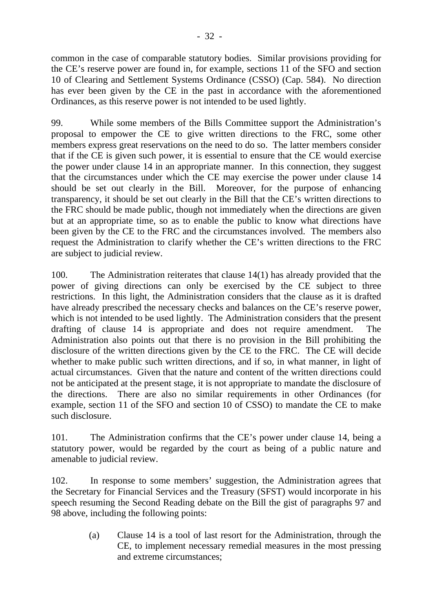common in the case of comparable statutory bodies. Similar provisions providing for the CE's reserve power are found in, for example, sections 11 of the SFO and section 10 of Clearing and Settlement Systems Ordinance (CSSO) (Cap. 584). No direction has ever been given by the CE in the past in accordance with the aforementioned Ordinances, as this reserve power is not intended to be used lightly.

99. While some members of the Bills Committee support the Administration's proposal to empower the CE to give written directions to the FRC, some other members express great reservations on the need to do so. The latter members consider that if the CE is given such power, it is essential to ensure that the CE would exercise the power under clause 14 in an appropriate manner. In this connection, they suggest that the circumstances under which the CE may exercise the power under clause 14 should be set out clearly in the Bill. Moreover, for the purpose of enhancing transparency, it should be set out clearly in the Bill that the CE's written directions to the FRC should be made public, though not immediately when the directions are given but at an appropriate time, so as to enable the public to know what directions have been given by the CE to the FRC and the circumstances involved. The members also request the Administration to clarify whether the CE's written directions to the FRC are subject to judicial review.

100. The Administration reiterates that clause 14(1) has already provided that the power of giving directions can only be exercised by the CE subject to three restrictions. In this light, the Administration considers that the clause as it is drafted have already prescribed the necessary checks and balances on the CE's reserve power, which is not intended to be used lightly. The Administration considers that the present drafting of clause 14 is appropriate and does not require amendment. The Administration also points out that there is no provision in the Bill prohibiting the disclosure of the written directions given by the CE to the FRC. The CE will decide whether to make public such written directions, and if so, in what manner, in light of actual circumstances. Given that the nature and content of the written directions could not be anticipated at the present stage, it is not appropriate to mandate the disclosure of the directions. There are also no similar requirements in other Ordinances (for example, section 11 of the SFO and section 10 of CSSO) to mandate the CE to make such disclosure.

101. The Administration confirms that the CE's power under clause 14, being a statutory power, would be regarded by the court as being of a public nature and amenable to judicial review.

102. In response to some members' suggestion, the Administration agrees that the Secretary for Financial Services and the Treasury (SFST) would incorporate in his speech resuming the Second Reading debate on the Bill the gist of paragraphs 97 and 98 above, including the following points:

> (a) Clause 14 is a tool of last resort for the Administration, through the CE, to implement necessary remedial measures in the most pressing and extreme circumstances;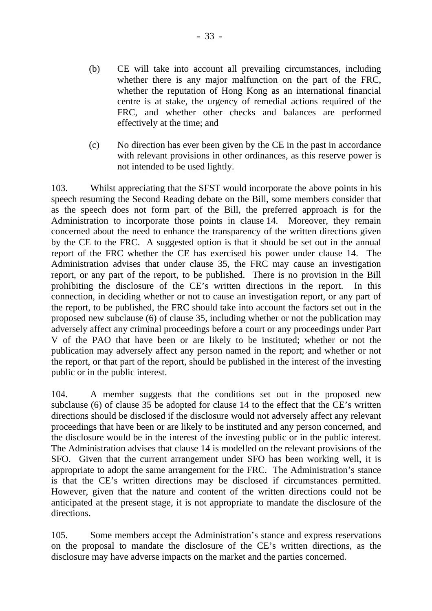- (b) CE will take into account all prevailing circumstances, including whether there is any major malfunction on the part of the FRC, whether the reputation of Hong Kong as an international financial centre is at stake, the urgency of remedial actions required of the FRC, and whether other checks and balances are performed effectively at the time; and
- (c) No direction has ever been given by the CE in the past in accordance with relevant provisions in other ordinances, as this reserve power is not intended to be used lightly.

103. Whilst appreciating that the SFST would incorporate the above points in his speech resuming the Second Reading debate on the Bill, some members consider that as the speech does not form part of the Bill, the preferred approach is for the Administration to incorporate those points in clause 14. Moreover, they remain concerned about the need to enhance the transparency of the written directions given by the CE to the FRC. A suggested option is that it should be set out in the annual report of the FRC whether the CE has exercised his power under clause 14. The Administration advises that under clause 35, the FRC may cause an investigation report, or any part of the report, to be published. There is no provision in the Bill prohibiting the disclosure of the CE's written directions in the report. In this connection, in deciding whether or not to cause an investigation report, or any part of the report, to be published, the FRC should take into account the factors set out in the proposed new subclause (6) of clause 35, including whether or not the publication may adversely affect any criminal proceedings before a court or any proceedings under Part V of the PAO that have been or are likely to be instituted; whether or not the publication may adversely affect any person named in the report; and whether or not the report, or that part of the report, should be published in the interest of the investing public or in the public interest.

104. A member suggests that the conditions set out in the proposed new subclause (6) of clause 35 be adopted for clause 14 to the effect that the CE's written directions should be disclosed if the disclosure would not adversely affect any relevant proceedings that have been or are likely to be instituted and any person concerned, and the disclosure would be in the interest of the investing public or in the public interest. The Administration advises that clause 14 is modelled on the relevant provisions of the SFO. Given that the current arrangement under SFO has been working well, it is appropriate to adopt the same arrangement for the FRC. The Administration's stance is that the CE's written directions may be disclosed if circumstances permitted. However, given that the nature and content of the written directions could not be anticipated at the present stage, it is not appropriate to mandate the disclosure of the directions.

105. Some members accept the Administration's stance and express reservations on the proposal to mandate the disclosure of the CE's written directions, as the disclosure may have adverse impacts on the market and the parties concerned.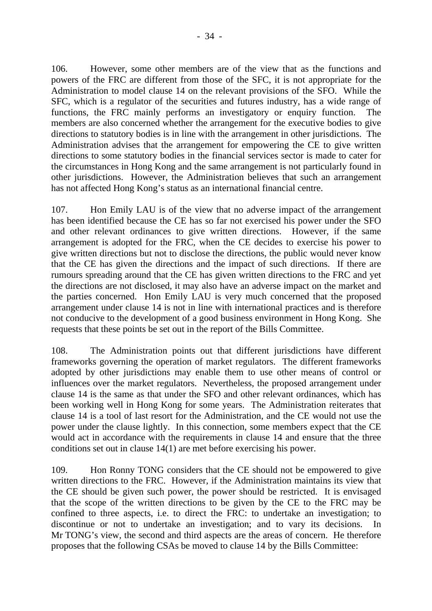106. However, some other members are of the view that as the functions and powers of the FRC are different from those of the SFC, it is not appropriate for the Administration to model clause 14 on the relevant provisions of the SFO. While the SFC, which is a regulator of the securities and futures industry, has a wide range of functions, the FRC mainly performs an investigatory or enquiry function. The members are also concerned whether the arrangement for the executive bodies to give directions to statutory bodies is in line with the arrangement in other jurisdictions. The Administration advises that the arrangement for empowering the CE to give written directions to some statutory bodies in the financial services sector is made to cater for the circumstances in Hong Kong and the same arrangement is not particularly found in other jurisdictions. However, the Administration believes that such an arrangement has not affected Hong Kong's status as an international financial centre.

107. Hon Emily LAU is of the view that no adverse impact of the arrangement has been identified because the CE has so far not exercised his power under the SFO and other relevant ordinances to give written directions. However, if the same arrangement is adopted for the FRC, when the CE decides to exercise his power to give written directions but not to disclose the directions, the public would never know that the CE has given the directions and the impact of such directions. If there are rumours spreading around that the CE has given written directions to the FRC and yet the directions are not disclosed, it may also have an adverse impact on the market and the parties concerned. Hon Emily LAU is very much concerned that the proposed arrangement under clause 14 is not in line with international practices and is therefore not conducive to the development of a good business environment in Hong Kong. She requests that these points be set out in the report of the Bills Committee.

108. The Administration points out that different jurisdictions have different frameworks governing the operation of market regulators. The different frameworks adopted by other jurisdictions may enable them to use other means of control or influences over the market regulators. Nevertheless, the proposed arrangement under clause 14 is the same as that under the SFO and other relevant ordinances, which has been working well in Hong Kong for some years. The Administration reiterates that clause 14 is a tool of last resort for the Administration, and the CE would not use the power under the clause lightly. In this connection, some members expect that the CE would act in accordance with the requirements in clause 14 and ensure that the three conditions set out in clause 14(1) are met before exercising his power.

109. Hon Ronny TONG considers that the CE should not be empowered to give written directions to the FRC. However, if the Administration maintains its view that the CE should be given such power, the power should be restricted. It is envisaged that the scope of the written directions to be given by the CE to the FRC may be confined to three aspects, i.e. to direct the FRC: to undertake an investigation; to discontinue or not to undertake an investigation; and to vary its decisions. In Mr TONG's view, the second and third aspects are the areas of concern. He therefore proposes that the following CSAs be moved to clause 14 by the Bills Committee: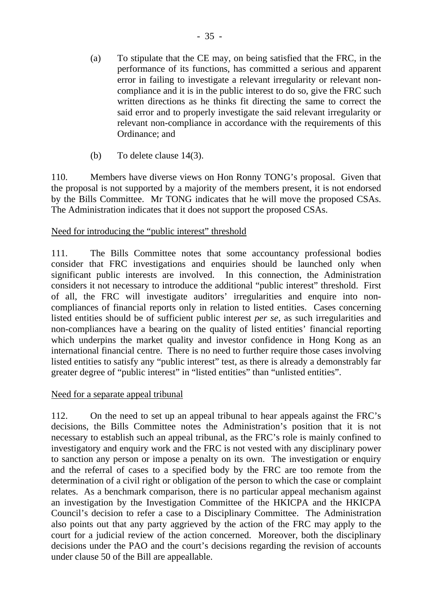- (a) To stipulate that the CE may, on being satisfied that the FRC, in the performance of its functions, has committed a serious and apparent error in failing to investigate a relevant irregularity or relevant noncompliance and it is in the public interest to do so, give the FRC such written directions as he thinks fit directing the same to correct the said error and to properly investigate the said relevant irregularity or relevant non-compliance in accordance with the requirements of this Ordinance; and
- (b) To delete clause 14(3).

110. Members have diverse views on Hon Ronny TONG's proposal. Given that the proposal is not supported by a majority of the members present, it is not endorsed by the Bills Committee. Mr TONG indicates that he will move the proposed CSAs. The Administration indicates that it does not support the proposed CSAs.

# Need for introducing the "public interest" threshold

111. The Bills Committee notes that some accountancy professional bodies consider that FRC investigations and enquiries should be launched only when significant public interests are involved. In this connection, the Administration considers it not necessary to introduce the additional "public interest" threshold. First of all, the FRC will investigate auditors' irregularities and enquire into noncompliances of financial reports only in relation to listed entities. Cases concerning listed entities should be of sufficient public interest *per se*, as such irregularities and non-compliances have a bearing on the quality of listed entities' financial reporting which underpins the market quality and investor confidence in Hong Kong as an international financial centre. There is no need to further require those cases involving listed entities to satisfy any "public interest" test, as there is already a demonstrably far greater degree of "public interest" in "listed entities" than "unlisted entities".

## Need for a separate appeal tribunal

112. On the need to set up an appeal tribunal to hear appeals against the FRC's decisions, the Bills Committee notes the Administration's position that it is not necessary to establish such an appeal tribunal, as the FRC's role is mainly confined to investigatory and enquiry work and the FRC is not vested with any disciplinary power to sanction any person or impose a penalty on its own. The investigation or enquiry and the referral of cases to a specified body by the FRC are too remote from the determination of a civil right or obligation of the person to which the case or complaint relates. As a benchmark comparison, there is no particular appeal mechanism against an investigation by the Investigation Committee of the HKICPA and the HKICPA Council's decision to refer a case to a Disciplinary Committee. The Administration also points out that any party aggrieved by the action of the FRC may apply to the court for a judicial review of the action concerned. Moreover, both the disciplinary decisions under the PAO and the court's decisions regarding the revision of accounts under clause 50 of the Bill are appeallable.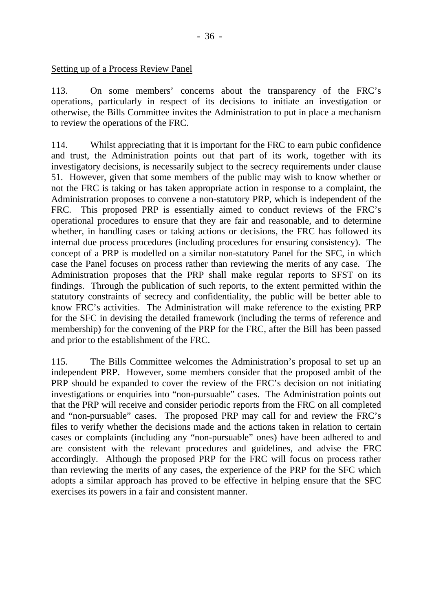#### Setting up of a Process Review Panel

113. On some members' concerns about the transparency of the FRC's operations, particularly in respect of its decisions to initiate an investigation or otherwise, the Bills Committee invites the Administration to put in place a mechanism to review the operations of the FRC.

114. Whilst appreciating that it is important for the FRC to earn pubic confidence and trust, the Administration points out that part of its work, together with its investigatory decisions, is necessarily subject to the secrecy requirements under clause 51. However, given that some members of the public may wish to know whether or not the FRC is taking or has taken appropriate action in response to a complaint, the Administration proposes to convene a non-statutory PRP, which is independent of the FRC. This proposed PRP is essentially aimed to conduct reviews of the FRC's operational procedures to ensure that they are fair and reasonable, and to determine whether, in handling cases or taking actions or decisions, the FRC has followed its internal due process procedures (including procedures for ensuring consistency). The concept of a PRP is modelled on a similar non-statutory Panel for the SFC, in which case the Panel focuses on process rather than reviewing the merits of any case. The Administration proposes that the PRP shall make regular reports to SFST on its findings. Through the publication of such reports, to the extent permitted within the statutory constraints of secrecy and confidentiality, the public will be better able to know FRC's activities. The Administration will make reference to the existing PRP for the SFC in devising the detailed framework (including the terms of reference and membership) for the convening of the PRP for the FRC, after the Bill has been passed and prior to the establishment of the FRC.

115. The Bills Committee welcomes the Administration's proposal to set up an independent PRP. However, some members consider that the proposed ambit of the PRP should be expanded to cover the review of the FRC's decision on not initiating investigations or enquiries into "non-pursuable" cases. The Administration points out that the PRP will receive and consider periodic reports from the FRC on all completed and "non-pursuable" cases. The proposed PRP may call for and review the FRC's files to verify whether the decisions made and the actions taken in relation to certain cases or complaints (including any "non-pursuable" ones) have been adhered to and are consistent with the relevant procedures and guidelines, and advise the FRC accordingly. Although the proposed PRP for the FRC will focus on process rather than reviewing the merits of any cases, the experience of the PRP for the SFC which adopts a similar approach has proved to be effective in helping ensure that the SFC exercises its powers in a fair and consistent manner.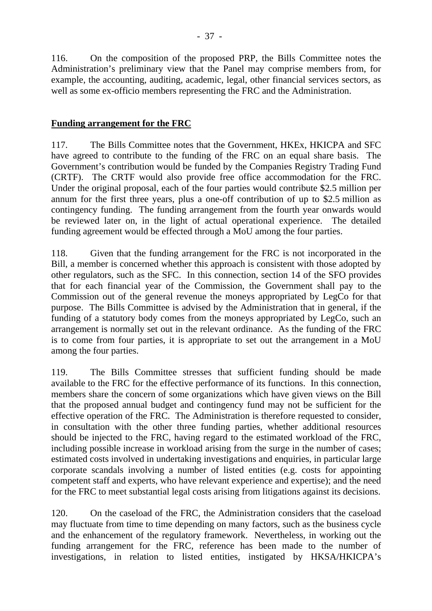116. On the composition of the proposed PRP, the Bills Committee notes the Administration's preliminary view that the Panel may comprise members from, for example, the accounting, auditing, academic, legal, other financial services sectors, as well as some ex-officio members representing the FRC and the Administration.

### **Funding arrangement for the FRC**

117. The Bills Committee notes that the Government, HKEx, HKICPA and SFC have agreed to contribute to the funding of the FRC on an equal share basis. The Government's contribution would be funded by the Companies Registry Trading Fund (CRTF). The CRTF would also provide free office accommodation for the FRC. Under the original proposal, each of the four parties would contribute \$2.5 million per annum for the first three years, plus a one-off contribution of up to \$2.5 million as contingency funding. The funding arrangement from the fourth year onwards would be reviewed later on, in the light of actual operational experience. The detailed funding agreement would be effected through a MoU among the four parties.

118. Given that the funding arrangement for the FRC is not incorporated in the Bill, a member is concerned whether this approach is consistent with those adopted by other regulators, such as the SFC. In this connection, section 14 of the SFO provides that for each financial year of the Commission, the Government shall pay to the Commission out of the general revenue the moneys appropriated by LegCo for that purpose. The Bills Committee is advised by the Administration that in general, if the funding of a statutory body comes from the moneys appropriated by LegCo, such an arrangement is normally set out in the relevant ordinance. As the funding of the FRC is to come from four parties, it is appropriate to set out the arrangement in a MoU among the four parties.

119. The Bills Committee stresses that sufficient funding should be made available to the FRC for the effective performance of its functions. In this connection, members share the concern of some organizations which have given views on the Bill that the proposed annual budget and contingency fund may not be sufficient for the effective operation of the FRC. The Administration is therefore requested to consider, in consultation with the other three funding parties, whether additional resources should be injected to the FRC, having regard to the estimated workload of the FRC, including possible increase in workload arising from the surge in the number of cases; estimated costs involved in undertaking investigations and enquiries, in particular large corporate scandals involving a number of listed entities (e.g. costs for appointing competent staff and experts, who have relevant experience and expertise); and the need for the FRC to meet substantial legal costs arising from litigations against its decisions.

120. On the caseload of the FRC, the Administration considers that the caseload may fluctuate from time to time depending on many factors, such as the business cycle and the enhancement of the regulatory framework. Nevertheless, in working out the funding arrangement for the FRC, reference has been made to the number of investigations, in relation to listed entities, instigated by HKSA/HKICPA's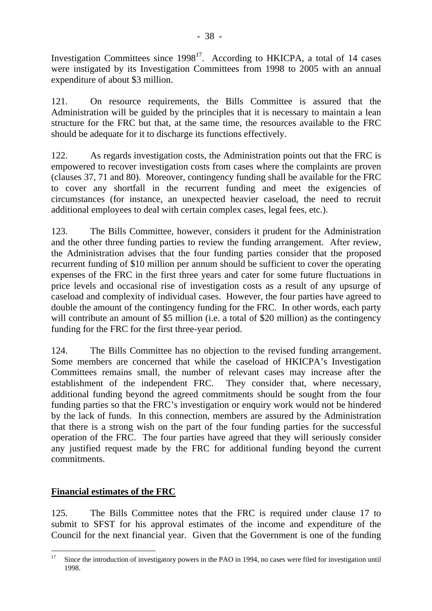Investigation Committees since  $1998^{17}$ . According to HKICPA, a total of 14 cases were instigated by its Investigation Committees from 1998 to 2005 with an annual expenditure of about \$3 million.

121. On resource requirements, the Bills Committee is assured that the Administration will be guided by the principles that it is necessary to maintain a lean structure for the FRC but that, at the same time, the resources available to the FRC should be adequate for it to discharge its functions effectively.

122. As regards investigation costs, the Administration points out that the FRC is empowered to recover investigation costs from cases where the complaints are proven (clauses 37, 71 and 80). Moreover, contingency funding shall be available for the FRC to cover any shortfall in the recurrent funding and meet the exigencies of circumstances (for instance, an unexpected heavier caseload, the need to recruit additional employees to deal with certain complex cases, legal fees, etc.).

123. The Bills Committee, however, considers it prudent for the Administration and the other three funding parties to review the funding arrangement. After review, the Administration advises that the four funding parties consider that the proposed recurrent funding of \$10 million per annum should be sufficient to cover the operating expenses of the FRC in the first three years and cater for some future fluctuations in price levels and occasional rise of investigation costs as a result of any upsurge of caseload and complexity of individual cases. However, the four parties have agreed to double the amount of the contingency funding for the FRC. In other words, each party will contribute an amount of \$5 million (i.e. a total of \$20 million) as the contingency funding for the FRC for the first three-year period.

124. The Bills Committee has no objection to the revised funding arrangement. Some members are concerned that while the caseload of HKICPA's Investigation Committees remains small, the number of relevant cases may increase after the establishment of the independent FRC. They consider that, where necessary, additional funding beyond the agreed commitments should be sought from the four funding parties so that the FRC's investigation or enquiry work would not be hindered by the lack of funds. In this connection, members are assured by the Administration that there is a strong wish on the part of the four funding parties for the successful operation of the FRC. The four parties have agreed that they will seriously consider any justified request made by the FRC for additional funding beyond the current commitments.

## **Financial estimates of the FRC**

125. The Bills Committee notes that the FRC is required under clause 17 to submit to SFST for his approval estimates of the income and expenditure of the Council for the next financial year. Given that the Government is one of the funding

 $17$ Since the introduction of investigatory powers in the PAO in 1994, no cases were filed for investigation until 1998.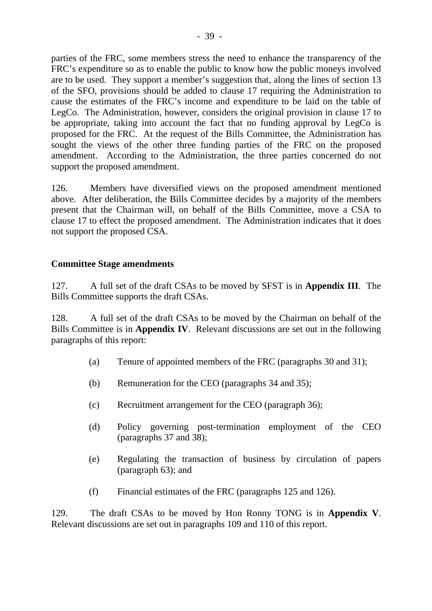parties of the FRC, some members stress the need to enhance the transparency of the FRC's expenditure so as to enable the public to know how the public moneys involved are to be used. They support a member's suggestion that, along the lines of section 13 of the SFO, provisions should be added to clause 17 requiring the Administration to cause the estimates of the FRC's income and expenditure to be laid on the table of LegCo. The Administration, however, considers the original provision in clause 17 to be appropriate, taking into account the fact that no funding approval by LegCo is proposed for the FRC. At the request of the Bills Committee, the Administration has sought the views of the other three funding parties of the FRC on the proposed amendment. According to the Administration, the three parties concerned do not support the proposed amendment.

126. Members have diversified views on the proposed amendment mentioned above. After deliberation, the Bills Committee decides by a majority of the members present that the Chairman will, on behalf of the Bills Committee, move a CSA to clause 17 to effect the proposed amendment. The Administration indicates that it does not support the proposed CSA.

## **Committee Stage amendments**

127. A full set of the draft CSAs to be moved by SFST is in **Appendix III**. The Bills Committee supports the draft CSAs.

128. A full set of the draft CSAs to be moved by the Chairman on behalf of the Bills Committee is in **Appendix IV**. Relevant discussions are set out in the following paragraphs of this report:

- (a) Tenure of appointed members of the FRC (paragraphs 30 and 31);
- (b) Remuneration for the CEO (paragraphs 34 and 35);
- (c) Recruitment arrangement for the CEO (paragraph 36);
- (d) Policy governing post-termination employment of the CEO (paragraphs 37 and 38);
- (e) Regulating the transaction of business by circulation of papers (paragraph 63); and
- (f) Financial estimates of the FRC (paragraphs 125 and 126).

129. The draft CSAs to be moved by Hon Ronny TONG is in **Appendix V**. Relevant discussions are set out in paragraphs 109 and 110 of this report.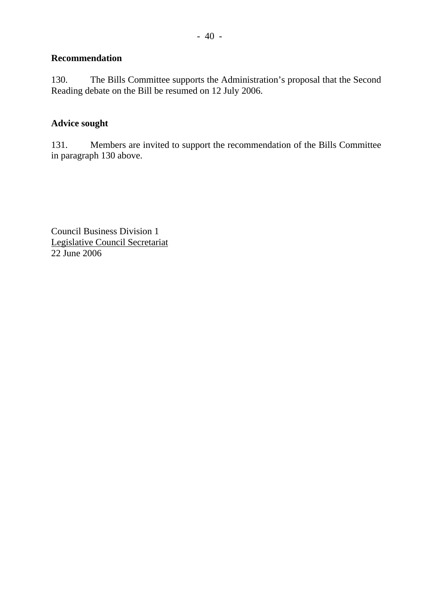## **Recommendation**

130. The Bills Committee supports the Administration's proposal that the Second Reading debate on the Bill be resumed on 12 July 2006.

## **Advice sought**

131. Members are invited to support the recommendation of the Bills Committee in paragraph 130 above.

Council Business Division 1 Legislative Council Secretariat 22 June 2006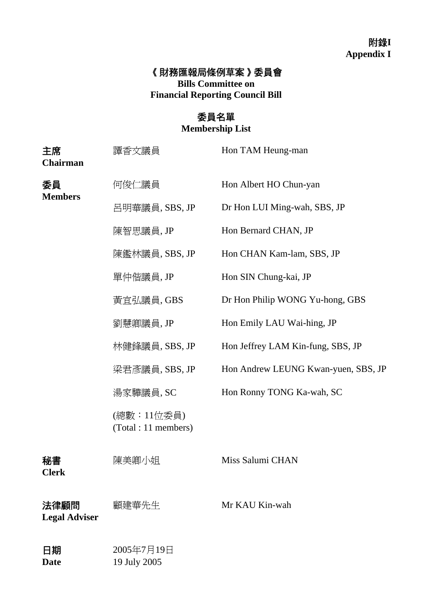## 附錄**I Appendix I**

## 《財務匯報局條例草案》委員會

**Bills Committee on Financial Reporting Council Bill** 

## 委員名單

**Membership List** 

| 主席<br><b>Chairman</b>        | 譚香文議員                              | Hon TAM Heung-man                   |
|------------------------------|------------------------------------|-------------------------------------|
| 委員<br><b>Members</b>         | 何俊仁議員                              | Hon Albert HO Chun-yan              |
|                              | 呂明華議員, SBS, JP                     | Dr Hon LUI Ming-wah, SBS, JP        |
|                              | 陳智思議員,JP                           | Hon Bernard CHAN, JP                |
|                              | 陳鑑林議員,SBS,JP                       | Hon CHAN Kam-lam, SBS, JP           |
|                              | 單仲偕議員,JP                           | Hon SIN Chung-kai, JP               |
|                              | 黃宜弘議員, GBS                         | Dr Hon Philip WONG Yu-hong, GBS     |
|                              | 劉慧卿議員,JP                           | Hon Emily LAU Wai-hing, JP          |
|                              | 林健鋒議員, SBS, JP                     | Hon Jeffrey LAM Kin-fung, SBS, JP   |
|                              | 梁君彥議員, SBS, JP                     | Hon Andrew LEUNG Kwan-yuen, SBS, JP |
|                              | 湯家驊議員, SC                          | Hon Ronny TONG Ka-wah, SC           |
|                              | (總數:11位委員)<br>(Total : 11 members) |                                     |
| 秘書<br><b>Clerk</b>           | 陳美卿小姐                              | Miss Salumi CHAN                    |
| 法律顧問<br><b>Legal Adviser</b> | 顧建華先生                              | Mr KAU Kin-wah                      |
| 日期<br><b>Date</b>            | 2005年7月19日<br>19 July 2005         |                                     |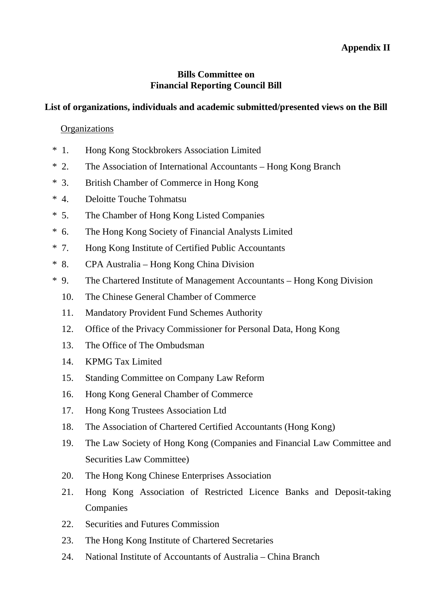## **Appendix II**

### **Bills Committee on Financial Reporting Council Bill**

## **List of organizations, individuals and academic submitted/presented views on the Bill**

#### **Organizations**

- \* 1. Hong Kong Stockbrokers Association Limited
- \* 2. The Association of International Accountants Hong Kong Branch
- \* 3. British Chamber of Commerce in Hong Kong
- \* 4. Deloitte Touche Tohmatsu
- \* 5. The Chamber of Hong Kong Listed Companies
- \* 6. The Hong Kong Society of Financial Analysts Limited
- \* 7. Hong Kong Institute of Certified Public Accountants
- \* 8. CPA Australia Hong Kong China Division
- \* 9. The Chartered Institute of Management Accountants Hong Kong Division
	- 10. The Chinese General Chamber of Commerce
	- 11. Mandatory Provident Fund Schemes Authority
	- 12. Office of the Privacy Commissioner for Personal Data, Hong Kong
	- 13. The Office of The Ombudsman
	- 14. KPMG Tax Limited
	- 15. Standing Committee on Company Law Reform
	- 16. Hong Kong General Chamber of Commerce
	- 17. Hong Kong Trustees Association Ltd
	- 18. The Association of Chartered Certified Accountants (Hong Kong)
	- 19. The Law Society of Hong Kong (Companies and Financial Law Committee and Securities Law Committee)
	- 20. The Hong Kong Chinese Enterprises Association
	- 21. Hong Kong Association of Restricted Licence Banks and Deposit-taking Companies
	- 22. Securities and Futures Commission
	- 23. The Hong Kong Institute of Chartered Secretaries
	- 24. National Institute of Accountants of Australia China Branch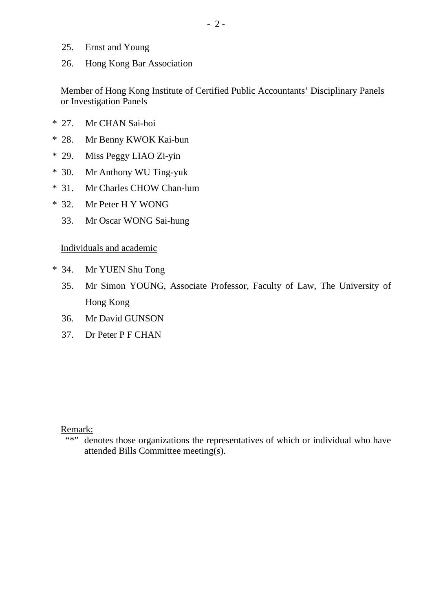- 25. Ernst and Young
- 26. Hong Kong Bar Association

## Member of Hong Kong Institute of Certified Public Accountants' Disciplinary Panels or Investigation Panels

- \* 27. Mr CHAN Sai-hoi
- \* 28. Mr Benny KWOK Kai-bun
- \* 29. Miss Peggy LIAO Zi-yin
- \* 30. Mr Anthony WU Ting-yuk
- \* 31. Mr Charles CHOW Chan-lum
- \* 32. Mr Peter H Y WONG
	- 33. Mr Oscar WONG Sai-hung

## Individuals and academic

- \* 34. Mr YUEN Shu Tong
	- 35. Mr Simon YOUNG, Associate Professor, Faculty of Law, The University of Hong Kong
	- 36. Mr David GUNSON
	- 37. Dr Peter P F CHAN

Remark:

"\*" denotes those organizations the representatives of which or individual who have attended Bills Committee meeting(s).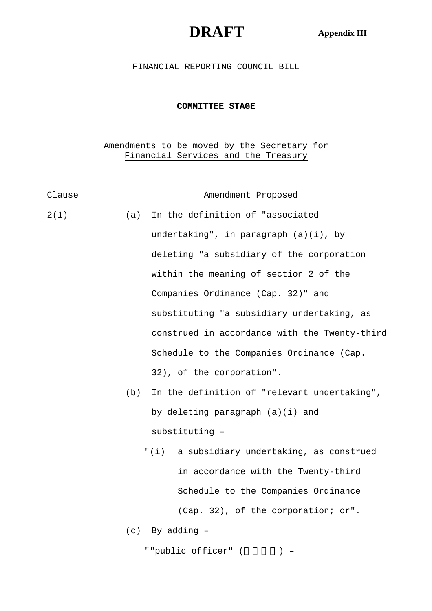# **DRAFT Appendix III**

 $\mathbb{R}^2$ 

#### FINANCIAL REPORTING COUNCIL BILL

#### **COMMITTEE STAGE**

#### Amendments to be moved by the Secretary for Financial Services and the Treasury

| Clause |     | Amendment Proposed                                |  |
|--------|-----|---------------------------------------------------|--|
| 2(1)   | (a) | In the definition of "associated                  |  |
|        |     | undertaking", in paragraph (a)(i), by             |  |
|        |     | deleting "a subsidiary of the corporation         |  |
|        |     | within the meaning of section 2 of the            |  |
|        |     | Companies Ordinance (Cap. 32)" and                |  |
|        |     | substituting "a subsidiary undertaking, as        |  |
|        |     | construed in accordance with the Twenty-third     |  |
|        |     | Schedule to the Companies Ordinance (Cap.         |  |
|        |     | 32), of the corporation".                         |  |
|        | (b) | In the definition of "relevant undertaking",      |  |
|        |     | by deleting paragraph (a)(i) and                  |  |
|        |     | substituting -                                    |  |
|        |     | " ( i )<br>a subsidiary undertaking, as construed |  |
|        |     | in accordance with the Twenty-third               |  |
|        |     | Schedule to the Companies Ordinance               |  |
|        |     | (Cap. 32), of the corporation; or".               |  |
|        |     | $(c)$ By adding $-$                               |  |
|        |     | ""public officer" ( ) -                           |  |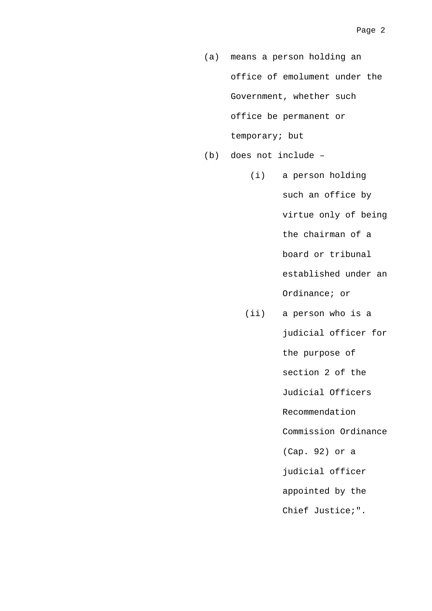- (a) means a person holding an office of emolument under the Government, whether such office be permanent or temporary; but
- (b) does not include
	- (i) a person holding such an office by virtue only of being the chairman of a board or tribunal established under an Ordinance; or
	- (ii) a person who is a judicial officer for the purpose of section 2 of the Judicial Officers Recommendation Commission Ordinance (Cap. 92) or a judicial officer appointed by the Chief Justice;".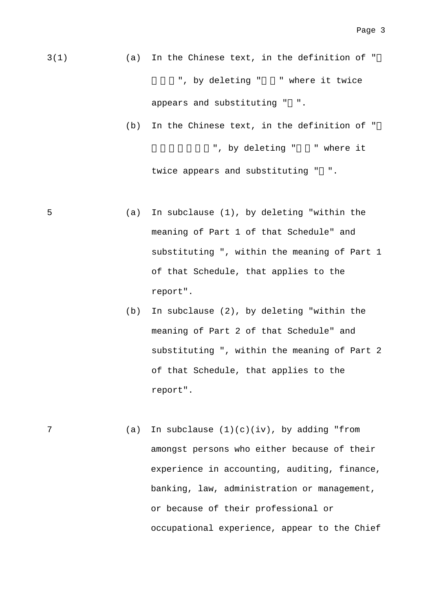- 3(1) (a) In the Chinese text, in the definition of " ", by deleting " " where it twice appears and substituting " ".
	- (b) In the Chinese text, in the definition of " ", by deleting " " where it twice appears and substituting " ".
- 5 (a) In subclause (1), by deleting "within the meaning of Part 1 of that Schedule" and substituting ", within the meaning of Part 1 of that Schedule, that applies to the report".
	- (b) In subclause (2), by deleting "within the meaning of Part 2 of that Schedule" and substituting ", within the meaning of Part 2 of that Schedule, that applies to the report".
- 7 (a) In subclause (1)(c)(iv), by adding "from amongst persons who either because of their experience in accounting, auditing, finance, banking, law, administration or management, or because of their professional or occupational experience, appear to the Chief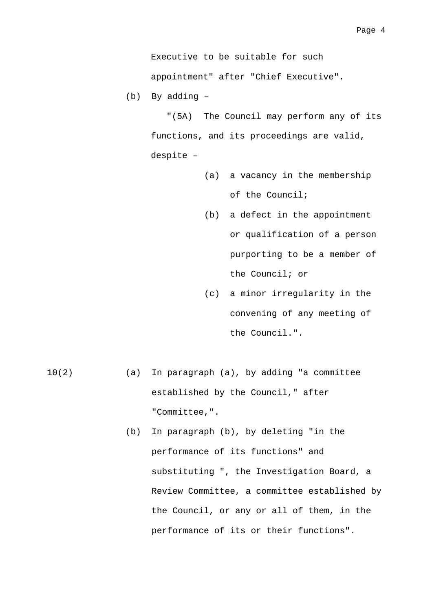Executive to be suitable for such appointment" after "Chief Executive".

(b) By adding –

 "(5A) The Council may perform any of its functions, and its proceedings are valid, despite –

- (a) a vacancy in the membership of the Council;
- (b) a defect in the appointment or qualification of a person purporting to be a member of the Council; or
- (c) a minor irregularity in the convening of any meeting of the Council.".
- 10(2) (a) In paragraph (a), by adding "a committee established by the Council," after "Committee,".
	- (b) In paragraph (b), by deleting "in the performance of its functions" and substituting ", the Investigation Board, a Review Committee, a committee established by the Council, or any or all of them, in the performance of its or their functions".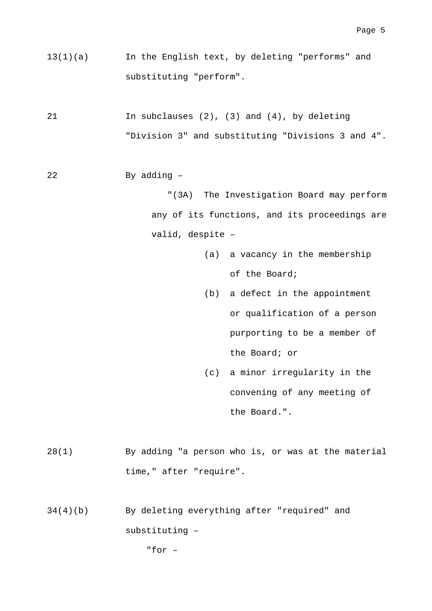- 13(1)(a) In the English text, by deleting "performs" and substituting "perform".
- 21 In subclauses (2), (3) and (4), by deleting "Division 3" and substituting "Divisions 3 and 4".
- 22 By adding –

 "(3A) The Investigation Board may perform any of its functions, and its proceedings are valid, despite –

- (a) a vacancy in the membership of the Board;
- (b) a defect in the appointment or qualification of a person purporting to be a member of the Board; or
- (c) a minor irregularity in the convening of any meeting of the Board.".
- 28(1) By adding "a person who is, or was at the material time," after "require".
- 34(4)(b) By deleting everything after "required" and substituting –

"for –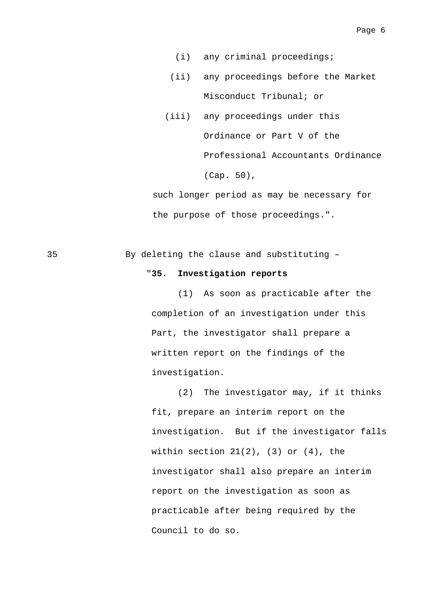- (i) any criminal proceedings;
- (ii) any proceedings before the Market Misconduct Tribunal; or
- (iii) any proceedings under this Ordinance or Part V of the Professional Accountants Ordinance (Cap. 50),

 such longer period as may be necessary for the purpose of those proceedings.".

#### 35 By deleting the clause and substituting –

#### "**35. Investigation reports**

 (1) As soon as practicable after the completion of an investigation under this Part, the investigator shall prepare a written report on the findings of the investigation.

 (2) The investigator may, if it thinks fit, prepare an interim report on the investigation. But if the investigator falls within section  $21(2)$ ,  $(3)$  or  $(4)$ , the investigator shall also prepare an interim report on the investigation as soon as practicable after being required by the Council to do so.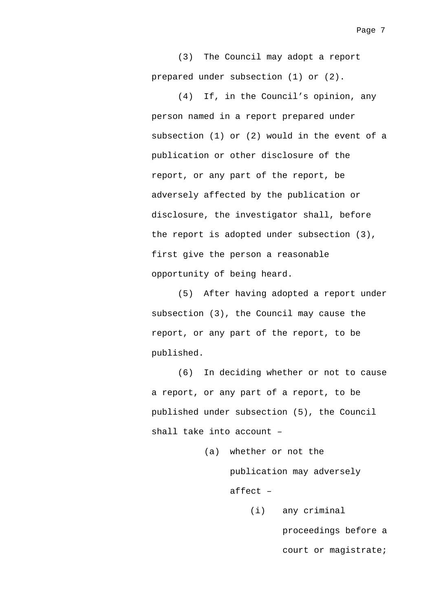(3) The Council may adopt a report prepared under subsection (1) or (2).

 (4) If, in the Council's opinion, any person named in a report prepared under subsection (1) or (2) would in the event of a publication or other disclosure of the report, or any part of the report, be adversely affected by the publication or disclosure, the investigator shall, before the report is adopted under subsection (3), first give the person a reasonable opportunity of being heard.

 (5) After having adopted a report under subsection (3), the Council may cause the report, or any part of the report, to be published.

 (6) In deciding whether or not to cause a report, or any part of a report, to be published under subsection (5), the Council shall take into account –

> (a) whether or not the publication may adversely affect –

> > (i) any criminal

proceedings before a court or magistrate;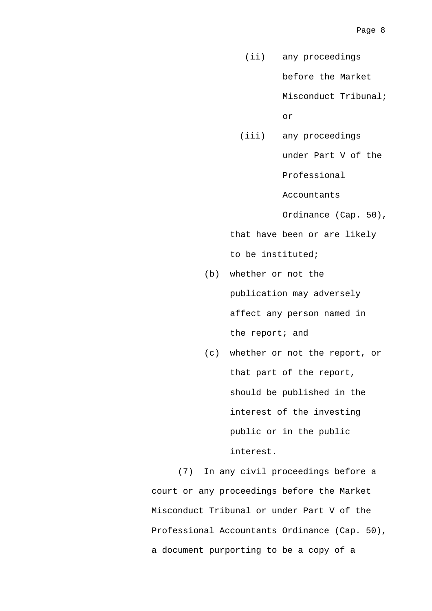(ii) any proceedings

before the Market

Misconduct Tribunal;

or

 (iii) any proceedings under Part V of the

Professional

Accountants

Ordinance (Cap. 50),

 that have been or are likely to be instituted;

- (b) whether or not the publication may adversely affect any person named in the report; and
- (c) whether or not the report, or that part of the report, should be published in the interest of the investing public or in the public interest.

 (7) In any civil proceedings before a court or any proceedings before the Market Misconduct Tribunal or under Part V of the Professional Accountants Ordinance (Cap. 50), a document purporting to be a copy of a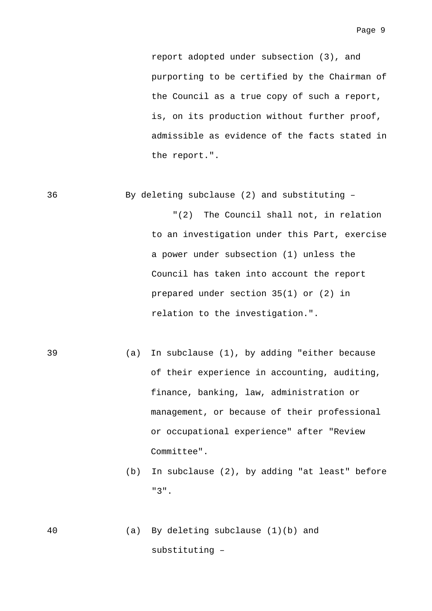report adopted under subsection (3), and purporting to be certified by the Chairman of the Council as a true copy of such a report, is, on its production without further proof, admissible as evidence of the facts stated in the report.".

36 By deleting subclause (2) and substituting –

 "(2) The Council shall not, in relation to an investigation under this Part, exercise a power under subsection (1) unless the Council has taken into account the report prepared under section 35(1) or (2) in relation to the investigation.".

- 39 (a) In subclause (1), by adding "either because of their experience in accounting, auditing, finance, banking, law, administration or management, or because of their professional or occupational experience" after "Review Committee".
	- (b) In subclause (2), by adding "at least" before "3".
- 40 (a) By deleting subclause (1)(b) and substituting –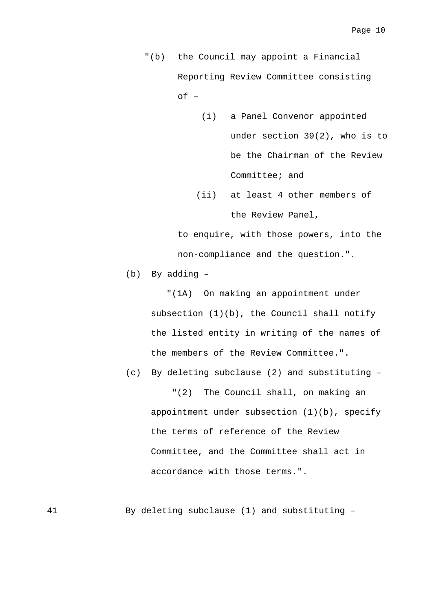"(b) the Council may appoint a Financial Reporting Review Committee consisting  $of -$ 

- (i) a Panel Convenor appointed under section 39(2), who is to be the Chairman of the Review Committee; and
- (ii) at least 4 other members of the Review Panel,

 to enquire, with those powers, into the non-compliance and the question.".

(b) By adding –

 "(1A) On making an appointment under subsection (1)(b), the Council shall notify the listed entity in writing of the names of the members of the Review Committee.".

 (c) By deleting subclause (2) and substituting – "(2) The Council shall, on making an appointment under subsection (1)(b), specify the terms of reference of the Review Committee, and the Committee shall act in accordance with those terms.".

41 By deleting subclause (1) and substituting –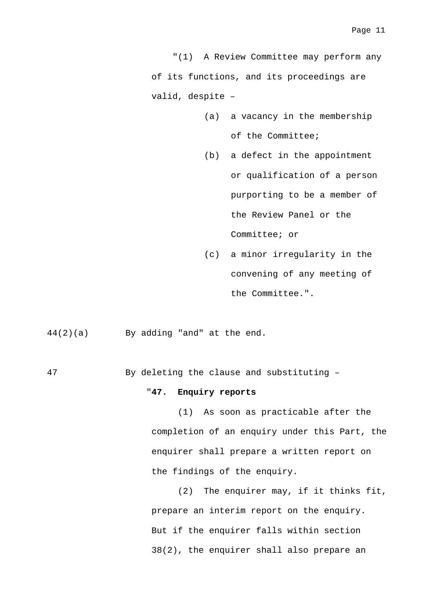"(1) A Review Committee may perform any of its functions, and its proceedings are valid, despite –

- (a) a vacancy in the membership of the Committee;
- (b) a defect in the appointment or qualification of a person purporting to be a member of the Review Panel or the Committee; or
- (c) a minor irregularity in the convening of any meeting of the Committee.".

44(2)(a) By adding "and" at the end.

47 By deleting the clause and substituting –

#### "**47. Enquiry reports**

 (1) As soon as practicable after the completion of an enquiry under this Part, the enquirer shall prepare a written report on the findings of the enquiry.

 (2) The enquirer may, if it thinks fit, prepare an interim report on the enquiry. But if the enquirer falls within section 38(2), the enquirer shall also prepare an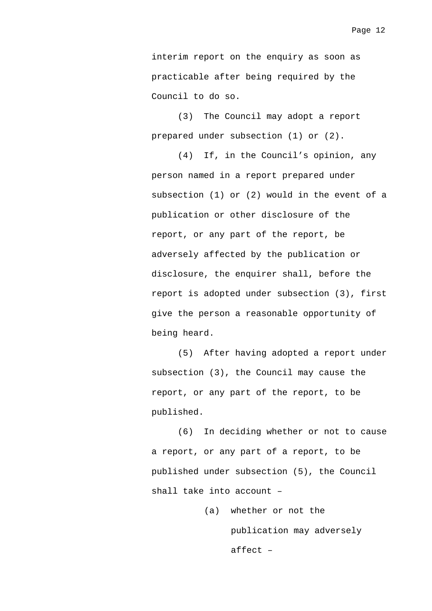interim report on the enquiry as soon as practicable after being required by the Council to do so.

 (3) The Council may adopt a report prepared under subsection (1) or (2).

 (4) If, in the Council's opinion, any person named in a report prepared under subsection (1) or (2) would in the event of a publication or other disclosure of the report, or any part of the report, be adversely affected by the publication or disclosure, the enquirer shall, before the report is adopted under subsection (3), first give the person a reasonable opportunity of being heard.

 (5) After having adopted a report under subsection (3), the Council may cause the report, or any part of the report, to be published.

 (6) In deciding whether or not to cause a report, or any part of a report, to be published under subsection (5), the Council shall take into account –

> (a) whether or not the publication may adversely affect –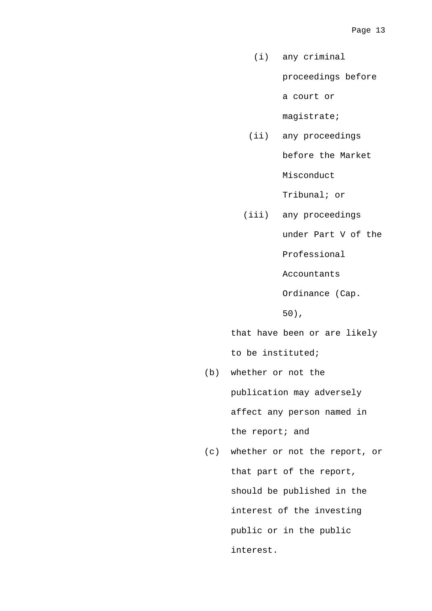(i) any criminal

proceedings before

a court or

magistrate;

 (ii) any proceedings before the Market

Misconduct

Tribunal; or

 (iii) any proceedings under Part V of the

Professional

Accountants

Ordinance (Cap.

50),

that have been or are likely

to be instituted;

- (b) whether or not the publication may adversely affect any person named in the report; and
- (c) whether or not the report, or that part of the report, should be published in the interest of the investing public or in the public interest.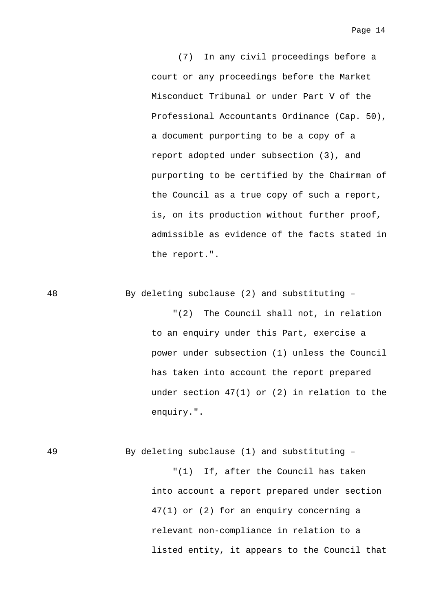Page 14

 (7) In any civil proceedings before a court or any proceedings before the Market Misconduct Tribunal or under Part V of the Professional Accountants Ordinance (Cap. 50), a document purporting to be a copy of a report adopted under subsection (3), and purporting to be certified by the Chairman of the Council as a true copy of such a report, is, on its production without further proof, admissible as evidence of the facts stated in the report.".

48 By deleting subclause (2) and substituting –

 "(2) The Council shall not, in relation to an enquiry under this Part, exercise a power under subsection (1) unless the Council has taken into account the report prepared under section 47(1) or (2) in relation to the enquiry.".

49 By deleting subclause (1) and substituting – "(1) If, after the Council has taken

> into account a report prepared under section 47(1) or (2) for an enquiry concerning a relevant non-compliance in relation to a listed entity, it appears to the Council that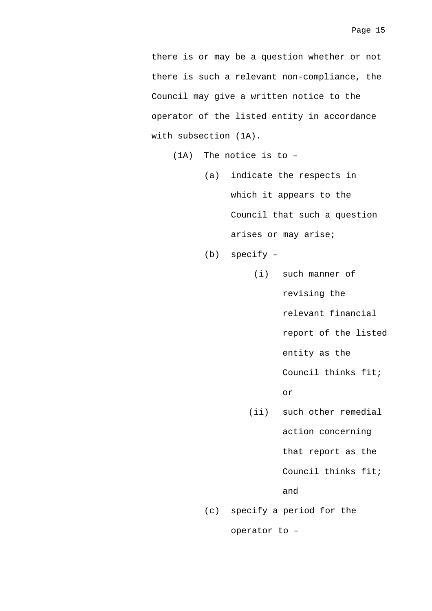there is or may be a question whether or not there is such a relevant non-compliance, the Council may give a written notice to the operator of the listed entity in accordance with subsection (1A).

(1A) The notice is to –

- (a) indicate the respects in which it appears to the Council that such a question arises or may arise;
- (b) specify
	- (i) such manner of revising the relevant financial report of the listed entity as the Council thinks fit;

or

 (ii) such other remedial action concerning

that report as the

Council thinks fit;

and

(c) specify a period for the operator to –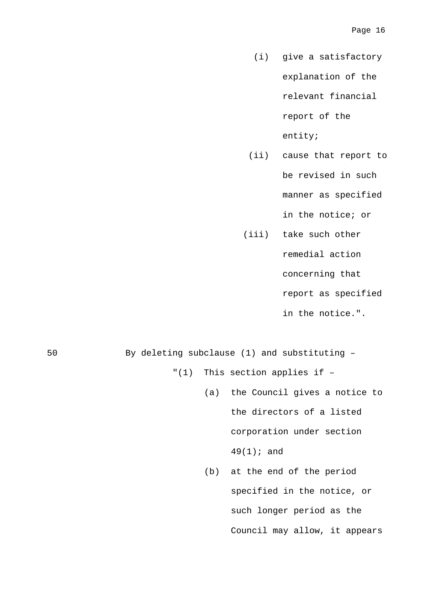- (i) give a satisfactory explanation of the relevant financial report of the entity;
- (ii) cause that report to be revised in such manner as specified

in the notice; or

(iii) take such other

remedial action

concerning that

report as specified

in the notice.".

- 50 By deleting subclause (1) and substituting "(1) This section applies if –
	- (a) the Council gives a notice to the directors of a listed corporation under section 49(1); and
	- (b) at the end of the period specified in the notice, or such longer period as the Council may allow, it appears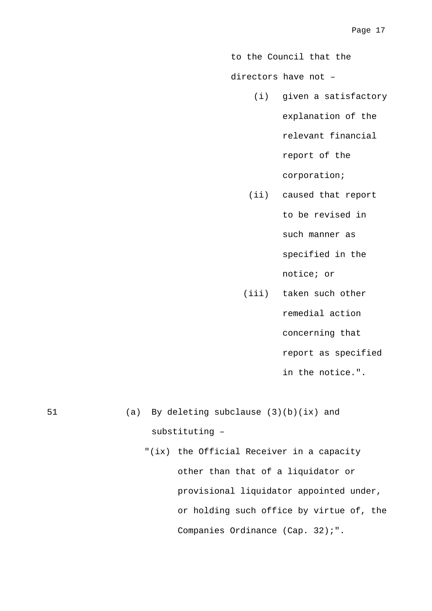to the Council that the

directors have not –

(i) given a satisfactory

explanation of the

relevant financial

report of the

corporation;

- (ii) caused that report to be revised in such manner as specified in the notice; or
- (iii) taken such other remedial action concerning that report as specified in the notice.".

51 (a) By deleting subclause (3)(b)(ix) and substituting – "(ix) the Official Receiver in a capacity

other than that of a liquidator or provisional liquidator appointed under, or holding such office by virtue of, the Companies Ordinance (Cap. 32);".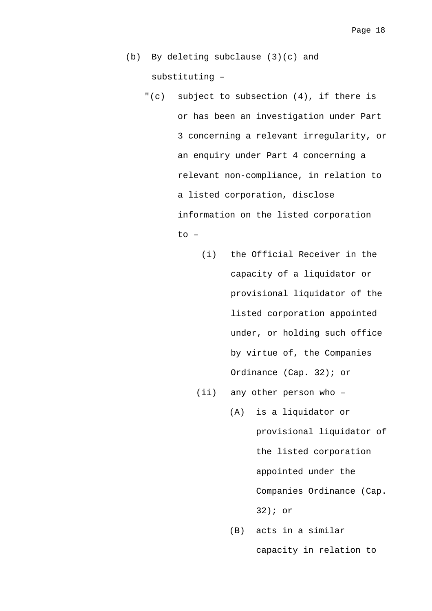- (b) By deleting subclause (3)(c) and substituting –
	- "(c) subject to subsection (4), if there is or has been an investigation under Part 3 concerning a relevant irregularity, or an enquiry under Part 4 concerning a relevant non-compliance, in relation to a listed corporation, disclose information on the listed corporation to –
		- (i) the Official Receiver in the capacity of a liquidator or provisional liquidator of the listed corporation appointed under, or holding such office by virtue of, the Companies Ordinance (Cap. 32); or
		- (ii) any other person who
			- (A) is a liquidator or provisional liquidator of the listed corporation appointed under the Companies Ordinance (Cap. 32); or
				- (B) acts in a similar capacity in relation to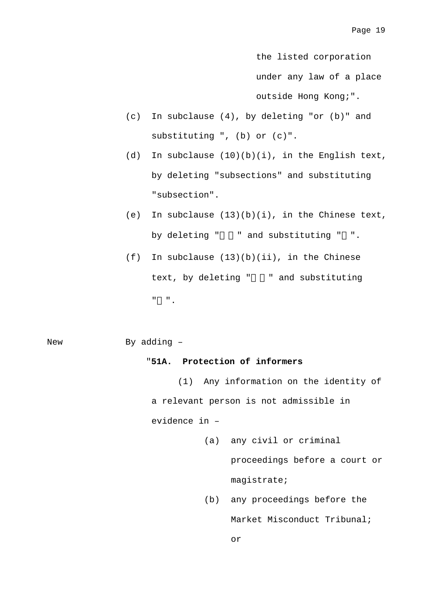the listed corporation under any law of a place outside Hong Kong;".

- (c) In subclause (4), by deleting "or (b)" and substituting ", (b) or (c)".
- (d) In subclause  $(10)(b)(i)$ , in the English text, by deleting "subsections" and substituting "subsection".
- (e) In subclause  $(13)(b)(i)$ , in the Chinese text, by deleting " " and substituting " ".
- (f) In subclause (13)(b)(ii), in the Chinese text, by deleting " " and substituting  $\mathbf{u} = \mathbf{u}$  .

New By adding -

#### "**51A. Protection of informers**

 (1) Any information on the identity of a relevant person is not admissible in evidence in –

- (a) any civil or criminal proceedings before a court or magistrate;
- (b) any proceedings before the Market Misconduct Tribunal; or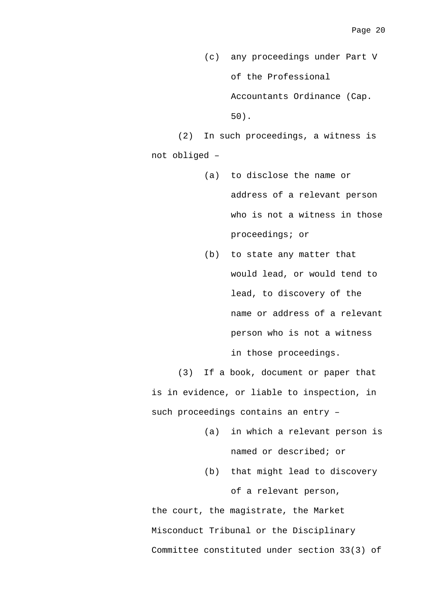- (c) any proceedings under Part V of the Professional Accountants Ordinance (Cap. 50).
- (2) In such proceedings, a witness is not obliged –
	- (a) to disclose the name or address of a relevant person who is not a witness in those proceedings; or
	- (b) to state any matter that would lead, or would tend to lead, to discovery of the name or address of a relevant person who is not a witness in those proceedings.

 (3) If a book, document or paper that is in evidence, or liable to inspection, in such proceedings contains an entry –

- (a) in which a relevant person is named or described; or
- (b) that might lead to discovery of a relevant person,

the court, the magistrate, the Market Misconduct Tribunal or the Disciplinary Committee constituted under section 33(3) of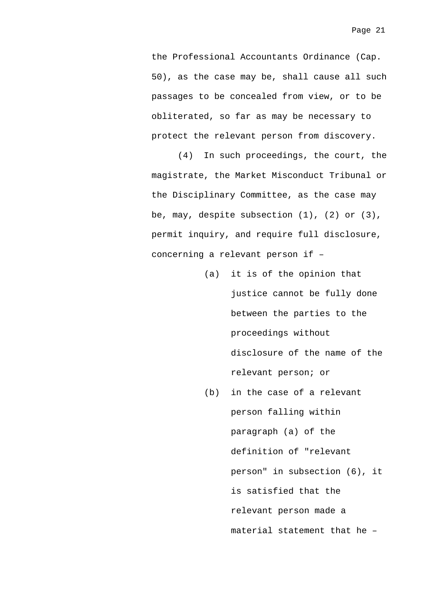the Professional Accountants Ordinance (Cap. 50), as the case may be, shall cause all such passages to be concealed from view, or to be obliterated, so far as may be necessary to protect the relevant person from discovery.

 (4) In such proceedings, the court, the magistrate, the Market Misconduct Tribunal or the Disciplinary Committee, as the case may be, may, despite subsection  $(1)$ ,  $(2)$  or  $(3)$ , permit inquiry, and require full disclosure, concerning a relevant person if –

- (a) it is of the opinion that justice cannot be fully done between the parties to the proceedings without disclosure of the name of the relevant person; or
- (b) in the case of a relevant person falling within paragraph (a) of the definition of "relevant person" in subsection (6), it is satisfied that the relevant person made a material statement that he –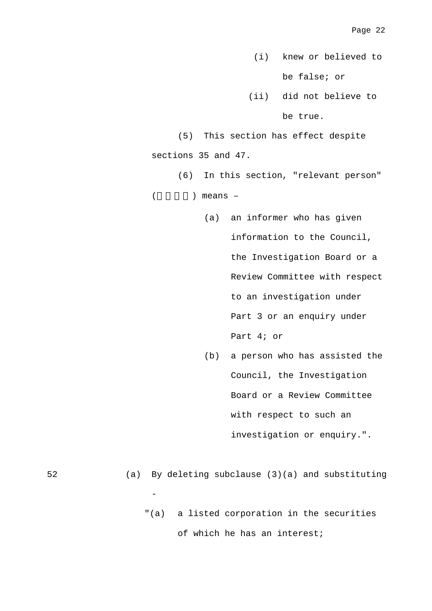(i) knew or believed to be false; or

 (ii) did not believe to be true.

 (5) This section has effect despite sections 35 and 47.

 (6) In this section, "relevant person"  $($  ) means –

- (a) an informer who has given information to the Council, the Investigation Board or a Review Committee with respect to an investigation under Part 3 or an enquiry under Part 4; or
- (b) a person who has assisted the Council, the Investigation Board or a Review Committee with respect to such an investigation or enquiry.".

52 (a) By deleting subclause (3)(a) and substituting  $\overline{\phantom{0}}$ "(a) a listed corporation in the securities of which he has an interest;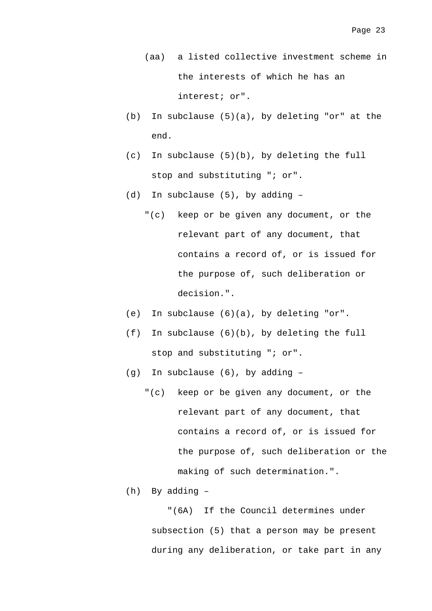(aa) a listed collective investment scheme in the interests of which he has an interest; or".

- (b) In subclause (5)(a), by deleting "or" at the end.
- (c) In subclause (5)(b), by deleting the full stop and substituting "; or".
- (d) In subclause (5), by adding
	- "(c) keep or be given any document, or the relevant part of any document, that contains a record of, or is issued for the purpose of, such deliberation or decision.".
- (e) In subclause (6)(a), by deleting "or".
- (f) In subclause (6)(b), by deleting the full stop and substituting "; or".
- (g) In subclause (6), by adding
	- "(c) keep or be given any document, or the relevant part of any document, that contains a record of, or is issued for the purpose of, such deliberation or the making of such determination.".
- (h) By adding –

 "(6A) If the Council determines under subsection (5) that a person may be present during any deliberation, or take part in any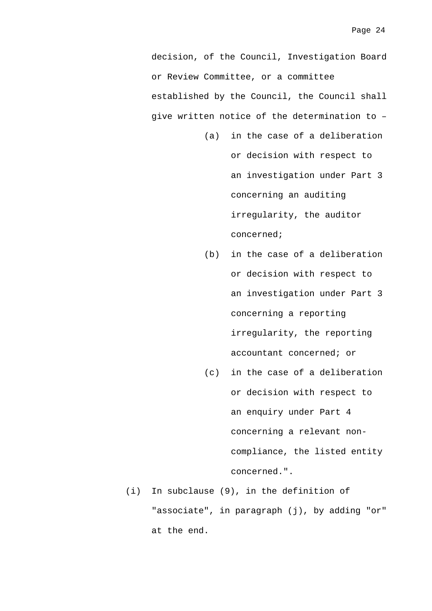decision, of the Council, Investigation Board or Review Committee, or a committee established by the Council, the Council shall give written notice of the determination to –

- (a) in the case of a deliberation or decision with respect to an investigation under Part 3 concerning an auditing irregularity, the auditor concerned;
- (b) in the case of a deliberation or decision with respect to an investigation under Part 3 concerning a reporting irregularity, the reporting accountant concerned; or
- (c) in the case of a deliberation or decision with respect to an enquiry under Part 4 concerning a relevant noncompliance, the listed entity concerned.".
- (i) In subclause (9), in the definition of "associate", in paragraph (j), by adding "or" at the end.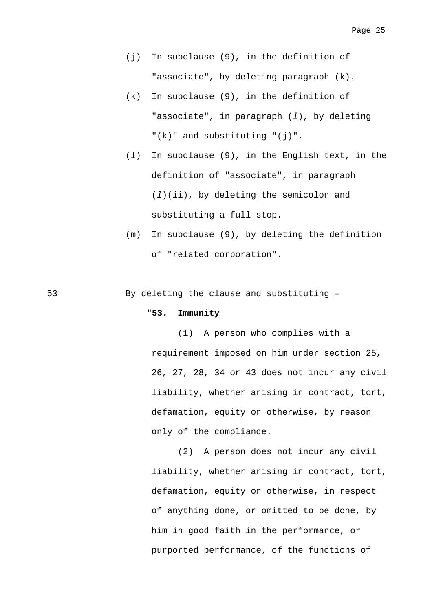- (j) In subclause (9), in the definition of "associate", by deleting paragraph (k).
- (k) In subclause (9), in the definition of "associate", in paragraph (*l*), by deleting  $"$ (k)" and substituting "(j)".
- (l) In subclause (9), in the English text, in the definition of "associate", in paragraph (*l*)(ii), by deleting the semicolon and substituting a full stop.
- (m) In subclause (9), by deleting the definition of "related corporation".

53 By deleting the clause and substituting –

#### "**53. Immunity**

 (1) A person who complies with a requirement imposed on him under section 25, 26, 27, 28, 34 or 43 does not incur any civil liability, whether arising in contract, tort, defamation, equity or otherwise, by reason only of the compliance.

 (2) A person does not incur any civil liability, whether arising in contract, tort, defamation, equity or otherwise, in respect of anything done, or omitted to be done, by him in good faith in the performance, or purported performance, of the functions of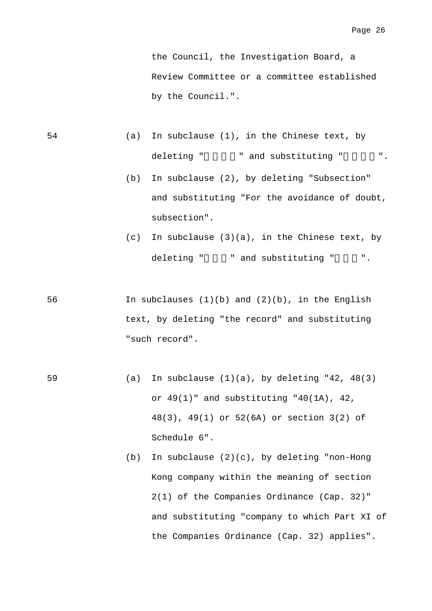the Council, the Investigation Board, a Review Committee or a committee established by the Council.".

- 54 (a) In subclause (1), in the Chinese text, by deleting " " and substituting " ".
	- (b) In subclause (2), by deleting "Subsection" and substituting "For the avoidance of doubt, subsection".
	- $(c)$  In subclause  $(3)(a)$ , in the Chinese text, by deleting " " and substituting " ".
- 56 In subclauses (1)(b) and (2)(b), in the English text, by deleting "the record" and substituting "such record".
- 59 (a) In subclause (1)(a), by deleting "42, 48(3) or 49(1)" and substituting "40(1A), 42, 48(3), 49(1) or 52(6A) or section 3(2) of Schedule 6".
	- (b) In subclause (2)(c), by deleting "non-Hong Kong company within the meaning of section 2(1) of the Companies Ordinance (Cap. 32)" and substituting "company to which Part XI of the Companies Ordinance (Cap. 32) applies".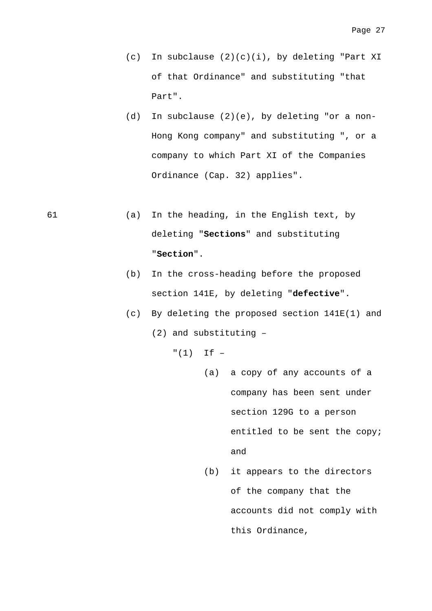- (c) In subclause (2)(c)(i), by deleting "Part XI of that Ordinance" and substituting "that Part".
- (d) In subclause (2)(e), by deleting "or a non-Hong Kong company" and substituting ", or a company to which Part XI of the Companies Ordinance (Cap. 32) applies".
- 61 (a) In the heading, in the English text, by deleting "**Sections**" and substituting "**Section**".
	- (b) In the cross-heading before the proposed section 141E, by deleting "**defective**".
	- (c) By deleting the proposed section 141E(1) and (2) and substituting –

 $''(1)$  If  $-$ 

- (a) a copy of any accounts of a company has been sent under section 129G to a person entitled to be sent the copy; and
- (b) it appears to the directors of the company that the accounts did not comply with this Ordinance,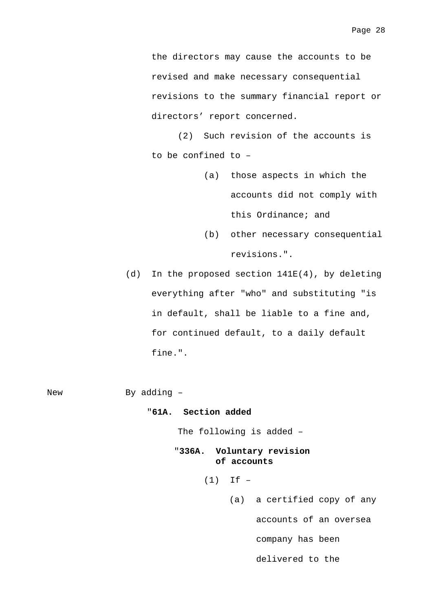the directors may cause the accounts to be revised and make necessary consequential revisions to the summary financial report or directors' report concerned.

 (2) Such revision of the accounts is to be confined to –

- (a) those aspects in which the accounts did not comply with this Ordinance; and
- (b) other necessary consequential revisions.".
- (d) In the proposed section 141E(4), by deleting everything after "who" and substituting "is in default, shall be liable to a fine and, for continued default, to a daily default fine.".

New By adding -

#### "**61A. Section added**

The following is added –

#### "**336A. Voluntary revision of accounts**

 $(1)$  If  $-$ 

(a) a certified copy of any accounts of an oversea company has been delivered to the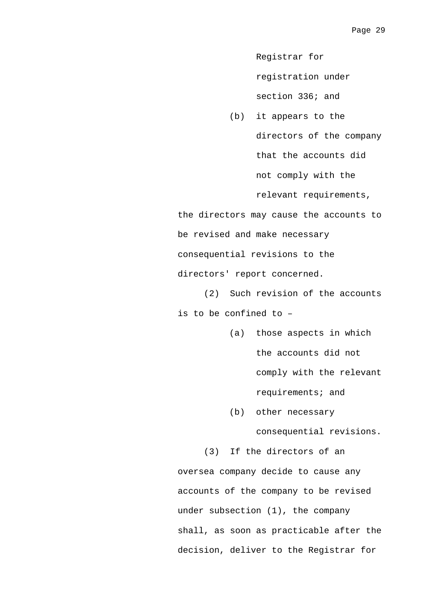Registrar for

registration under

section 336; and

(b) it appears to the directors of the company that the accounts did not comply with the relevant requirements,

the directors may cause the accounts to be revised and make necessary consequential revisions to the directors' report concerned.

 (2) Such revision of the accounts is to be confined to –

> (a) those aspects in which the accounts did not comply with the relevant requirements; and

(b) other necessary

consequential revisions.

(3) If the directors of an

oversea company decide to cause any accounts of the company to be revised under subsection (1), the company shall, as soon as practicable after the decision, deliver to the Registrar for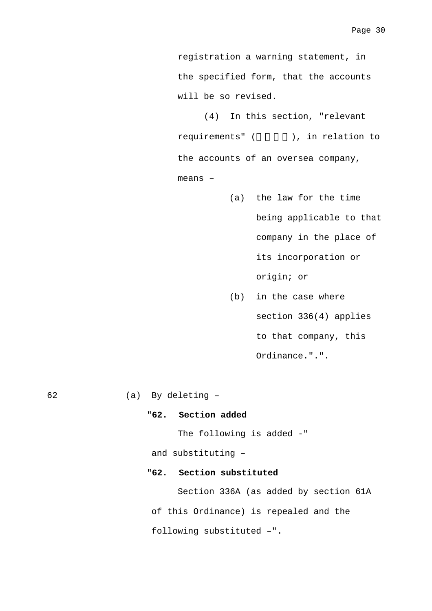registration a warning statement, in the specified form, that the accounts will be so revised.

 (4) In this section, "relevant requirements" (
), in relation to the accounts of an oversea company, means –

- (a) the law for the time being applicable to that company in the place of its incorporation or origin; or
- (b) in the case where section 336(4) applies to that company, this Ordinance.".".

62 (a) By deleting –

#### "**62. Section added**

The following is added -"

and substituting –

### "**62. Section substituted**

 Section 336A (as added by section 61A of this Ordinance) is repealed and the following substituted –".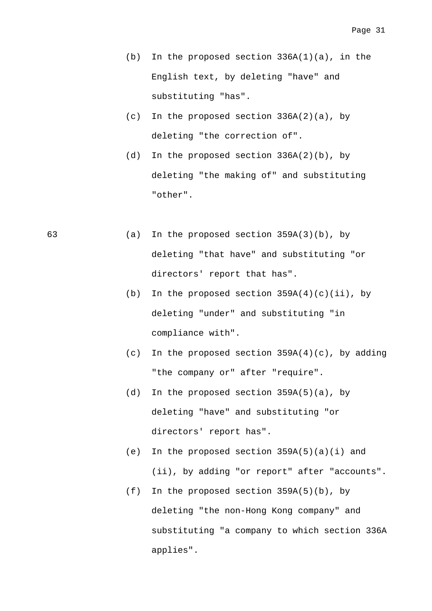- (b) In the proposed section  $336A(1)(a)$ , in the English text, by deleting "have" and substituting "has".
- (c) In the proposed section 336A(2)(a), by deleting "the correction of".
- (d) In the proposed section  $336A(2)(b)$ , by deleting "the making of" and substituting "other".
- 63 (a) In the proposed section 359A(3)(b), by deleting "that have" and substituting "or directors' report that has".
	- (b) In the proposed section  $359A(4)(c)(ii)$ , by deleting "under" and substituting "in compliance with".
	- (c) In the proposed section  $359A(4)(c)$ , by adding "the company or" after "require".
	- (d) In the proposed section 359A(5)(a), by deleting "have" and substituting "or directors' report has".
	- (e) In the proposed section  $359A(5)(a)(i)$  and (ii), by adding "or report" after "accounts".
	- (f) In the proposed section 359A(5)(b), by deleting "the non-Hong Kong company" and substituting "a company to which section 336A applies".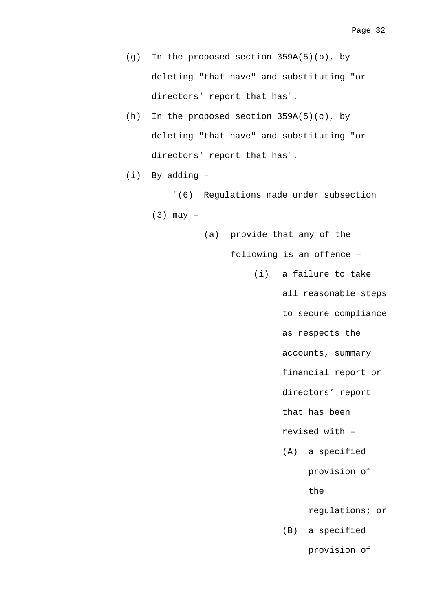- (g) In the proposed section 359A(5)(b), by deleting "that have" and substituting "or directors' report that has".
- (h) In the proposed section 359A(5)(c), by deleting "that have" and substituting "or directors' report that has".
- (i) By adding –

 "(6) Regulations made under subsection (3) may –

(a) provide that any of the

following is an offence –

(i) a failure to take

all reasonable steps

to secure compliance

as respects the

accounts, summary

financial report or

directors' report

that has been

revised with –

(A) a specified

provision of

the

regulations; or

(B) a specified

provision of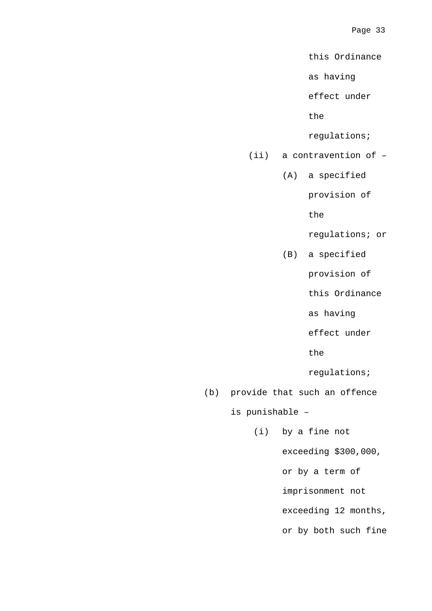this Ordinance

as having

effect under

the

regulations;

- (ii) a contravention of
	- (A) a specified

provision of

the

regulations; or

(B) a specified

provision of

this Ordinance

as having

effect under

the

regulations;

(b) provide that such an offence

is punishable –

(i) by a fine not

exceeding \$300,000,

or by a term of

imprisonment not

exceeding 12 months,

or by both such fine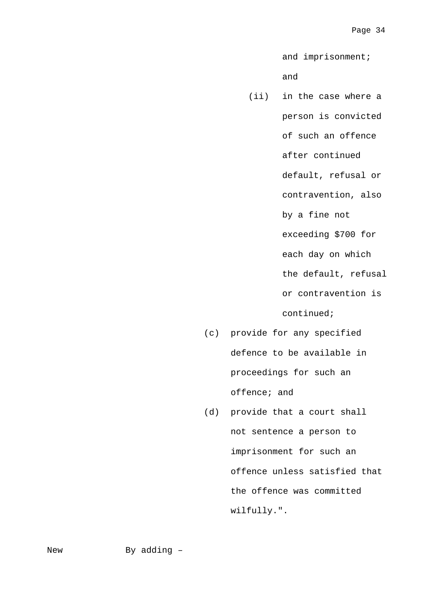and imprisonment;

### and

- (ii) in the case where a person is convicted of such an offence after continued default, refusal or contravention, also by a fine not exceeding \$700 for each day on which the default, refusal or contravention is continued;
- (c) provide for any specified defence to be available in proceedings for such an offence; and
- (d) provide that a court shall not sentence a person to imprisonment for such an offence unless satisfied that the offence was committed wilfully.".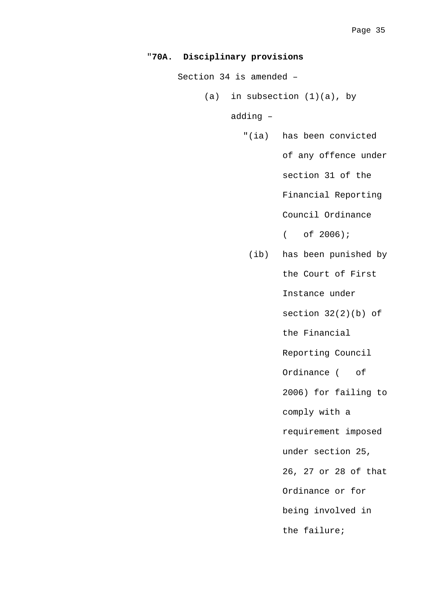```
"70A. Disciplinary provisions
```
Section 34 is amended –

(a) in subsection  $(1)(a)$ , by

adding –

"(ia) has been convicted

of any offence under

section 31 of the

Financial Reporting

Council Ordinance

( of 2006);

 (ib) has been punished by the Court of First Instance under section  $32(2)(b)$  of the Financial Reporting Council Ordinance ( of 2006) for failing to comply with a requirement imposed under section 25, 26, 27 or 28 of that Ordinance or for being involved in the failure;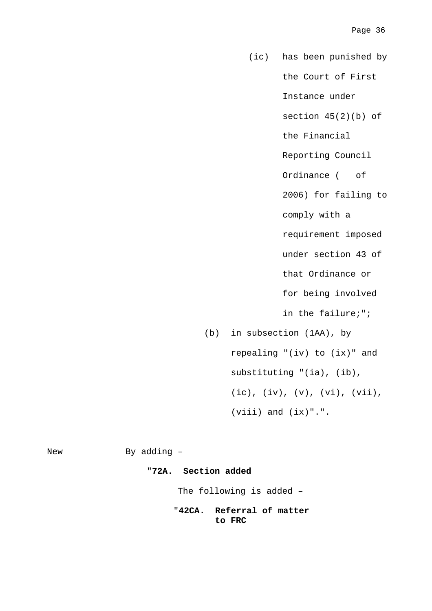- (ic) has been punished by the Court of First Instance under section 45(2)(b) of the Financial Reporting Council Ordinance ( of 2006) for failing to comply with a requirement imposed under section 43 of that Ordinance or for being involved in the failure;";
- (b) in subsection (1AA), by repealing "(iv) to (ix)" and substituting "(ia), (ib), (ic), (iv), (v), (vi), (vii),  $(viii)$  and  $(ix)$ ".".

New By adding -"**72A. Section added**

The following is added –

"**42CA. Referral of matter to FRC**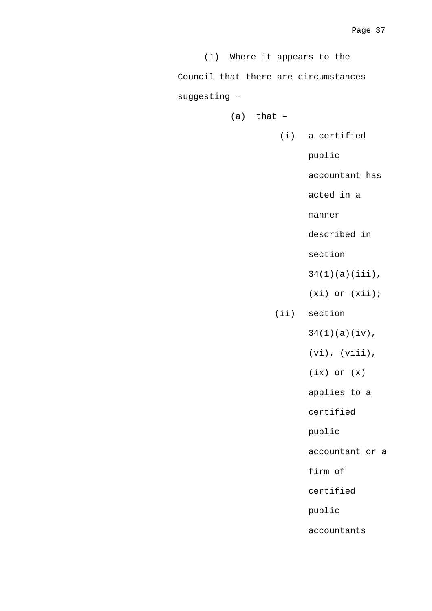| (1) Where it appears to the          |                     |
|--------------------------------------|---------------------|
| Council that there are circumstances |                     |
| suggesting -                         |                     |
| $(a)$ that $-$                       |                     |
|                                      | (i) a certified     |
|                                      | public              |
|                                      | accountant has      |
|                                      | acted in a          |
|                                      | manner              |
|                                      | described in        |
|                                      | section             |
|                                      | $34(1)(a)(iii)$ ,   |
|                                      | $(xi)$ or $(xii)$ ; |
|                                      | (ii) section        |
|                                      | $34(1)(a)(iv)$ ,    |
|                                      | $(vi)$ , $(viii)$ , |
|                                      | $(ix)$ or $(x)$     |
|                                      | applies to a        |
|                                      | certified           |
|                                      | public              |
|                                      | accountant or a     |
|                                      | firm of             |
|                                      | certified           |
|                                      | public              |
|                                      | accountants         |
|                                      |                     |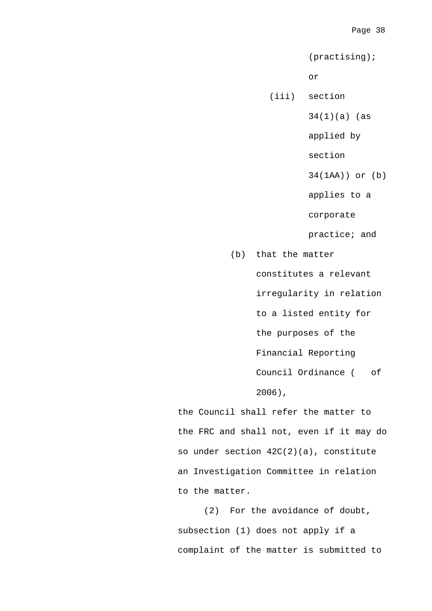(practising);

or

(iii) section

34(1)(a) (as

applied by

section

34(1AA)) or (b)

applies to a

corporate

practice; and

(b) that the matter constitutes a relevant irregularity in relation to a listed entity for the purposes of the Financial Reporting Council Ordinance ( of 2006),

the Council shall refer the matter to the FRC and shall not, even if it may do so under section 42C(2)(a), constitute an Investigation Committee in relation to the matter.

 (2) For the avoidance of doubt, subsection (1) does not apply if a complaint of the matter is submitted to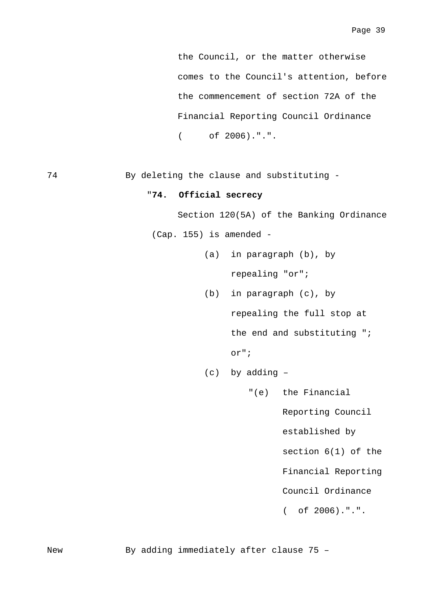the Council, or the matter otherwise comes to the Council's attention, before the commencement of section 72A of the Financial Reporting Council Ordinance ( of 2006).".".

74 By deleting the clause and substituting -

#### "**74. Official secrecy**

Section 120(5A) of the Banking Ordinance

(Cap. 155) is amended -

- (a) in paragraph (b), by repealing "or";
- (b) in paragraph (c), by repealing the full stop at the end and substituting "; or";
- (c) by adding
	- "(e) the Financial

Reporting Council

established by

section 6(1) of the

Financial Reporting

Council Ordinance

( of 2006).".".

New By adding immediately after clause 75 -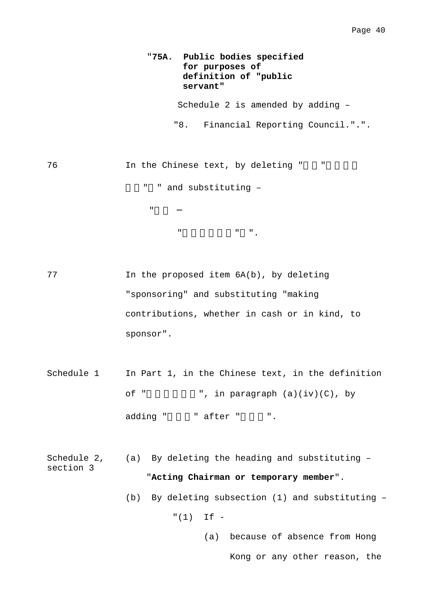### "**75A. Public bodies specified for purposes of definition of "public servant"**

Schedule 2 is amended by adding –

"8. Financial Reporting Council.".".

76 In the Chinese text, by deleting "

"加入

局。" " and substituting –

 $W = W_{\text{max}}$ ".

77 In the proposed item 6A(b), by deleting "sponsoring" and substituting "making contributions, whether in cash or in kind, to sponsor".

- Schedule 1 In Part 1, in the Chinese text, in the definition of "  $\blacksquare$ , in paragraph  $(a)(iv)(C)$ , by adding " " after " ".
- Schedule 2, section 3 (a) By deleting the heading and substituting – "**Acting Chairman or temporary member**".
	- (b) By deleting subsection (1) and substituting –

 $"(1)$  If -

(a) because of absence from Hong Kong or any other reason, the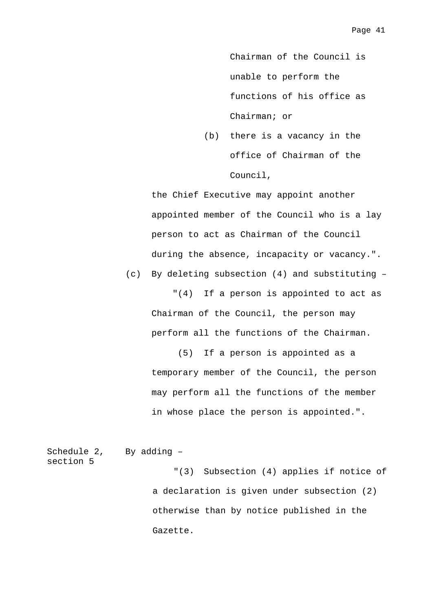Chairman of the Council is unable to perform the functions of his office as Chairman; or

(b) there is a vacancy in the office of Chairman of the Council,

the Chief Executive may appoint another appointed member of the Council who is a lay person to act as Chairman of the Council during the absence, incapacity or vacancy.".

(c) By deleting subsection (4) and substituting –

 "(4) If a person is appointed to act as Chairman of the Council, the person may perform all the functions of the Chairman.

 (5) If a person is appointed as a temporary member of the Council, the person may perform all the functions of the member in whose place the person is appointed.".

Schedule 2, section 5 By adding – "(3) Subsection (4) applies if notice of a declaration is given under subsection (2) otherwise than by notice published in the Gazette.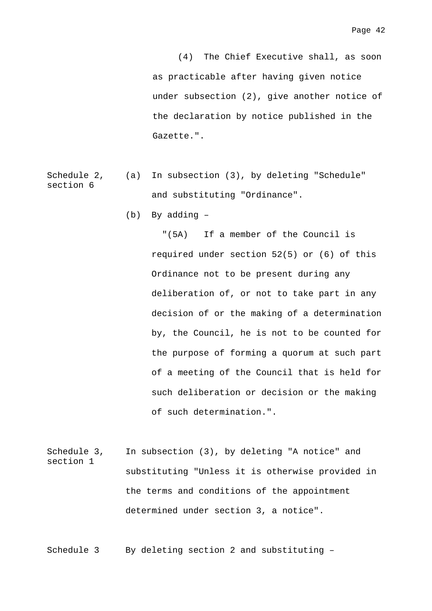(4) The Chief Executive shall, as soon as practicable after having given notice under subsection (2), give another notice of the declaration by notice published in the Gazette.".

- Schedule 2, section 6 (a) In subsection (3), by deleting "Schedule" and substituting "Ordinance".
	- (b) By adding –

 "(5A) If a member of the Council is required under section 52(5) or (6) of this Ordinance not to be present during any deliberation of, or not to take part in any decision of or the making of a determination by, the Council, he is not to be counted for the purpose of forming a quorum at such part of a meeting of the Council that is held for such deliberation or decision or the making of such determination.".

Schedule 3, section 1 In subsection (3), by deleting "A notice" and substituting "Unless it is otherwise provided in the terms and conditions of the appointment determined under section 3, a notice".

Schedule 3 By deleting section 2 and substituting -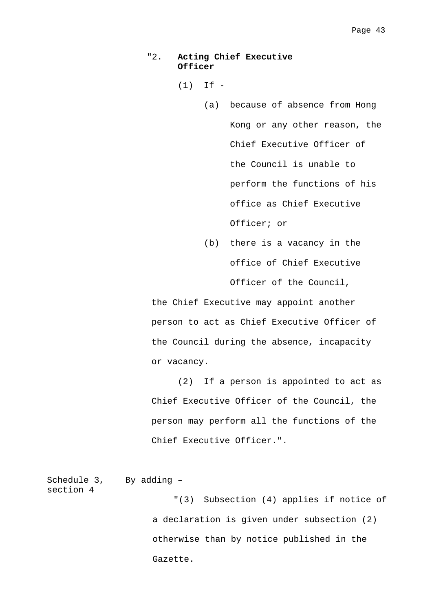### "2. **Acting Chief Executive Officer**

 $(1)$  If  $-$ 

- (a) because of absence from Hong Kong or any other reason, the Chief Executive Officer of the Council is unable to perform the functions of his office as Chief Executive Officer; or
- (b) there is a vacancy in the office of Chief Executive Officer of the Council,

the Chief Executive may appoint another person to act as Chief Executive Officer of the Council during the absence, incapacity or vacancy.

 (2) If a person is appointed to act as Chief Executive Officer of the Council, the person may perform all the functions of the Chief Executive Officer.".

```
Schedule 3, 
section 4 
               By adding – 
                          "(3) Subsection (4) applies if notice of 
                     a declaration is given under subsection (2) 
                     otherwise than by notice published in the 
                     Gazette.
```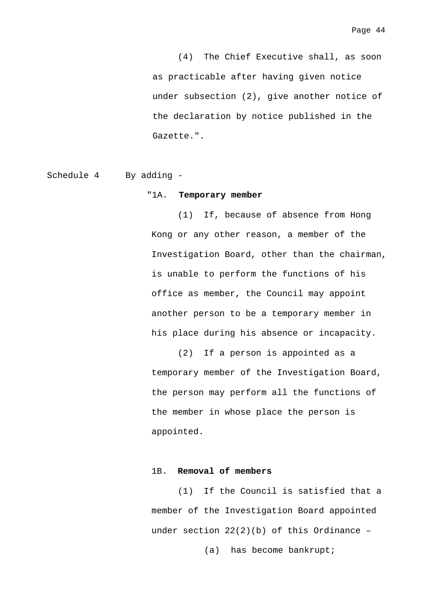(4) The Chief Executive shall, as soon as practicable after having given notice under subsection (2), give another notice of the declaration by notice published in the Gazette.".

Schedule 4 By adding -

#### "1A. **Temporary member**

 (1) If, because of absence from Hong Kong or any other reason, a member of the Investigation Board, other than the chairman, is unable to perform the functions of his office as member, the Council may appoint another person to be a temporary member in his place during his absence or incapacity.

 (2) If a person is appointed as a temporary member of the Investigation Board, the person may perform all the functions of the member in whose place the person is appointed.

#### 1B. **Removal of members**

 (1) If the Council is satisfied that a member of the Investigation Board appointed under section  $22(2)(b)$  of this Ordinance -

(a) has become bankrupt;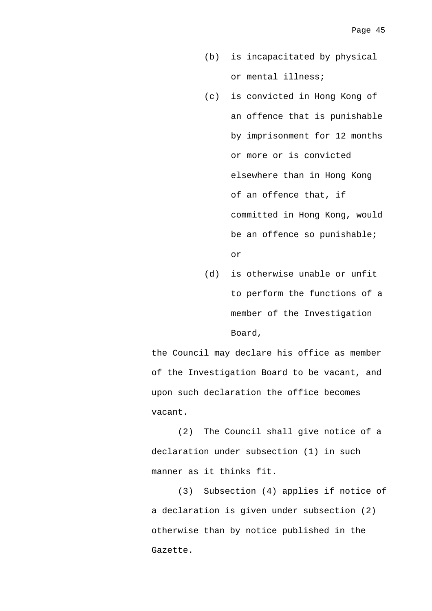- (b) is incapacitated by physical or mental illness;
- (c) is convicted in Hong Kong of an offence that is punishable by imprisonment for 12 months or more or is convicted elsewhere than in Hong Kong of an offence that, if committed in Hong Kong, would be an offence so punishable; or
- (d) is otherwise unable or unfit to perform the functions of a member of the Investigation Board,

the Council may declare his office as member of the Investigation Board to be vacant, and upon such declaration the office becomes vacant.

 (2) The Council shall give notice of a declaration under subsection (1) in such manner as it thinks fit.

 (3) Subsection (4) applies if notice of a declaration is given under subsection (2) otherwise than by notice published in the Gazette.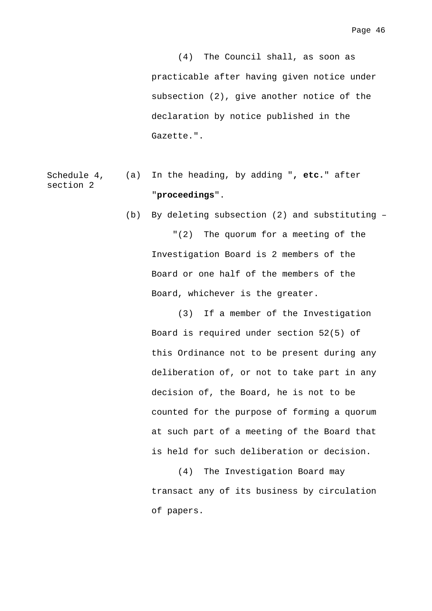(4) The Council shall, as soon as practicable after having given notice under subsection (2), give another notice of the declaration by notice published in the Gazette.".

#### Schedule 4, section 2 (a) In the heading, by adding "**, etc.**" after "**proceedings**".

 (b) By deleting subsection (2) and substituting – "(2) The quorum for a meeting of the Investigation Board is 2 members of the Board or one half of the members of the Board, whichever is the greater.

 (3) If a member of the Investigation Board is required under section 52(5) of this Ordinance not to be present during any deliberation of, or not to take part in any decision of, the Board, he is not to be counted for the purpose of forming a quorum at such part of a meeting of the Board that is held for such deliberation or decision.

 (4) The Investigation Board may transact any of its business by circulation of papers.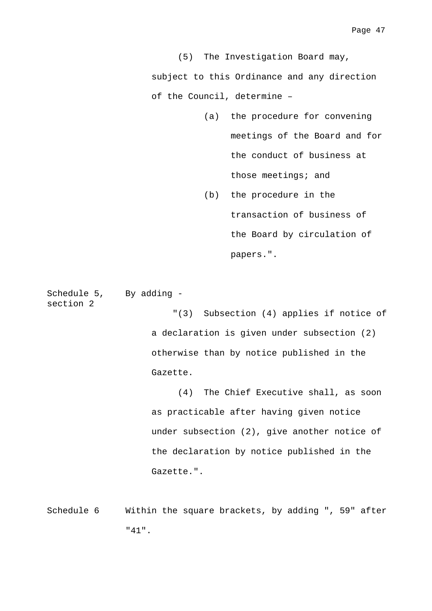(5) The Investigation Board may, subject to this Ordinance and any direction of the Council, determine –

- (a) the procedure for convening meetings of the Board and for the conduct of business at those meetings; and
- (b) the procedure in the transaction of business of the Board by circulation of papers.".

Schedule 5, By adding section 2

> "(3) Subsection (4) applies if notice of a declaration is given under subsection (2) otherwise than by notice published in the Gazette.

 (4) The Chief Executive shall, as soon as practicable after having given notice under subsection (2), give another notice of the declaration by notice published in the Gazette.".

Schedule 6 Within the square brackets, by adding ", 59" after "41".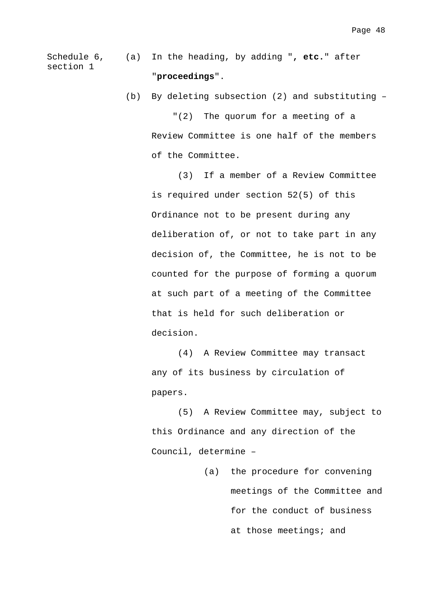Schedule 6, section 1 (a) In the heading, by adding "**, etc.**" after "**proceedings**".

(b) By deleting subsection (2) and substituting –

 "(2) The quorum for a meeting of a Review Committee is one half of the members of the Committee.

 (3) If a member of a Review Committee is required under section 52(5) of this Ordinance not to be present during any deliberation of, or not to take part in any decision of, the Committee, he is not to be counted for the purpose of forming a quorum at such part of a meeting of the Committee that is held for such deliberation or decision.

 (4) A Review Committee may transact any of its business by circulation of papers.

 (5) A Review Committee may, subject to this Ordinance and any direction of the Council, determine –

> (a) the procedure for convening meetings of the Committee and for the conduct of business at those meetings; and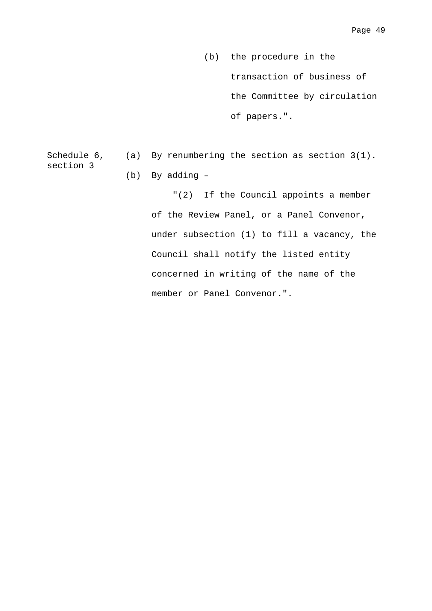(b) the procedure in the transaction of business of the Committee by circulation of papers.".

Schedule 6, section 3 (a) By renumbering the section as section 3(1). (b) By adding –

> "(2) If the Council appoints a member of the Review Panel, or a Panel Convenor, under subsection (1) to fill a vacancy, the Council shall notify the listed entity concerned in writing of the name of the member or Panel Convenor.".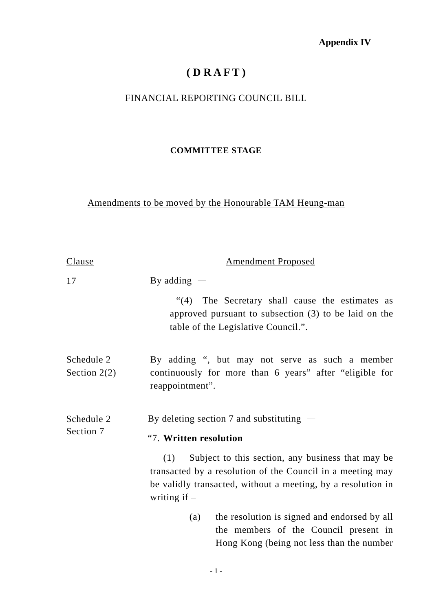## **Appendix IV**

# **( D R A F T )**

### FINANCIAL REPORTING COUNCIL BILL

### **COMMITTEE STAGE**

### Amendments to be moved by the Honourable TAM Heung-man

| Clause                       | <b>Amendment Proposed</b>                                                                                                                                                                                |
|------------------------------|----------------------------------------------------------------------------------------------------------------------------------------------------------------------------------------------------------|
| 17                           | By adding $-$                                                                                                                                                                                            |
|                              | "(4) The Secretary shall cause the estimates as<br>approved pursuant to subsection $(3)$ to be laid on the<br>table of the Legislative Council.".                                                        |
| Schedule 2<br>Section $2(2)$ | By adding ", but may not serve as such a member<br>continuously for more than 6 years" after "eligible for<br>reappointment".                                                                            |
| Schedule 2<br>Section 7      | By deleting section 7 and substituting $-$                                                                                                                                                               |
|                              | "7. Written resolution                                                                                                                                                                                   |
|                              | Subject to this section, any business that may be<br>(1)<br>transacted by a resolution of the Council in a meeting may<br>be validly transacted, without a meeting, by a resolution in<br>writing if $-$ |
|                              | the resolution is signed and endorsed by all<br>(a)<br>the members of the Council present in<br>Hong Kong (being not less than the number                                                                |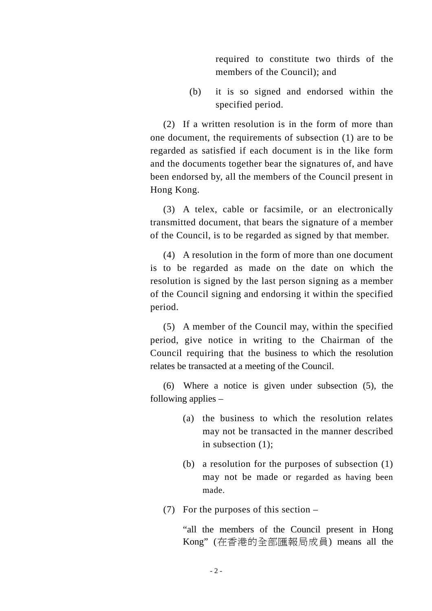required to constitute two thirds of the members of the Council); and

(b) it is so signed and endorsed within the specified period.

(2) If a written resolution is in the form of more than one document, the requirements of subsection (1) are to be regarded as satisfied if each document is in the like form and the documents together bear the signatures of, and have been endorsed by, all the members of the Council present in Hong Kong.

(3) A telex, cable or facsimile, or an electronically transmitted document, that bears the signature of a member of the Council, is to be regarded as signed by that member.

(4) A resolution in the form of more than one document is to be regarded as made on the date on which the resolution is signed by the last person signing as a member of the Council signing and endorsing it within the specified period.

(5) A member of the Council may, within the specified period, give notice in writing to the Chairman of the Council requiring that the business to which the resolution relates be transacted at a meeting of the Council.

(6) Where a notice is given under subsection (5), the following applies –

- (a) the business to which the resolution relates may not be transacted in the manner described in subsection (1);
- (b) a resolution for the purposes of subsection (1) may not be made or regarded as having been made.
- (7) For the purposes of this section –

"all the members of the Council present in Hong Kong" (在香港的全部匯報局成員) means all the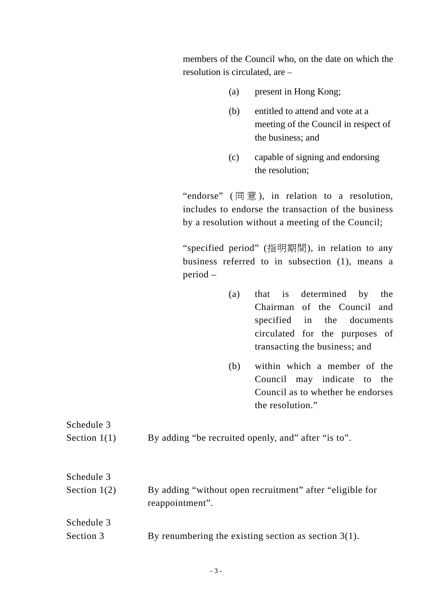members of the Council who, on the date on which the resolution is circulated, are –

- (a) present in Hong Kong;
- (b) entitled to attend and vote at a meeting of the Council in respect of the business; and
- (c) capable of signing and endorsing the resolution;

"endorse" ( 同 意 ), in relation to a resolution, includes to endorse the transaction of the business by a resolution without a meeting of the Council;

"specified period" (指明期間), in relation to any business referred to in subsection (1), means a period –

- (a) that is determined by the Chairman of the Council and specified in the documents circulated for the purposes of transacting the business; and
- (b) within which a member of the Council may indicate to the Council as to whether he endorses the resolution."

| Schedule 3<br>Section $1(1)$ | By adding "be recruited openly, and" after "is to".                         |
|------------------------------|-----------------------------------------------------------------------------|
| Schedule 3<br>Section $1(2)$ | By adding "without open recruitment" after "eligible for<br>reappointment". |
| Schedule 3<br>Section 3      | By renumbering the existing section as section $3(1)$ .                     |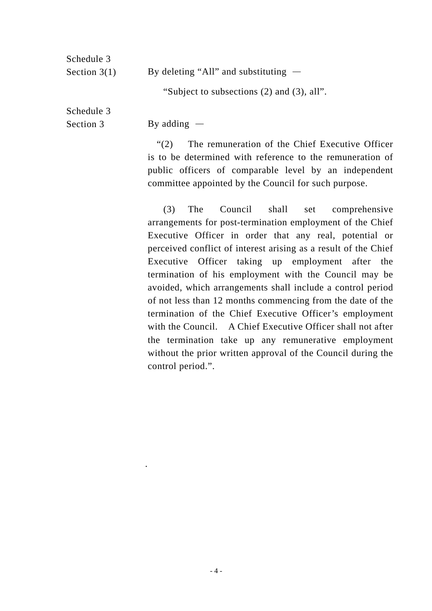| Schedule 3     |                                            |
|----------------|--------------------------------------------|
| Section $3(1)$ | By deleting "All" and substituting $-$     |
|                | "Subject to subsections (2) and (3), all". |
|                |                                            |

Schedule 3 Section 3

.

By adding  $-$ 

"(2) The remuneration of the Chief Executive Officer is to be determined with reference to the remuneration of public officers of comparable level by an independent committee appointed by the Council for such purpose.

(3) The Council shall set comprehensive arrangements for post-termination employment of the Chief Executive Officer in order that any real, potential or perceived conflict of interest arising as a result of the Chief Executive Officer taking up employment after the termination of his employment with the Council may be avoided, which arrangements shall include a control period of not less than 12 months commencing from the date of the termination of the Chief Executive Officer's employment with the Council. A Chief Executive Officer shall not after the termination take up any remunerative employment without the prior written approval of the Council during the control period.".